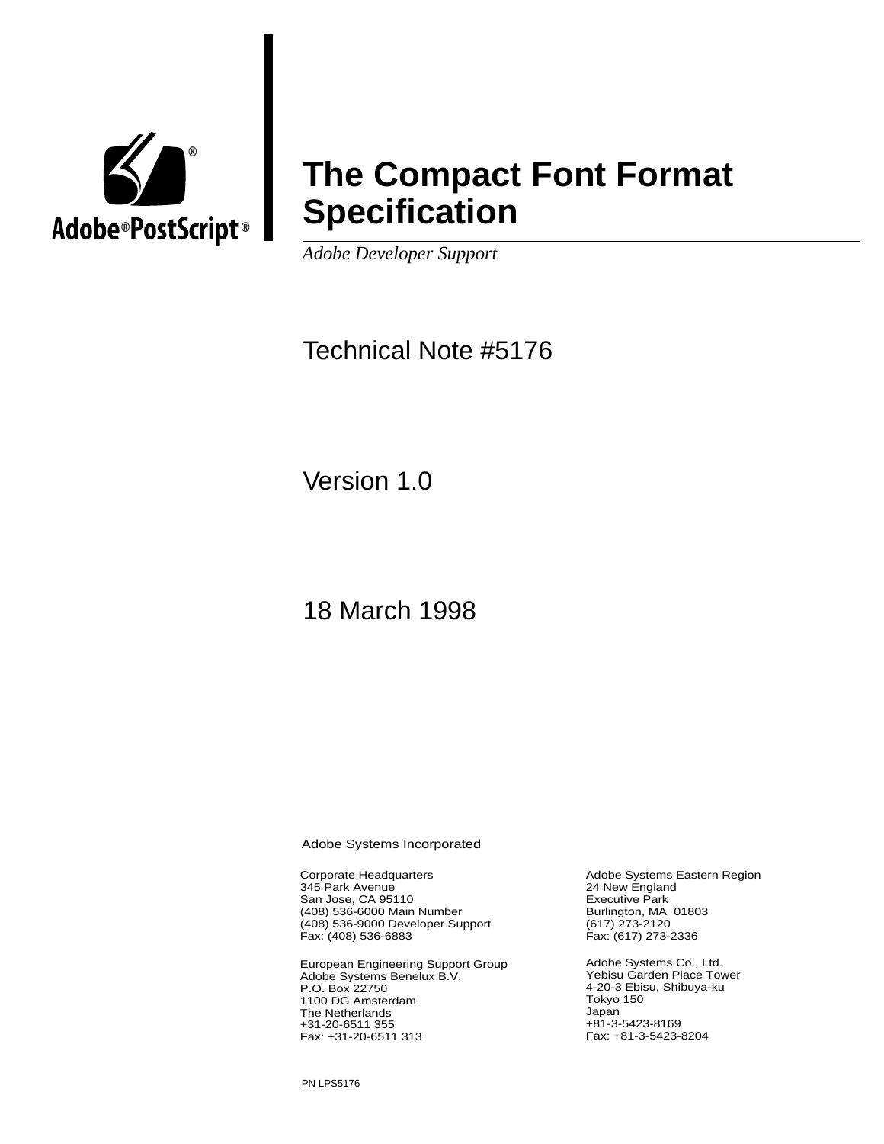

# **The Compact Font Format Specification**

*Adobe Developer Support*

# Technical Note #5176

Version 1.0

18 March 1998

Adobe Systems Incorporated

Corporate Headquarters 345 Park Avenue San Jose, CA 95110 (408) 536-6000 Main Number (408) 536-9000 Developer Support Fax: (408) 536-6883

European Engineering Support Group Adobe Systems Benelux B.V. P.O. Box 22750 1100 DG Amsterdam The Netherlands +31-20-6511 355 Fax: +31-20-6511 313

Adobe Systems Eastern Region 24 New England Executive Park Burlington, MA 01803 (617) 273-2120 Fax: (617) 273-2336

Adobe Systems Co., Ltd. Yebisu Garden Place Tower 4-20-3 Ebisu, Shibuya-ku Tokyo 150 Japan +81-3-5423-8169 Fax: +81-3-5423-8204

PN LPS5176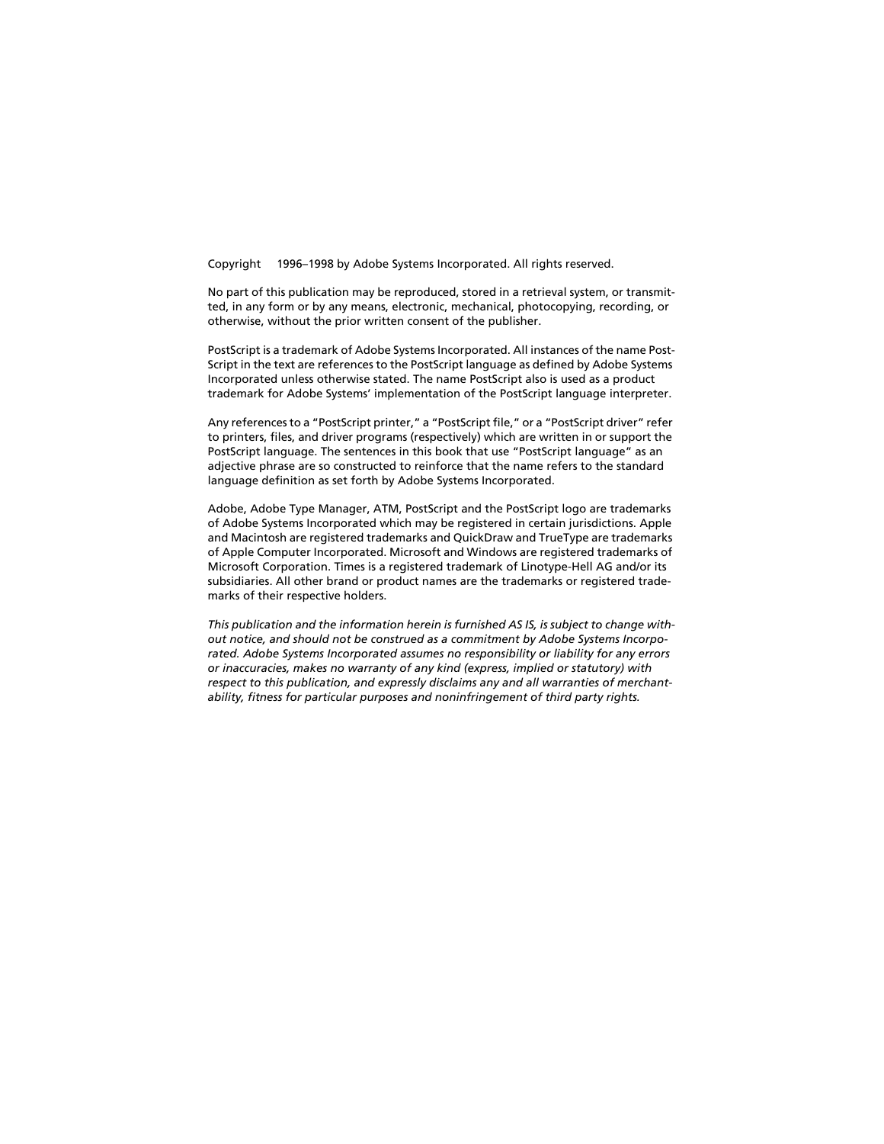Copyright © 1996–1998 by Adobe Systems Incorporated. All rights reserved.

No part of this publication may be reproduced, stored in a retrieval system, or transmitted, in any form or by any means, electronic, mechanical, photocopying, recording, or otherwise, without the prior written consent of the publisher.

PostScript is a trademark of Adobe Systems Incorporated. All instances of the name Post-Script in the text are references to the PostScript language as defined by Adobe Systems Incorporated unless otherwise stated. The name PostScript also is used as a product trademark for Adobe Systems' implementation of the PostScript language interpreter.

Any references to a "PostScript printer," a "PostScript file," or a "PostScript driver" refer to printers, files, and driver programs (respectively) which are written in or support the PostScript language. The sentences in this book that use "PostScript language" as an adjective phrase are so constructed to reinforce that the name refers to the standard language definition as set forth by Adobe Systems Incorporated.

Adobe, Adobe Type Manager, ATM, PostScript and the PostScript logo are trademarks of Adobe Systems Incorporated which may be registered in certain jurisdictions. Apple and Macintosh are registered trademarks and QuickDraw and TrueType are trademarks of Apple Computer Incorporated. Microsoft and Windows are registered trademarks of Microsoft Corporation. Times is a registered trademark of Linotype-Hell AG and/or its subsidiaries. All other brand or product names are the trademarks or registered trademarks of their respective holders.

*This publication and the information herein is furnished AS IS, is subject to change without notice, and should not be construed as a commitment by Adobe Systems Incorporated. Adobe Systems Incorporated assumes no responsibility or liability for any errors or inaccuracies, makes no warranty of any kind (express, implied or statutory) with respect to this publication, and expressly disclaims any and all warranties of merchantability, fitness for particular purposes and noninfringement of third party rights.*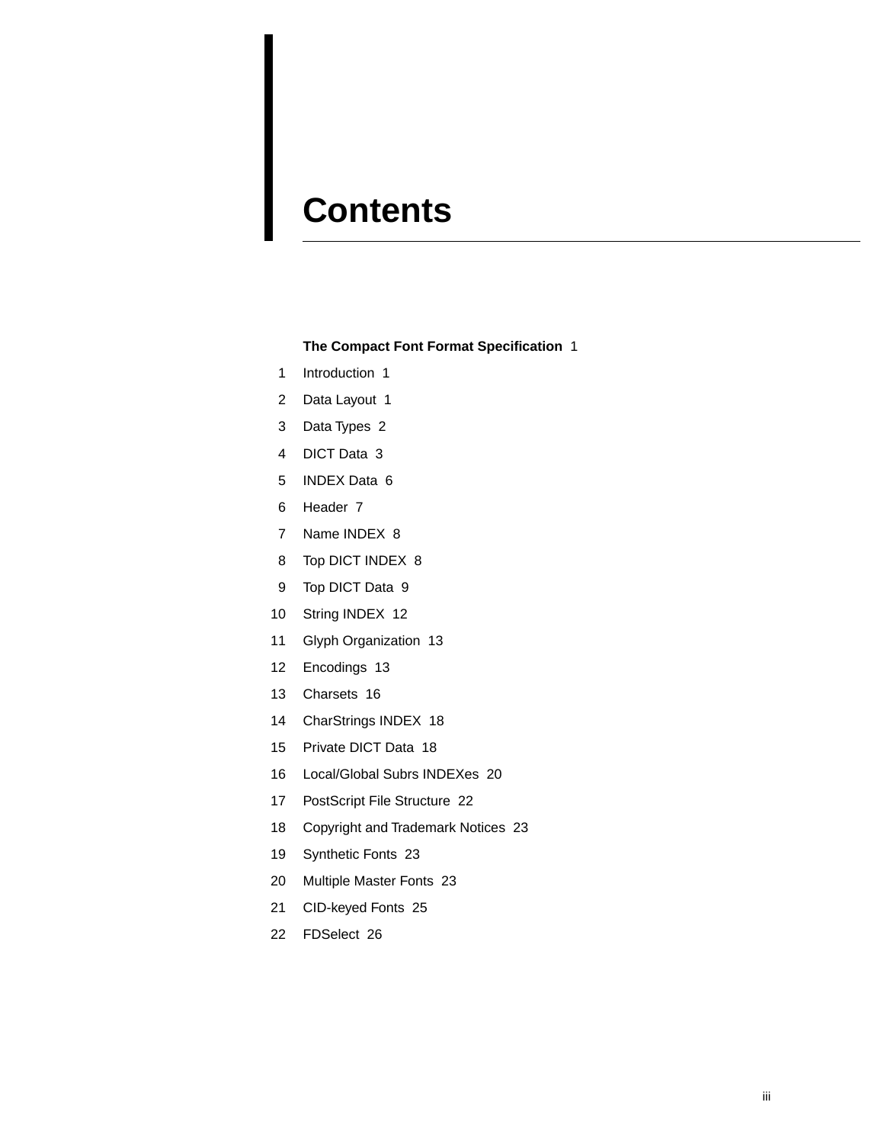# **Contents**

#### **[The Compact Font Format Specification](#page-4-0)** 1

- [1 Introduction 1](#page-4-0)
- [2 Data Layout 1](#page-4-0)
- [3 Data Types 2](#page-5-0)
- [4 DICT Data 3](#page-6-0)
- [5 INDEX Data 6](#page-9-0)
- [6 Header 7](#page-10-0)
- [7 Name INDEX 8](#page-11-0)
- [8 Top DICT INDEX 8](#page-11-0)
- [9 Top DICT Data 9](#page-12-0)
- [10 String INDEX 12](#page-15-0)
- [11 Glyph Organization 13](#page-16-0)
- [12 Encodings 13](#page-16-0)
- [13 Charsets 16](#page-19-0)
- [14 CharStrings INDEX 18](#page-21-0)
- [15 Private DICT Data 18](#page-21-0)
- [16 Local/Global Subrs INDEXes 20](#page-23-0)
- [17 PostScript File Structure 22](#page-25-0)
- [18 Copyright and Trademark Notices 23](#page-26-0)
- [19 Synthetic Fonts 23](#page-26-0)
- [20 Multiple Master Fonts 23](#page-26-0)
- [21 CID-keyed Fonts 25](#page-28-0)
- [22 FDSelect 26](#page-29-0)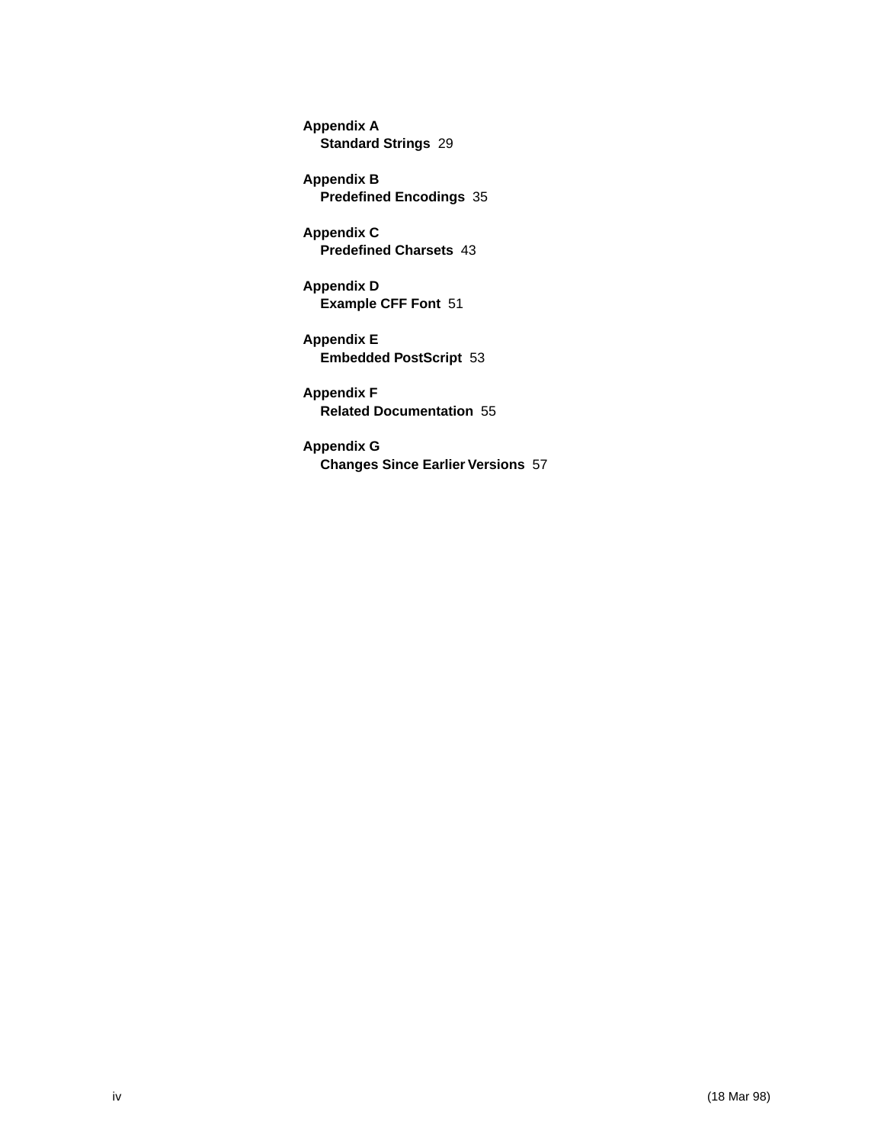**Appendix A [Standard Strings](#page-32-0)** 29

**Appendix B [Predefined Encodings](#page-38-0)** 35

**Appendix C [Predefined Charsets](#page-46-0)** 43

**Appendix D [Example CFF Font](#page-54-0)** 51

**Appendix E [Embedded PostScript](#page-56-0)** 53

**Appendix F [Related Documentation](#page-58-0)** 55

**Appendix G [Changes Since Earlier Versions](#page-60-0)** 57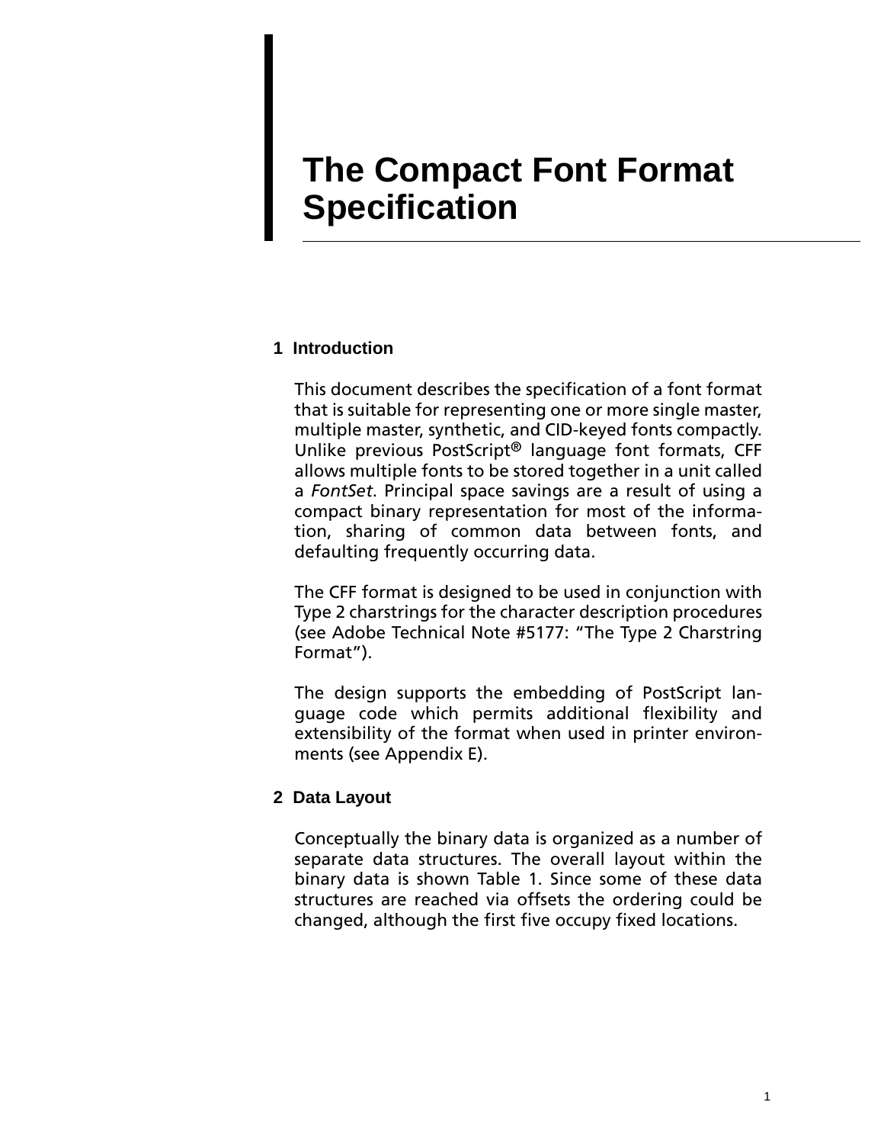# <span id="page-4-0"></span>**The Compact Font Format Specification**

### **1 Introduction**

This document describes the specification of a font format that is suitable for representing one or more single master, multiple master, synthetic, and CID-keyed fonts compactly. Unlike previous PostScript® language font formats, CFF allows multiple fonts to be stored together in a unit called a *FontSet*. Principal space savings are a result of using a compact binary representation for most of the information, sharing of common data between fonts, and defaulting frequently occurring data.

The CFF format is designed to be used in conjunction with Type 2 charstrings for the character description procedures (see Adobe Technical Note #5177: "The Type 2 Charstring Format").

The design supports the embedding of PostScript language code which permits additional flexibility and extensibility of the format when used in printer environments (see Appendix E).

## **2 Data Layout**

Conceptually the binary data is organized as a number of separate data structures. The overall layout within the binary data is shown [Table 1](#page-5-0). Since some of these data structures are reached via offsets the ordering could be changed, although the first five occupy fixed locations.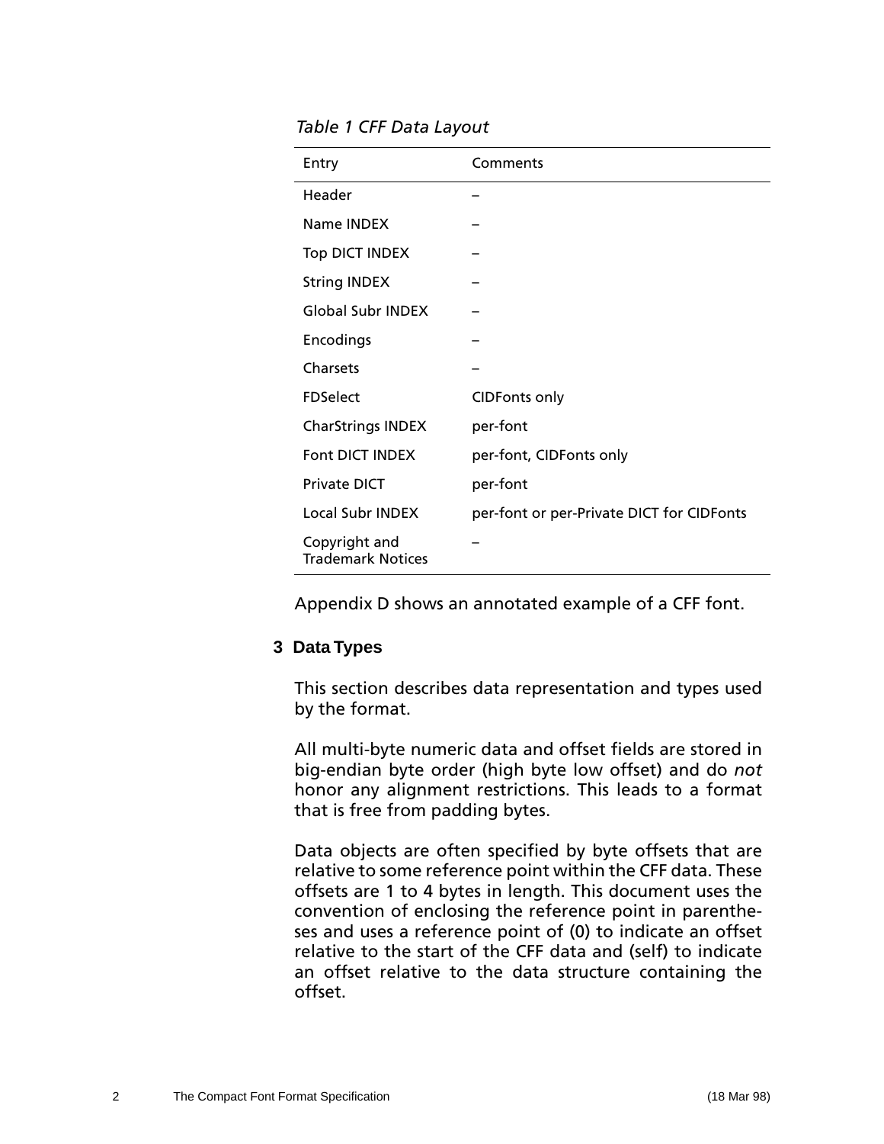#### <span id="page-5-0"></span>*Table 1 CFF Data Layout*

| Entry                                     | Comments                                  |  |
|-------------------------------------------|-------------------------------------------|--|
| Header                                    |                                           |  |
| Name <b>INDEX</b>                         |                                           |  |
| <b>Top DICT INDEX</b>                     |                                           |  |
| <b>String INDEX</b>                       |                                           |  |
| <b>Global Subr INDEX</b>                  |                                           |  |
| Encodings                                 |                                           |  |
| Charsets                                  |                                           |  |
| <b>FDSelect</b>                           | <b>CIDFonts only</b>                      |  |
| <b>CharStrings INDEX</b>                  | per-font                                  |  |
| Font DICT INDEX                           | per-font, CIDFonts only                   |  |
| <b>Private DICT</b>                       | per-font                                  |  |
| Local Subr INDEX                          | per-font or per-Private DICT for CIDFonts |  |
| Copyright and<br><b>Trademark Notices</b> |                                           |  |

Appendix D shows an annotated example of a CFF font.

## **3 Data Types**

This section describes data representation and types used by the format.

All multi-byte numeric data and offset fields are stored in big-endian byte order (high byte low offset) and do *not* honor any alignment restrictions. This leads to a format that is free from padding bytes.

Data objects are often specified by byte offsets that are relative to some reference point within the CFF data. These offsets are 1 to 4 bytes in length. This document uses the convention of enclosing the reference point in parentheses and uses a reference point of (0) to indicate an offset relative to the start of the CFF data and (self) to indicate an offset relative to the data structure containing the offset.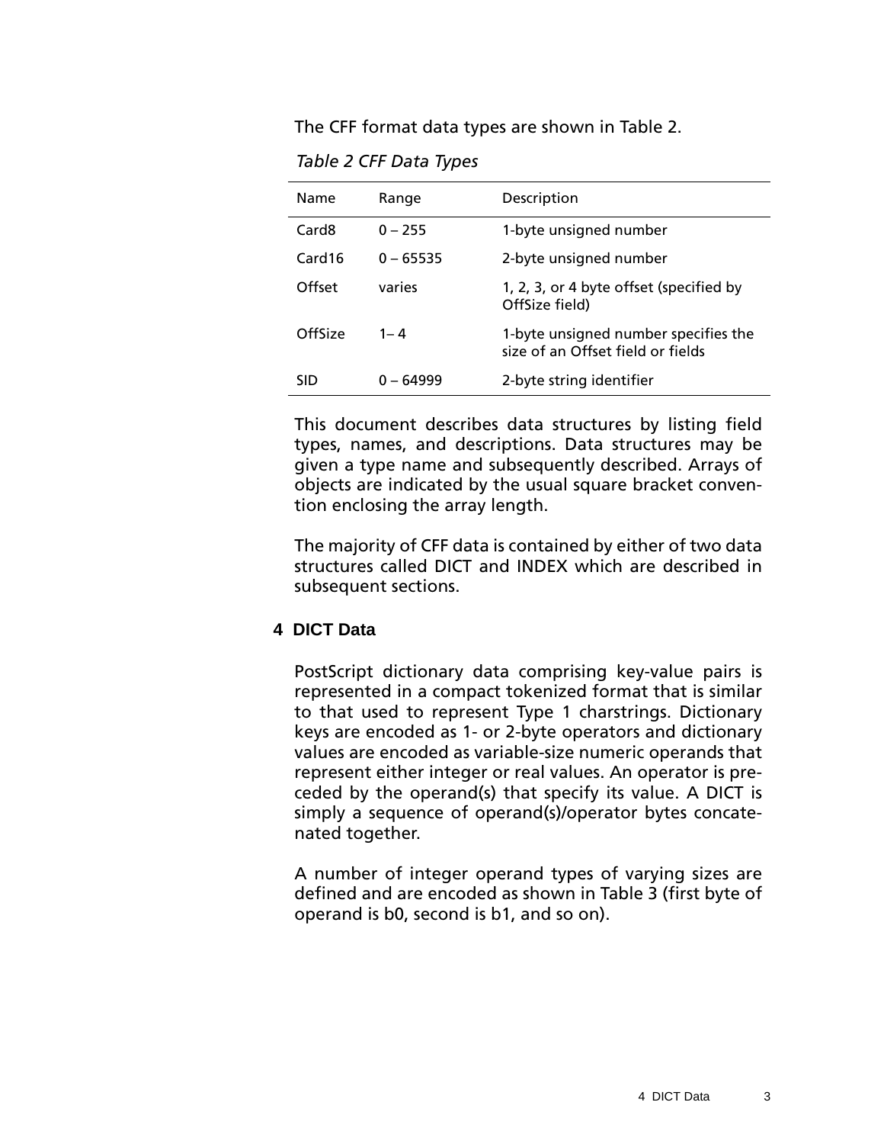<span id="page-6-0"></span>The CFF format data types are shown in Table 2.

*Table 2 CFF Data Types*

| Name               | Range       | Description                                                               |  |
|--------------------|-------------|---------------------------------------------------------------------------|--|
| Card <sub>8</sub>  | $0 - 255$   | 1-byte unsigned number                                                    |  |
| Card <sub>16</sub> | $0 - 65535$ | 2-byte unsigned number                                                    |  |
| Offset             | varies      | 1, 2, 3, or 4 byte offset (specified by<br>OffSize field)                 |  |
| OffSize            | $1 - 4$     | 1-byte unsigned number specifies the<br>size of an Offset field or fields |  |
| <b>SID</b>         | በ – 64999   | 2-byte string identifier                                                  |  |

This document describes data structures by listing field types, names, and descriptions. Data structures may be given a type name and subsequently described. Arrays of objects are indicated by the usual square bracket convention enclosing the array length.

The majority of CFF data is contained by either of two data structures called DICT and INDEX which are described in subsequent sections.

#### **4 DICT Data**

PostScript dictionary data comprising key-value pairs is represented in a compact tokenized format that is similar to that used to represent Type 1 charstrings. Dictionary keys are encoded as 1- or 2-byte operators and dictionary values are encoded as variable-size numeric operands that represent either integer or real values. An operator is preceded by the operand(s) that specify its value. A DICT is simply a sequence of operand(s)/operator bytes concatenated together.

A number of integer operand types of varying sizes are defined and are encoded as shown in [Table 3](#page-7-0) (first byte of operand is b0, second is b1, and so on).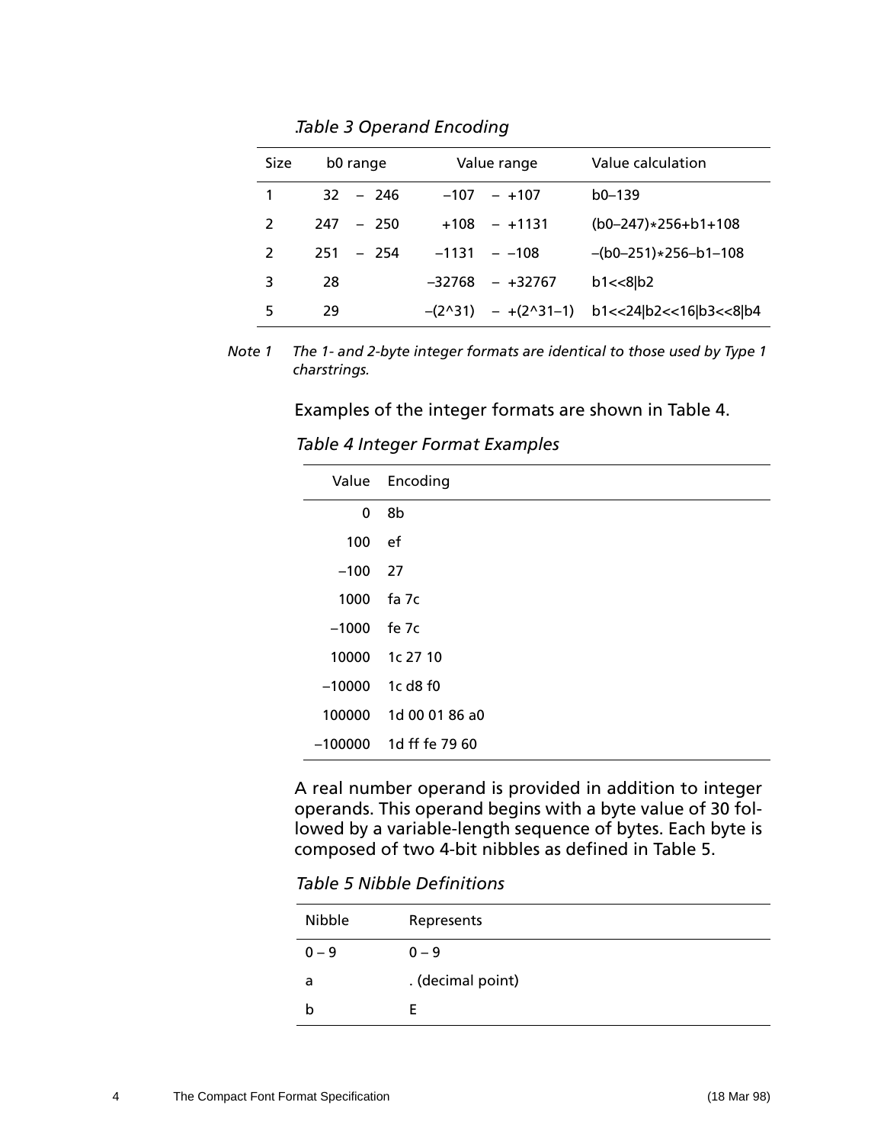<span id="page-7-0"></span>

| <b>Size</b>   | b0 range     | Value range          | Value calculation                                |
|---------------|--------------|----------------------|--------------------------------------------------|
| 1             | $32 - 246$   | $-107 - 107$         | $b0-139$                                         |
| $\mathcal{P}$ | $247 - 250$  | $+108 - +1131$       | $(b0-247)*256+b1+108$                            |
| $\mathcal{L}$ | 251<br>- 254 | $-1131 - -108$       | $-(b0-251)*256-b1-108$                           |
| 3             | 28           | -32768<br>$-$ +32767 | $b1 < 8$ $b2$                                    |
| 5             | 29           |                      | $-(2^{31}) - +(2^{31}-1)$ b1<<24 b2<<16 b3<<8 b4 |

. *Table 3 Operand Encoding* 

*Note 1 The 1- and 2-byte integer formats are identical to those used by Type 1 charstrings.*

Examples of the integer formats are shown in Table 4.

*Table 4 Integer Format Examples* 

|               | Value Encoding           |
|---------------|--------------------------|
| 0             | 8b                       |
| 100 ef        |                          |
| $-100$ 27     |                          |
| 1000          | fa 7c                    |
| $-1000$ fe 7c |                          |
|               | 10000 1c 27 10           |
|               | $-10000$ 1c d8 f0        |
|               | 100000 1d 00 01 86 a0    |
|               | $-100000$ 1d ff fe 79 60 |

A real number operand is provided in addition to integer operands. This operand begins with a byte value of 30 followed by a variable-length sequence of bytes. Each byte is composed of two 4-bit nibbles as defined in Table 5.

*Table 5 Nibble Definitions* 

| Nibble  | Represents        |
|---------|-------------------|
| $0 - 9$ | $0 - 9$           |
| a       | . (decimal point) |
| b       |                   |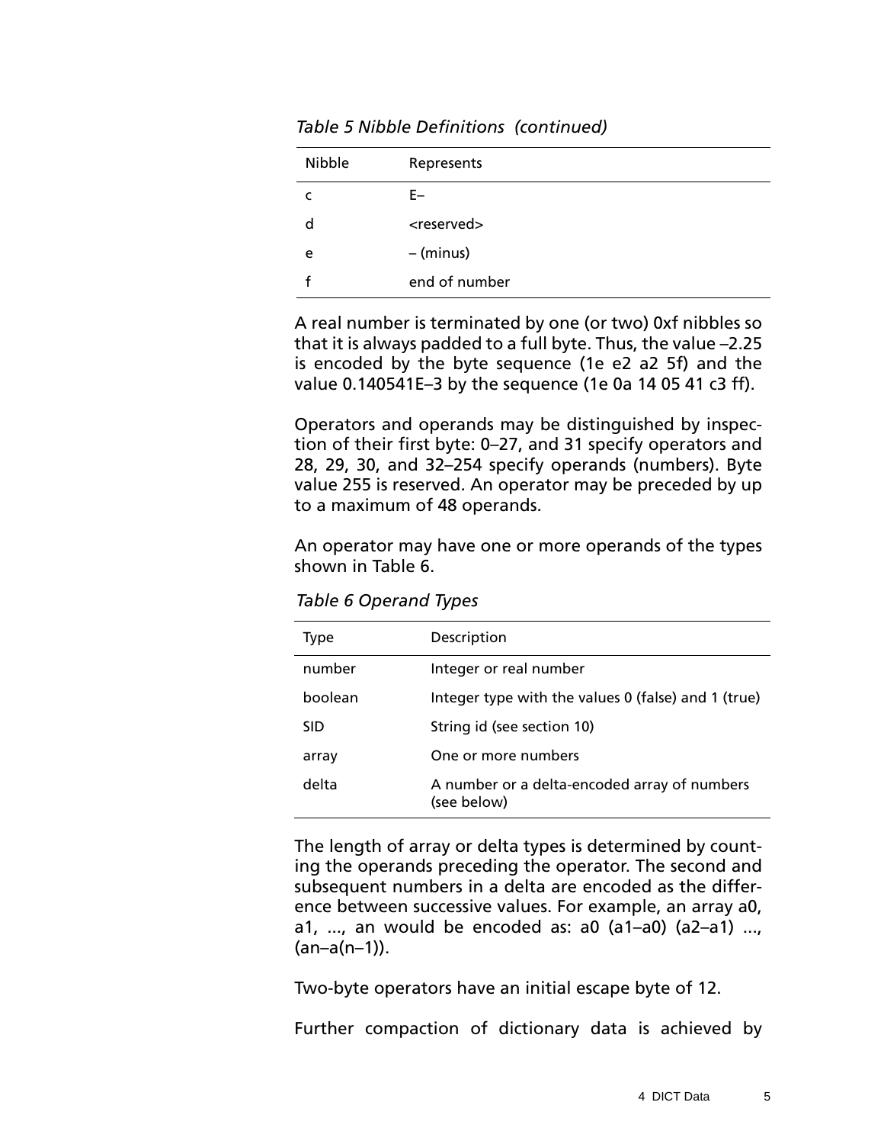| Nibble | Represents            |
|--------|-----------------------|
|        | F–                    |
| d      | <reserved></reserved> |
| e      | - (minus)             |
|        | end of number         |

*Table 5 Nibble Definitions (continued)*

A real number is terminated by one (or two) 0xf nibbles so that it is always padded to a full byte. Thus, the value –2.25 is encoded by the byte sequence (1e e2 a2 5f) and the value 0.140541E–3 by the sequence (1e 0a 14 05 41 c3 ff).

Operators and operands may be distinguished by inspection of their first byte: 0–27, and 31 specify operators and 28, 29, 30, and 32–254 specify operands (numbers). Byte value 255 is reserved. An operator may be preceded by up to a maximum of 48 operands.

An operator may have one or more operands of the types shown in Table 6.

*Table 6 Operand Types*

| Type       | Description                                                 |
|------------|-------------------------------------------------------------|
| number     | Integer or real number                                      |
| boolean    | Integer type with the values 0 (false) and 1 (true)         |
| <b>SID</b> | String id (see section 10)                                  |
| array      | One or more numbers                                         |
| delta      | A number or a delta-encoded array of numbers<br>(see below) |

The length of array or delta types is determined by counting the operands preceding the operator. The second and subsequent numbers in a delta are encoded as the difference between successive values. For example, an array a0, a1, ..., an would be encoded as:  $a0$  (a1- $a0$ ) (a2- $a1$ ) ...,  $(an-a(n-1))$ .

Two-byte operators have an initial escape byte of 12.

Further compaction of dictionary data is achieved by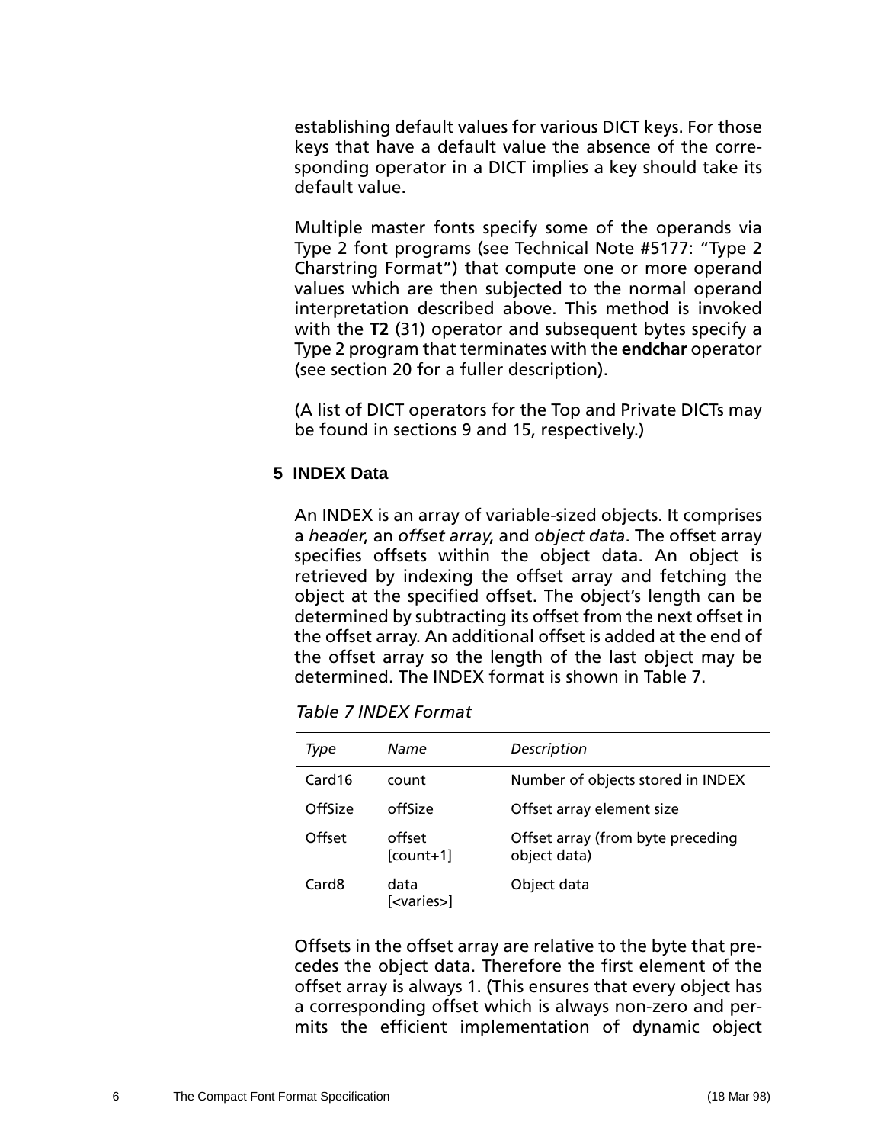<span id="page-9-0"></span>establishing default values for various DICT keys. For those keys that have a default value the absence of the corresponding operator in a DICT implies a key should take its default value.

Multiple master fonts specify some of the operands via Type 2 font programs (see Technical Note #5177: "Type 2 Charstring Format") that compute one or more operand values which are then subjected to the normal operand interpretation described above. This method is invoked with the **T2** (31) operator and subsequent bytes specify a Type 2 program that terminates with the **endchar** operator (see section 20 for a fuller description).

(A list of DICT operators for the Top and Private DICTs may be found in sections [9 a](#page-12-0)nd 1[5, r](#page-21-0)espectively.)

## **5 INDEX Data**

An INDEX is an array of variable-sized objects. It comprises a *header*, an *offset array*, and *object data*. The offset array specifies offsets within the object data. An object is retrieved by indexing the offset array and fetching the object at the specified offset. The object's length can be determined by subtracting its offset from the next offset in the offset array. An additional offset is added at the end of the offset array so the length of the last object may be determined. The INDEX format is shown in Table 7.

| Type    | Name                         | Description                                       |
|---------|------------------------------|---------------------------------------------------|
| Card16  | count                        | Number of objects stored in INDEX                 |
| OffSize | offSize                      | Offset array element size                         |
| Offset  | offset<br>$[count+1]$        | Offset array (from byte preceding<br>object data) |
| Card8   | data<br>[ <varies>]</varies> | Object data                                       |

*Table 7 INDEX Format*

Offsets in the offset array are relative to the byte that precedes the object data. Therefore the first element of the offset array is always 1. (This ensures that every object has a corresponding offset which is always non-zero and permits the efficient implementation of dynamic object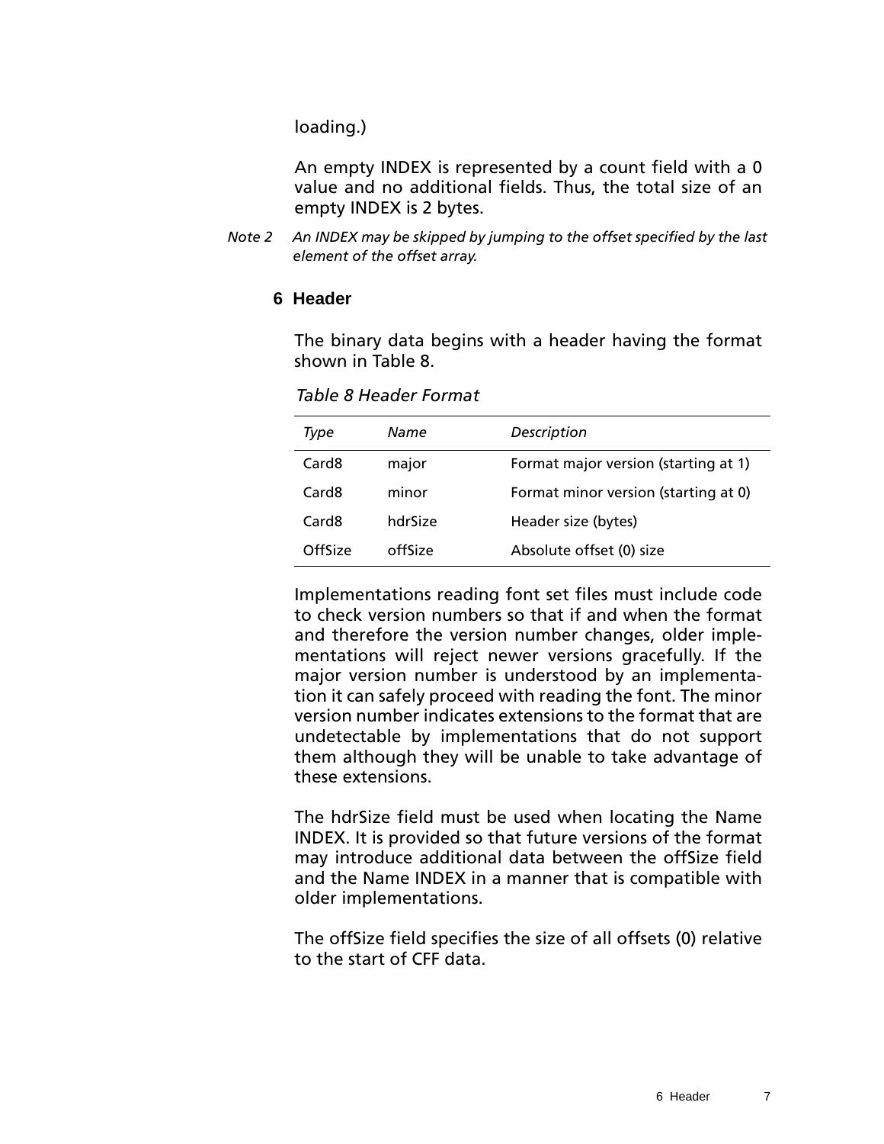<span id="page-10-0"></span>loading.)

An empty INDEX is represented by a count field with a 0 value and no additional fields. Thus, the total size of an empty INDEX is 2 bytes.

*Note 2 An INDEX may be skipped by jumping to the offset specified by the last element of the offset array.*

#### **6 Header**

The binary data begins with a header having the format shown in Table 8.

|  | <b>Table 8 Header Format</b> |  |
|--|------------------------------|--|
|--|------------------------------|--|

| Type              | Name    | Description                          |
|-------------------|---------|--------------------------------------|
| Card <sub>8</sub> | major   | Format major version (starting at 1) |
| Card8             | minor   | Format minor version (starting at 0) |
| Card8             | hdrSize | Header size (bytes)                  |
| OffSize           | offSize | Absolute offset (0) size             |

Implementations reading font set files must include code to check version numbers so that if and when the format and therefore the version number changes, older implementations will reject newer versions gracefully. If the major version number is understood by an implementation it can safely proceed with reading the font. The minor version number indicates extensions to the format that are undetectable by implementations that do not support them although they will be unable to take advantage of these extensions.

The hdrSize field must be used when locating the Name INDEX. It is provided so that future versions of the format may introduce additional data between the offSize field and the Name INDEX in a manner that is compatible with older implementations.

The offSize field specifies the size of all offsets (0) relative to the start of CFF data.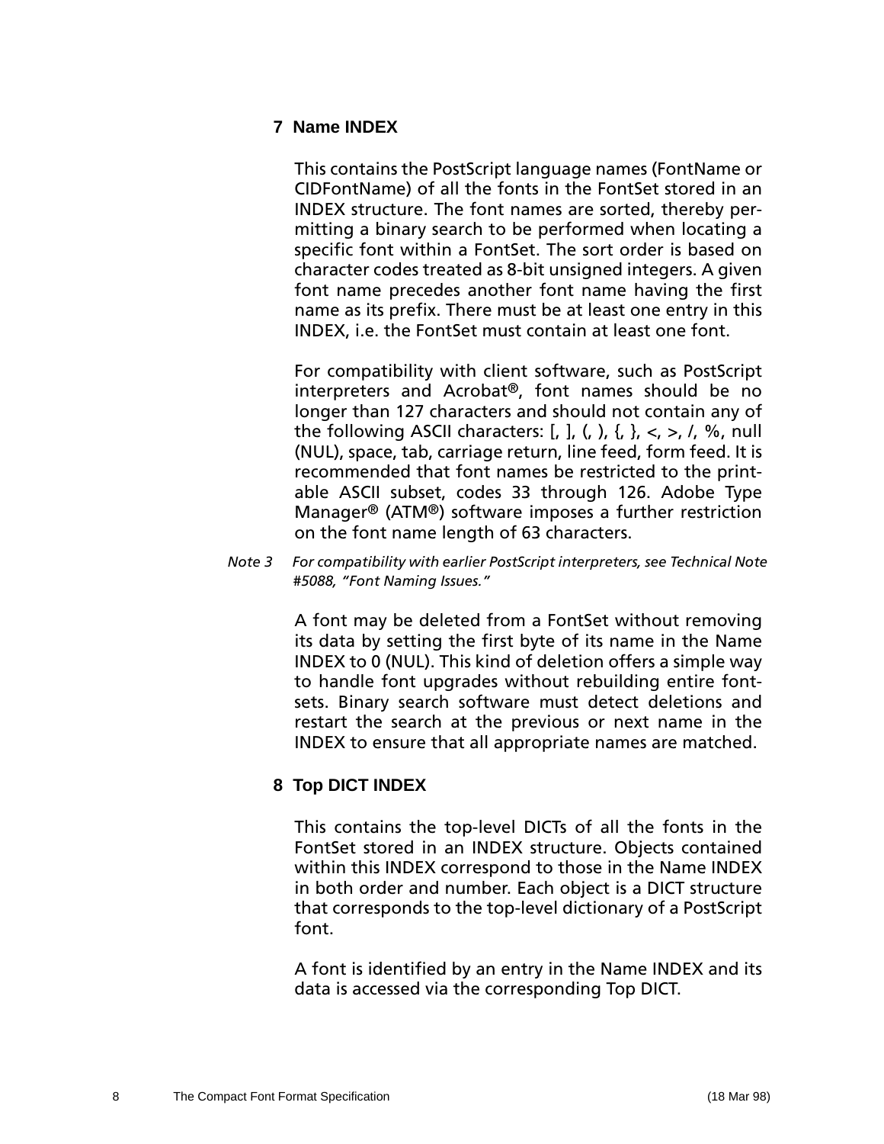### <span id="page-11-0"></span>**7 Name INDEX**

This contains the PostScript language names (FontName or CIDFontName) of all the fonts in the FontSet stored in an INDEX structure. The font names are sorted, thereby permitting a binary search to be performed when locating a specific font within a FontSet. The sort order is based on character codes treated as 8-bit unsigned integers. A given font name precedes another font name having the first name as its prefix. There must be at least one entry in this INDEX, i.e. the FontSet must contain at least one font.

For compatibility with client software, such as PostScript interpreters and Acrobat®, font names should be no longer than 127 characters and should not contain any of the following ASCII characters:  $[, ], (,) , \{, \}, <, >, /, \%$ , null (NUL), space, tab, carriage return, line feed, form feed. It is recommended that font names be restricted to the printable ASCII subset, codes 33 through 126. Adobe Type Manager® (ATM®) software imposes a further restriction on the font name length of 63 characters.

*Note 3 For compatibility with earlier PostScript interpreters, see Technical Note #5088, "Font Naming Issues."*

> A font may be deleted from a FontSet without removing its data by setting the first byte of its name in the Name INDEX to 0 (NUL). This kind of deletion offers a simple way to handle font upgrades without rebuilding entire fontsets. Binary search software must detect deletions and restart the search at the previous or next name in the INDEX to ensure that all appropriate names are matched.

## **8 Top DICT INDEX**

This contains the top-level DICTs of all the fonts in the FontSet stored in an INDEX structure. Objects contained within this INDEX correspond to those in the Name INDEX in both order and number. Each object is a DICT structure that corresponds to the top-level dictionary of a PostScript font.

A font is identified by an entry in the Name INDEX and its data is accessed via the corresponding Top DICT.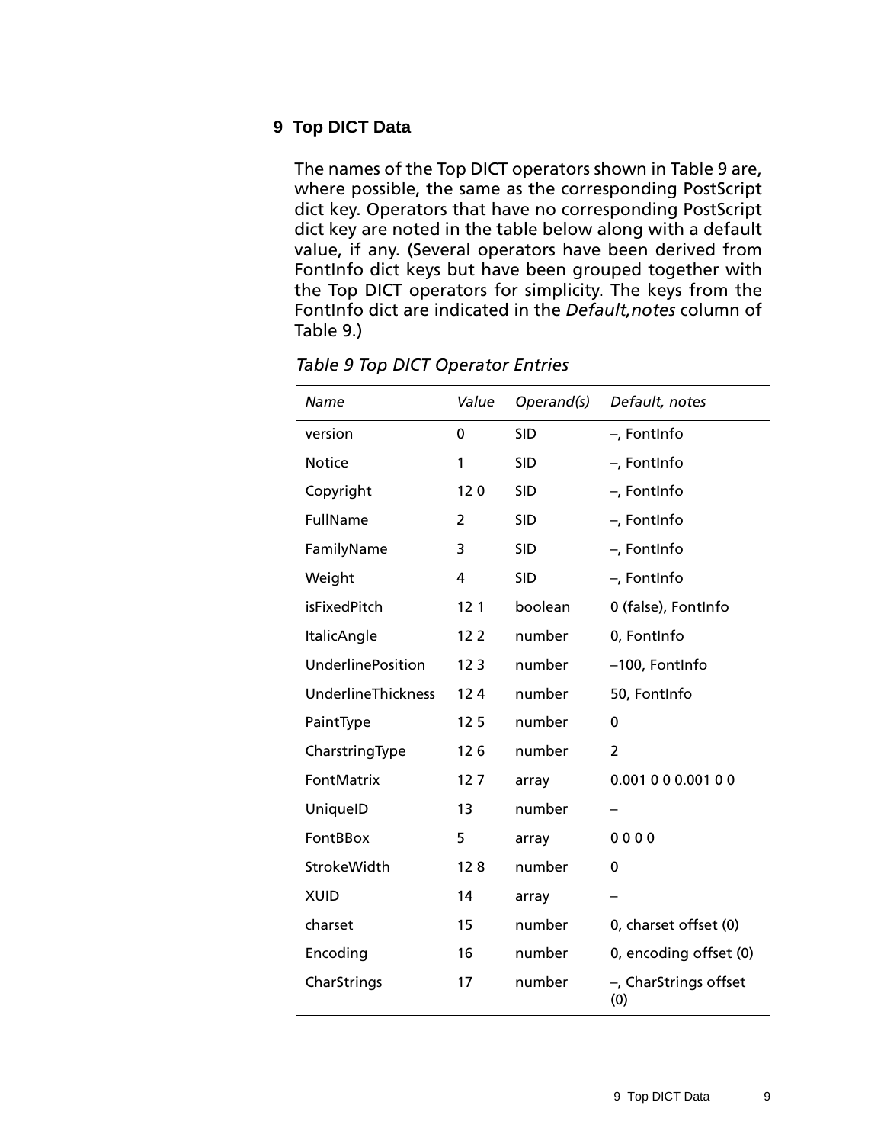#### <span id="page-12-0"></span>**9 Top DICT Data**

The names of the Top DICT operators shown in Table 9 are, where possible, the same as the corresponding PostScript dict key. Operators that have no corresponding PostScript dict key are noted in the table below along with a default value, if any. (Several operators have been derived from FontInfo dict keys but have been grouped together with the Top DICT operators for simplicity. The keys from the FontInfo dict are indicated in the *Default,notes* column of Table 9.)

| Name                     | Value           | Operand(s) | Default, notes               |
|--------------------------|-----------------|------------|------------------------------|
| version                  | 0               | <b>SID</b> | -, FontInfo                  |
| <b>Notice</b>            | 1               | <b>SID</b> | -, FontInfo                  |
| Copyright                | 120             | <b>SID</b> | -, FontInfo                  |
| <b>FullName</b>          | 2               | <b>SID</b> | -, FontInfo                  |
| FamilyName               | 3               | <b>SID</b> | -, FontInfo                  |
| Weight                   | 4               | <b>SID</b> | -, FontInfo                  |
| <b>isFixedPitch</b>      | 12 <sub>1</sub> | boolean    | 0 (false), FontInfo          |
| ItalicAngle              | 12 <sub>2</sub> | number     | 0, FontInfo                  |
| <b>UnderlinePosition</b> | 12 <sub>3</sub> | number     | -100, FontInfo               |
| UnderlineThickness       | 124             | number     | 50, FontInfo                 |
| PaintType                | 12 <sub>5</sub> | number     | 0                            |
| CharstringType           | 126             | number     | 2                            |
| FontMatrix               | 127             | array      | 0.001 0 0 0.001 0 0          |
| UniquelD                 | 13              | number     |                              |
| FontBBox                 | 5               | array      | 0000                         |
| StrokeWidth              | 128             | number     | 0                            |
| <b>XUID</b>              | 14              | array      |                              |
| charset                  | 15              | number     | 0, charset offset (0)        |
| Encoding                 | 16              | number     | 0, encoding offset (0)       |
| CharStrings              | 17              | number     | -, CharStrings offset<br>(0) |

*Table 9 Top DICT Operator Entries*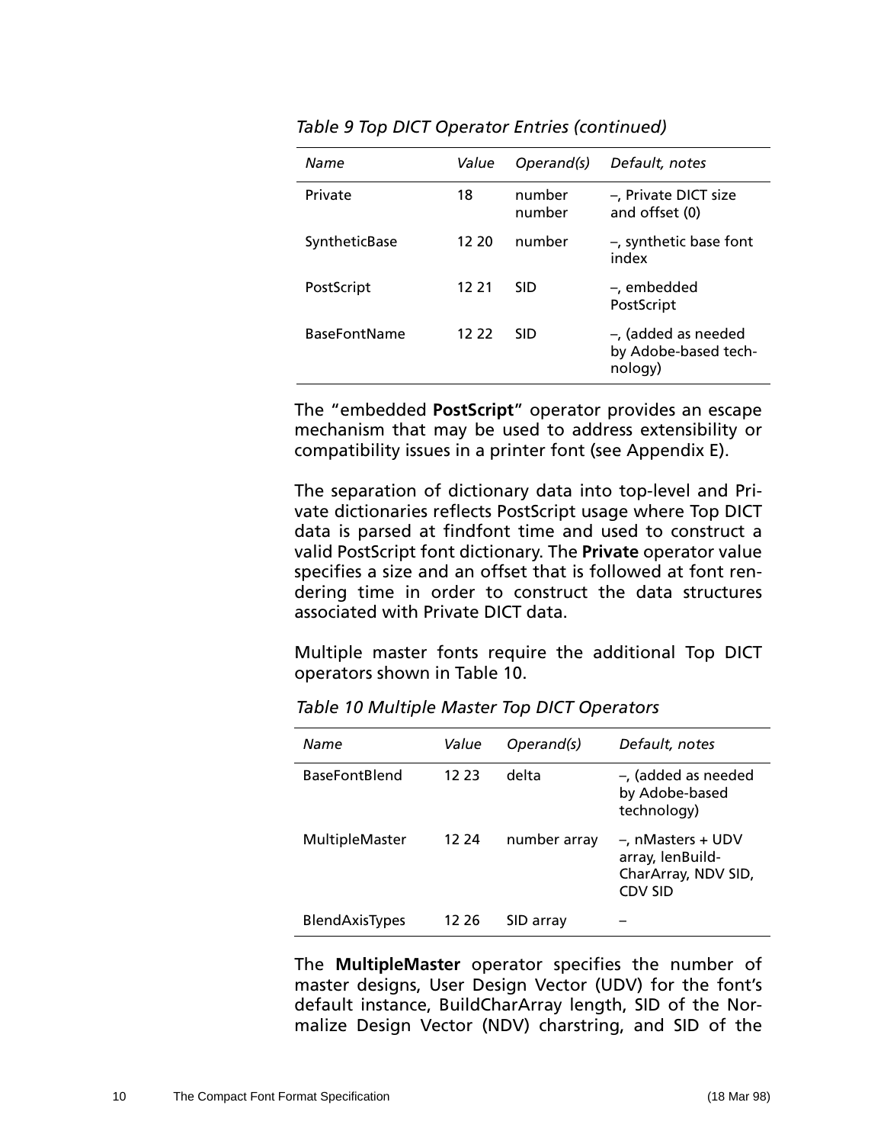| Name                | Value | Operand(s)       | Default, notes                                            |
|---------------------|-------|------------------|-----------------------------------------------------------|
| Private             | 18    | number<br>number | -, Private DICT size<br>and offset (0)                    |
| SyntheticBase       | 12 20 | number           | $-$ , synthetic base font<br>index                        |
| PostScript          | 12 21 | <b>SID</b>       | -, embedded<br>PostScript                                 |
| <b>BaseFontName</b> | 12 22 | SID              | $-$ , (added as needed<br>by Adobe-based tech-<br>nology) |

|  | Table 9 Top DICT Operator Entries (continued) |  |  |
|--|-----------------------------------------------|--|--|
|--|-----------------------------------------------|--|--|

The "embedded **PostScript**" operator provides an escape mechanism that may be used to address extensibility or compatibility issues in a printer font (see Appendix E).

The separation of dictionary data into top-level and Private dictionaries reflects PostScript usage where Top DICT data is parsed at findfont time and used to construct a valid PostScript font dictionary. The **Private** operator value specifies a size and an offset that is followed at font rendering time in order to construct the data structures associated with Private DICT data.

Multiple master fonts require the additional Top DICT operators shown in Table 10.

| Name                  | Value | Operand(s)   | Default, notes                                                                    |
|-----------------------|-------|--------------|-----------------------------------------------------------------------------------|
| <b>BaseFontBlend</b>  | 12.23 | delta        | $-$ , (added as needed<br>by Adobe-based<br>technology)                           |
| MultipleMaster        | 12 24 | number array | $-$ , nMasters + UDV<br>array, lenBuild-<br>CharArray, NDV SID,<br><b>CDV SID</b> |
| <b>BlendAxisTypes</b> | 12 26 | SID array    |                                                                                   |

*Table 10 Multiple Master Top DICT Operators*

The **MultipleMaster** operator specifies the number of master designs, User Design Vector (UDV) for the font's default instance, BuildCharArray length, SID of the Normalize Design Vector (NDV) charstring, and SID of the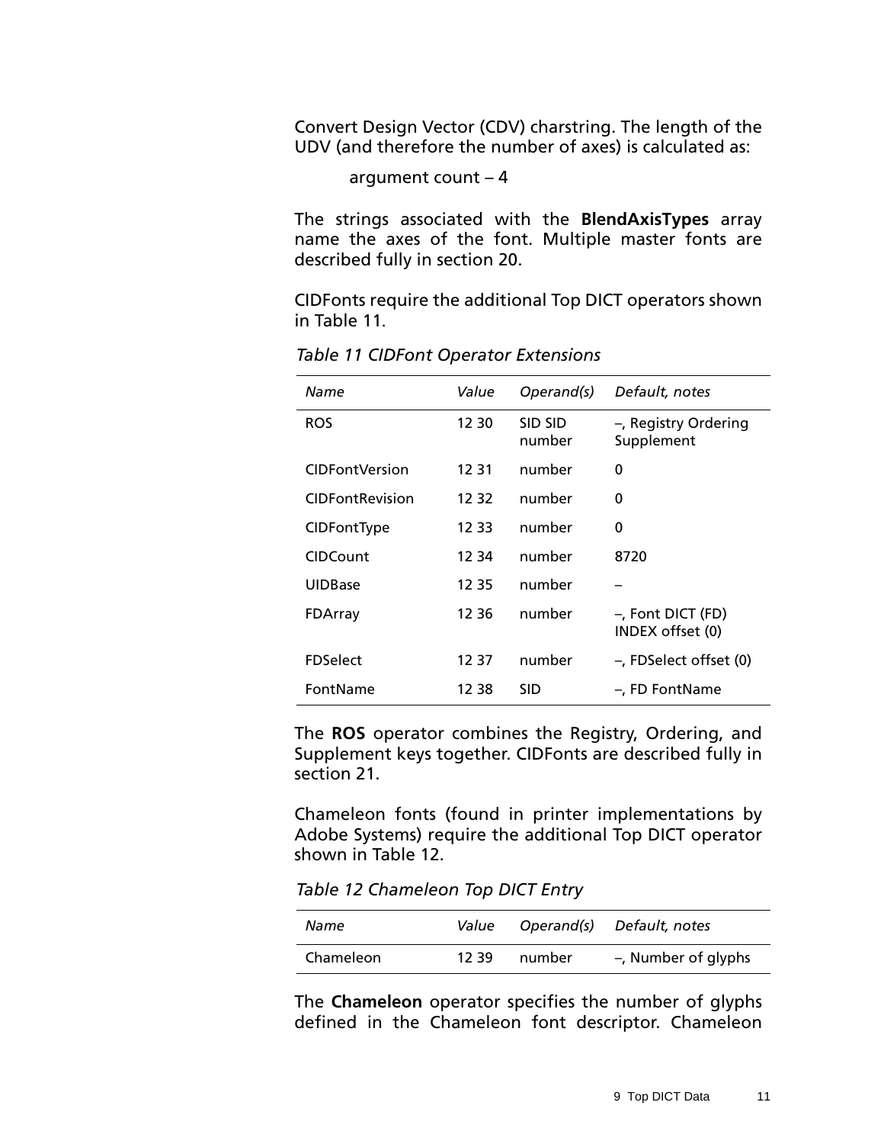Convert Design Vector (CDV) charstring. The length of the UDV (and therefore the number of axes) is calculated as:

```
argument count – 4
```
The strings associated with the **BlendAxisTypes** array name the axes of the font. Multiple master fonts are described fully in [section 20.](#page-26-0)

CIDFonts require the additional Top DICT operators shown in Table 11.

| Name                   | Value | Operand(s)        | Default, notes                        |
|------------------------|-------|-------------------|---------------------------------------|
| <b>ROS</b>             | 12 30 | SID SID<br>number | -, Registry Ordering<br>Supplement    |
| <b>CIDFontVersion</b>  | 12 31 | number            | $\Omega$                              |
| <b>CIDFontRevision</b> | 12 32 | number            | 0                                     |
| CIDFontType            | 12 33 | number            | 0                                     |
| <b>CIDCount</b>        | 12 34 | number            | 8720                                  |
| <b>UIDBase</b>         | 12 35 | number            |                                       |
| FDArray                | 12 36 | number            | -, Font DICT (FD)<br>INDEX offset (0) |
| <b>FDSelect</b>        | 12 37 | number            | -, FDSelect offset (0)                |
| FontName               | 12 38 | SID               | -, FD FontName                        |

*Table 11 CIDFont Operator Extensions*

The **ROS** operator combines the Registry, Ordering, and Supplement keys together. CIDFonts are described fully in [section 21.](#page-28-0)

Chameleon fonts (found in printer implementations by Adobe Systems) require the additional Top DICT operator shown in Table 12.

*Table 12 Chameleon Top DICT Entry*

| Name      | Value |        | Operand(s) Default, notes |
|-----------|-------|--------|---------------------------|
| Chameleon | 12.39 | number | -, Number of glyphs       |

The **Chameleon** operator specifies the number of glyphs defined in the Chameleon font descriptor. Chameleon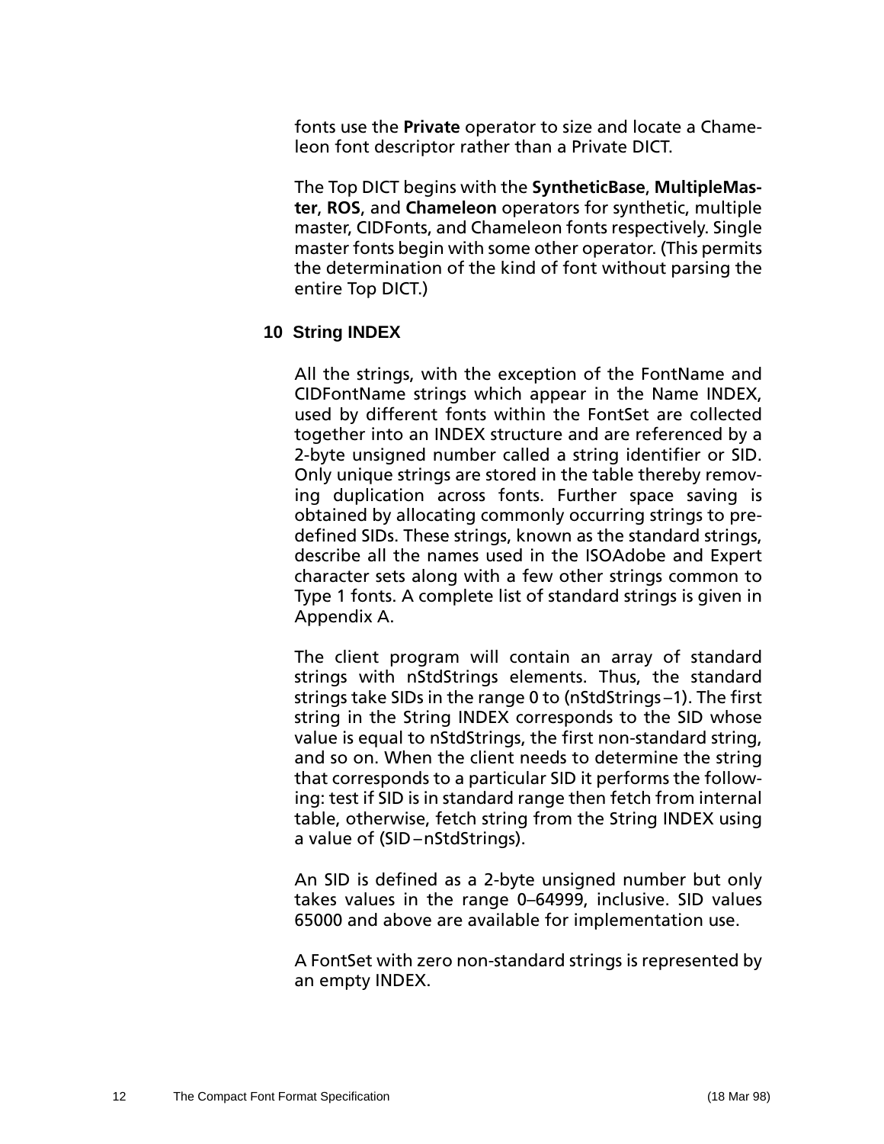<span id="page-15-0"></span>fonts use the **Private** operator to size and locate a Chameleon font descriptor rather than a Private DICT.

The Top DICT begins with the **SyntheticBase**, **MultipleMaster**, **ROS**, and **Chameleon** operators for synthetic, multiple master, CIDFonts, and Chameleon fonts respectively. Single master fonts begin with some other operator. (This permits the determination of the kind of font without parsing the entire Top DICT.)

## **10 String INDEX**

All the strings, with the exception of the FontName and CIDFontName strings which appear in the Name INDEX, used by different fonts within the FontSet are collected together into an INDEX structure and are referenced by a 2-byte unsigned number called a string identifier or SID. Only unique strings are stored in the table thereby removing duplication across fonts. Further space saving is obtained by allocating commonly occurring strings to predefined SIDs. These strings, known as the standard strings, describe all the names used in the ISOAdobe and Expert character sets along with a few other strings common to Type 1 fonts. A complete list of standard strings is given in Appendix A.

The client program will contain an array of standard strings with nStdStrings elements. Thus, the standard strings take SIDs in the range 0 to (nStdStrings –1). The first string in the String INDEX corresponds to the SID whose value is equal to nStdStrings, the first non-standard string, and so on. When the client needs to determine the string that corresponds to a particular SID it performs the following: test if SID is in standard range then fetch from internal table, otherwise, fetch string from the String INDEX using a value of (SID –nStdStrings).

An SID is defined as a 2-byte unsigned number but only takes values in the range 0–64999, inclusive. SID values 65000 and above are available for implementation use.

A FontSet with zero non-standard strings is represented by an empty INDEX.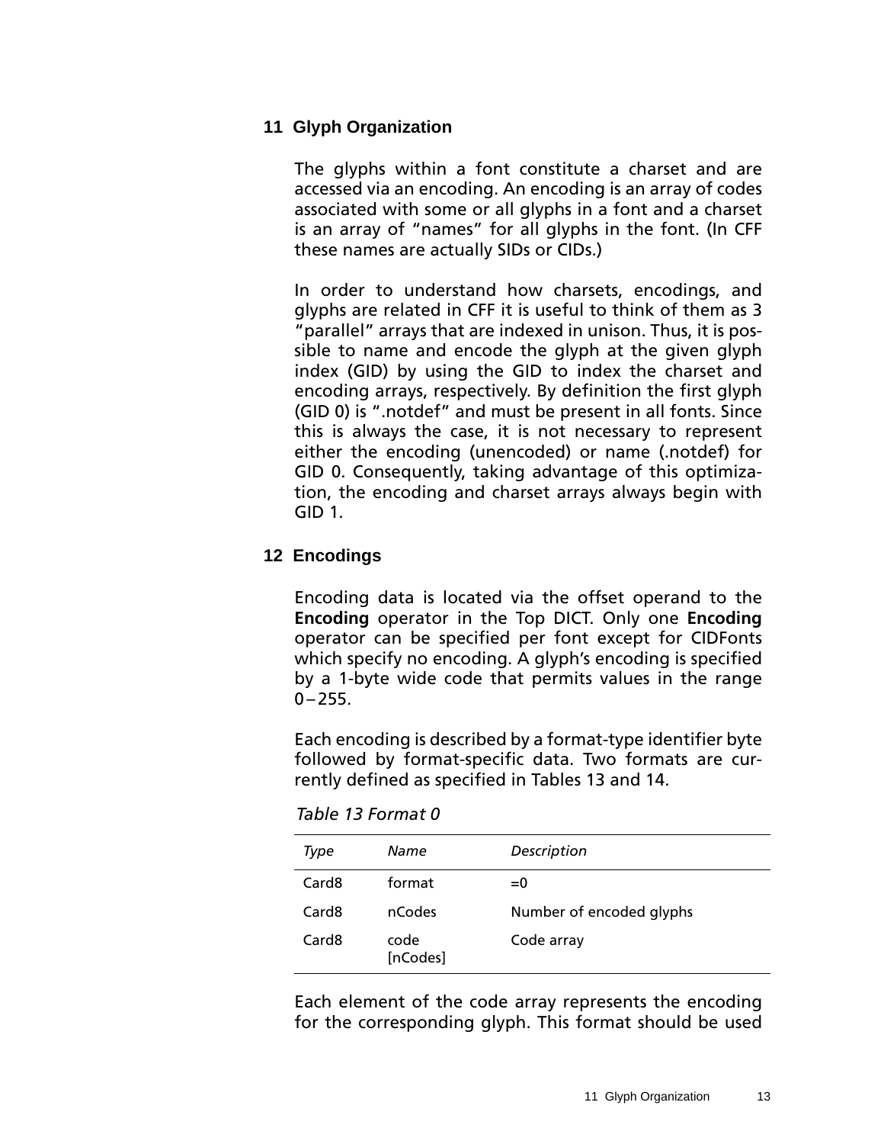### <span id="page-16-0"></span>**11 Glyph Organization**

The glyphs within a font constitute a charset and are accessed via an encoding. An encoding is an array of codes associated with some or all glyphs in a font and a charset is an array of "names" for all glyphs in the font. (In CFF these names are actually SIDs or CIDs.)

In order to understand how charsets, encodings, and glyphs are related in CFF it is useful to think of them as 3 "parallel" arrays that are indexed in unison. Thus, it is possible to name and encode the glyph at the given glyph index (GID) by using the GID to index the charset and encoding arrays, respectively. By definition the first glyph (GID 0) is ".notdef" and must be present in all fonts. Since this is always the case, it is not necessary to represent either the encoding (unencoded) or name (.notdef) for GID 0. Consequently, taking advantage of this optimization, the encoding and charset arrays always begin with GID 1.

## **12 Encodings**

Encoding data is located via the offset operand to the **Encoding** operator in the Top DICT. Only one **Encoding** operator can be specified per font except for CIDFonts which specify no encoding. A glyph's encoding is specified by a 1-byte wide code that permits values in the range  $0 - 255$ .

Each encoding is described by a format-type identifier byte followed by format-specific data. Two formats are currently defined as specified in Tables 13 and 1[4.](#page-17-0)

*Table 13 Format 0*

| Type              | Name             | Description              |
|-------------------|------------------|--------------------------|
| Card <sub>8</sub> | format           | $= 0$                    |
| Card8             | nCodes           | Number of encoded glyphs |
| Card <sub>8</sub> | code<br>[nCodes] | Code array               |

Each element of the code array represents the encoding for the corresponding glyph. This format should be used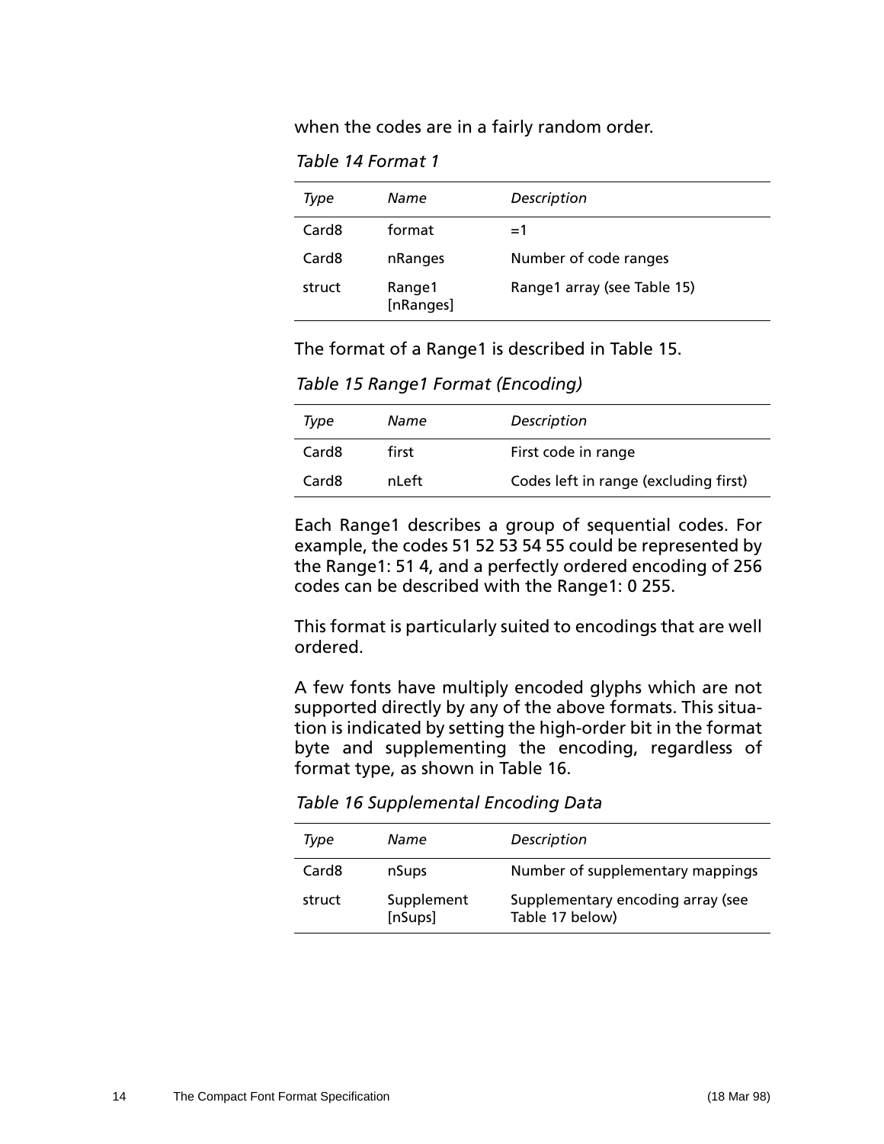<span id="page-17-0"></span>when the codes are in a fairly random order.

*Table 14 Format 1*

| Type   | Name                | Description                 |
|--------|---------------------|-----------------------------|
| Card8  | format              | $=1$                        |
| Card8  | nRanges             | Number of code ranges       |
| struct | Range1<br>[nRanges] | Range1 array (see Table 15) |

The format of a Range1 is described in Table 15.

*Table 15 Range1 Format (Encoding)*

| Type              | Name  | Description                           |
|-------------------|-------|---------------------------------------|
| Card <sub>8</sub> | first | First code in range                   |
| Card <sub>8</sub> | nLeft | Codes left in range (excluding first) |

Each Range1 describes a group of sequential codes. For example, the codes 51 52 53 54 55 could be represented by the Range1: 51 4, and a perfectly ordered encoding of 256 codes can be described with the Range1: 0 255.

This format is particularly suited to encodings that are well ordered.

A few fonts have multiply encoded glyphs which are not supported directly by any of the above formats. This situation is indicated by setting the high-order bit in the format byte and supplementing the encoding, regardless of format type, as shown in Table 16.

*Table 16 Supplemental Encoding Data*

| Type              | Name                  | Description                                          |
|-------------------|-----------------------|------------------------------------------------------|
| Card <sub>8</sub> | nSups                 | Number of supplementary mappings                     |
| struct            | Supplement<br>[nSups] | Supplementary encoding array (see<br>Table 17 below) |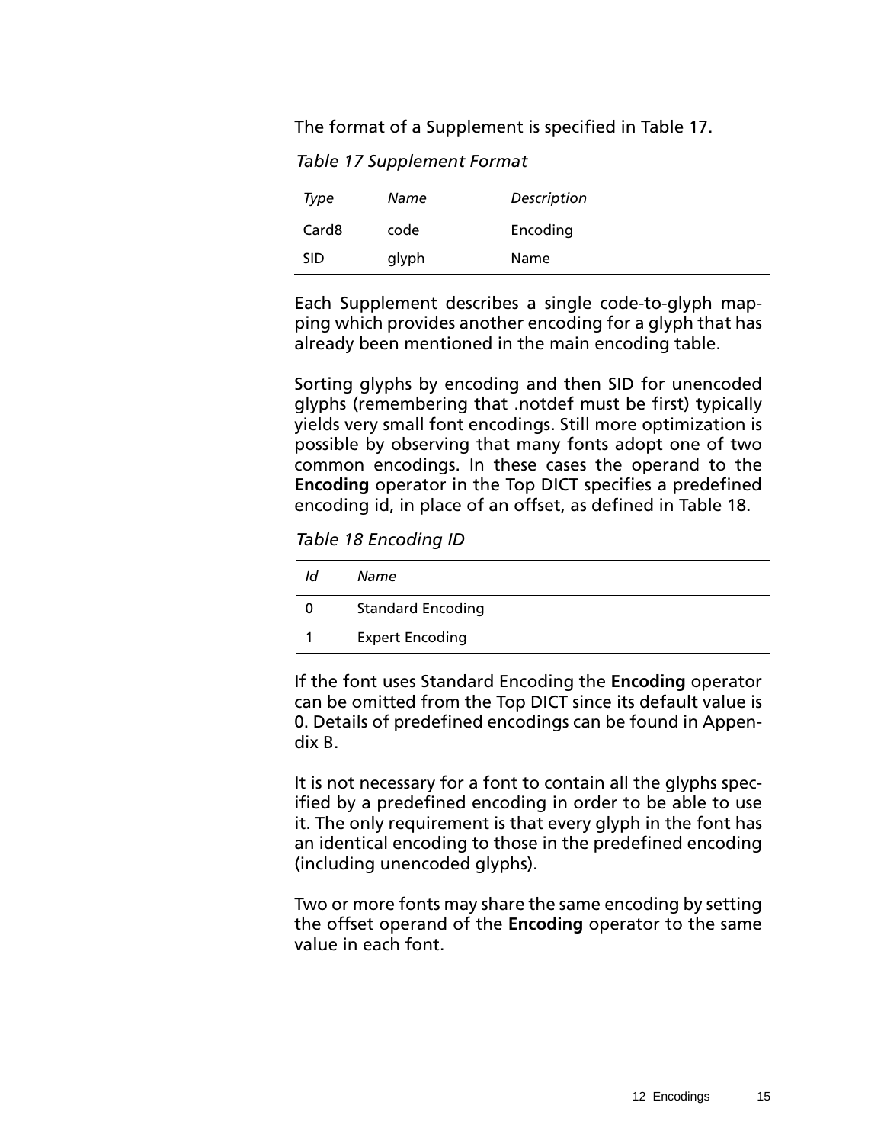<span id="page-18-0"></span>The format of a Supplement is specified in Table 17.

*Table 17 Supplement Format*

| Type              | Name  | Description |
|-------------------|-------|-------------|
| Card <sub>8</sub> | code  | Encoding    |
| <b>SID</b>        | glyph | Name        |

Each Supplement describes a single code-to-glyph mapping which provides another encoding for a glyph that has already been mentioned in the main encoding table.

Sorting glyphs by encoding and then SID for unencoded glyphs (remembering that .notdef must be first) typically yields very small font encodings. Still more optimization is possible by observing that many fonts adopt one of two common encodings. In these cases the operand to the **Encoding** operator in the Top DICT specifies a predefined encoding id, in place of an offset, as defined in Table 18.

*Table 18 Encoding ID*

| Id | Name                     |
|----|--------------------------|
|    | <b>Standard Encoding</b> |
|    | <b>Expert Encoding</b>   |

If the font uses Standard Encoding the **Encoding** operator can be omitted from the Top DICT since its default value is 0. Details of predefined encodings can be found in Appendix B.

It is not necessary for a font to contain all the glyphs specified by a predefined encoding in order to be able to use it. The only requirement is that every glyph in the font has an identical encoding to those in the predefined encoding (including unencoded glyphs).

Two or more fonts may share the same encoding by setting the offset operand of the **Encoding** operator to the same value in each font.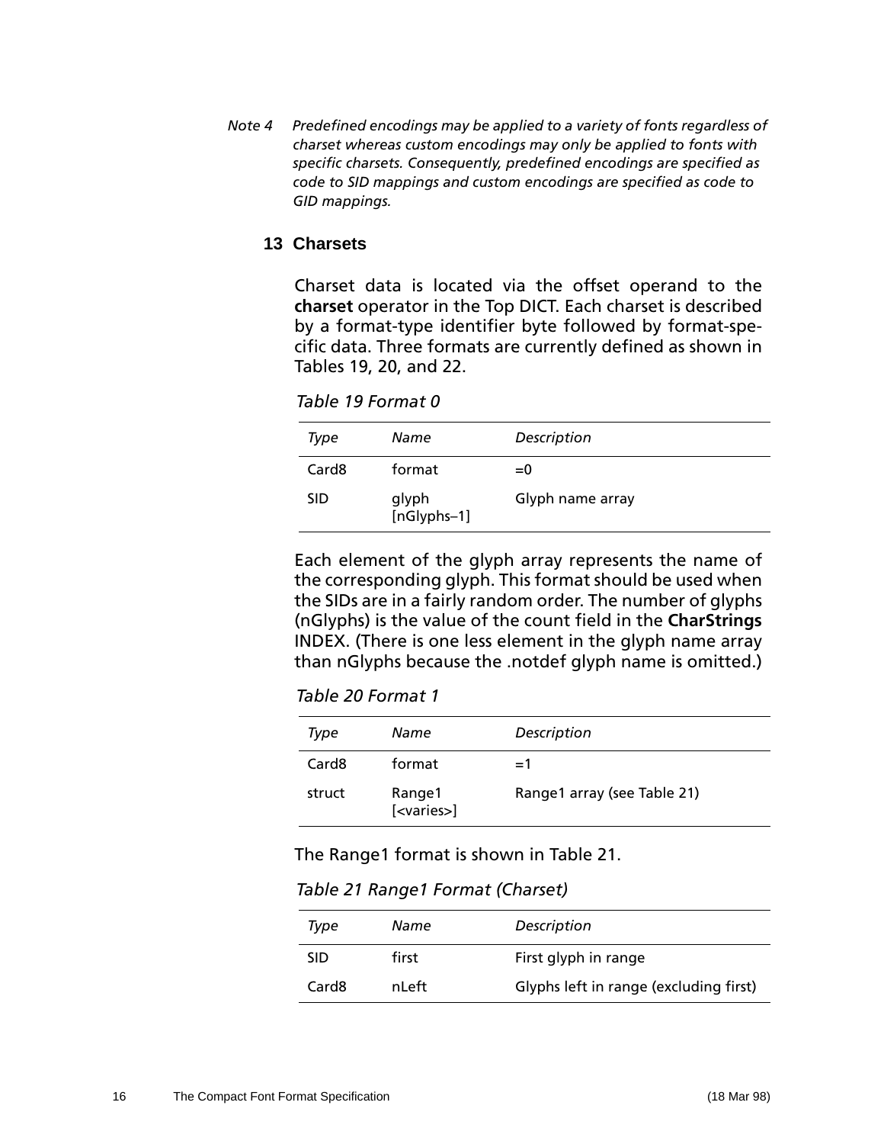<span id="page-19-0"></span>*Note 4 Predefined encodings may be applied to a variety of fonts regardless of charset whereas custom encodings may only be applied to fonts with specific charsets. Consequently, predefined encodings are specified as code to SID mappings and custom encodings are specified as code to GID mappings.*

#### **13 Charsets**

Charset data is located via the offset operand to the **charset** operator in the Top DICT. Each charset is described by a format-type identifier byte followed by format-specific data. Three formats are currently defined as shown in Tables 19, 20, and [22.](#page-20-0) 

*Table 19 Format 0*

| Type              | Name                 | Description      |
|-------------------|----------------------|------------------|
| Card <sub>8</sub> | format               | $= 0$            |
| <b>SID</b>        | glyph<br>[nGlyphs-1] | Glyph name array |

Each element of the glyph array represents the name of the corresponding glyph. This format should be used when the SIDs are in a fairly random order. The number of glyphs (nGlyphs) is the value of the count field in the **CharStrings** INDEX. (There is one less element in the glyph name array than nGlyphs because the .notdef glyph name is omitted.)

*Table 20 Format 1*

| Type              | Name                           | Description                 |
|-------------------|--------------------------------|-----------------------------|
| Card <sub>8</sub> | format                         | $=1$                        |
| struct            | Range1<br>[ <varies>]</varies> | Range1 array (see Table 21) |

The Range1 format is shown in Table 21.

*Table 21 Range1 Format (Charset)*

| Type              | Name  | Description                            |
|-------------------|-------|----------------------------------------|
| <b>SID</b>        | first | First glyph in range                   |
| Card <sub>8</sub> | nLeft | Glyphs left in range (excluding first) |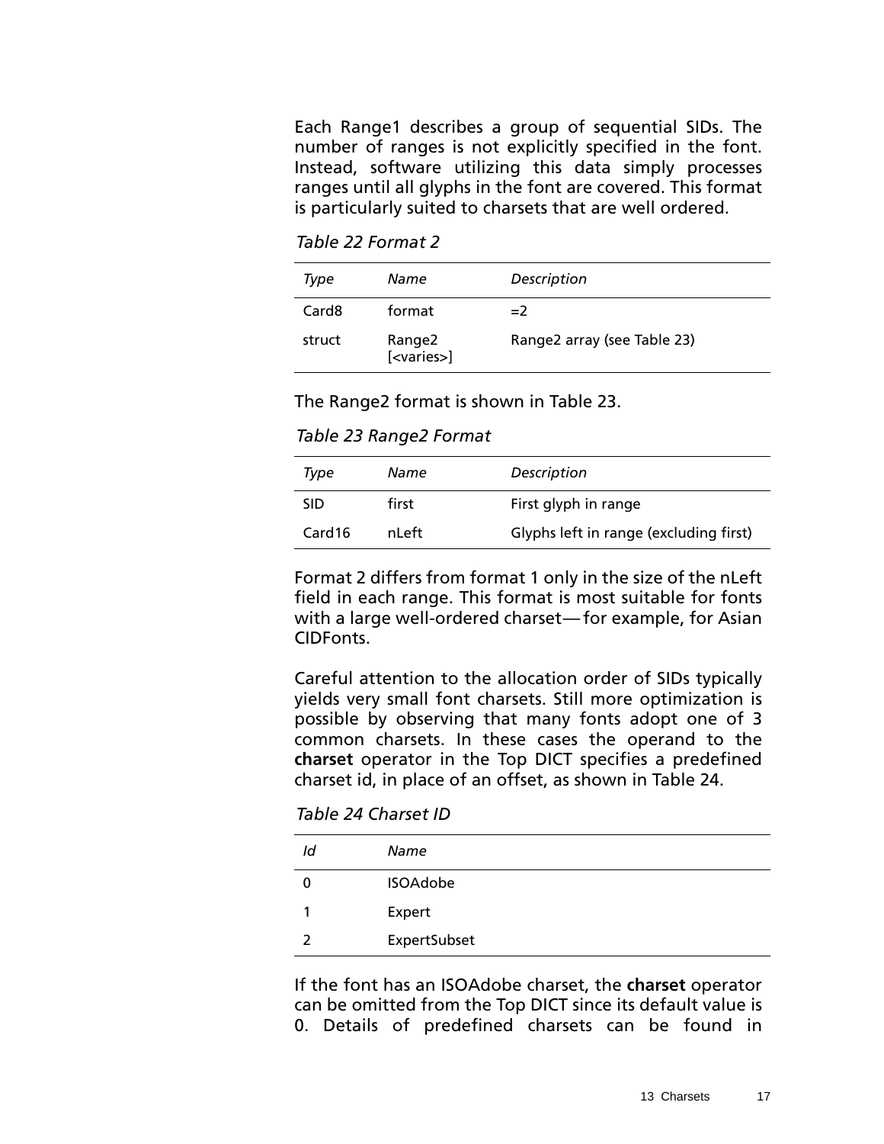<span id="page-20-0"></span>Each Range1 describes a group of sequential SIDs. The number of ranges is not explicitly specified in the font. Instead, software utilizing this data simply processes ranges until all glyphs in the font are covered. This format is particularly suited to charsets that are well ordered.

*Table 22 Format 2*

| Type              | Name                           | Description                 |
|-------------------|--------------------------------|-----------------------------|
| Card <sub>8</sub> | format                         | $=2$                        |
| struct            | Range2<br>[ <varies>]</varies> | Range2 array (see Table 23) |

The Range2 format is shown in Table 23.

*Table 23 Range2 Format*

| Type               | Name  | Description                            |
|--------------------|-------|----------------------------------------|
| <b>SID</b>         | first | First glyph in range                   |
| Card <sub>16</sub> | nLeft | Glyphs left in range (excluding first) |

Format 2 differs from format 1 only in the size of the nLeft field in each range. This format is most suitable for fonts with a large well-ordered charset—for example, for Asian CIDFonts.

Careful attention to the allocation order of SIDs typically yields very small font charsets. Still more optimization is possible by observing that many fonts adopt one of 3 common charsets. In these cases the operand to the **charset** operator in the Top DICT specifies a predefined charset id, in place of an offset, as shown in Table 24.

*Table 24 Charset ID*

| ld | Name            |
|----|-----------------|
| O  | <b>ISOAdobe</b> |
|    | Expert          |
| 2  | ExpertSubset    |

If the font has an ISOAdobe charset, the **charset** operator can be omitted from the Top DICT since its default value is 0. Details of predefined charsets can be found in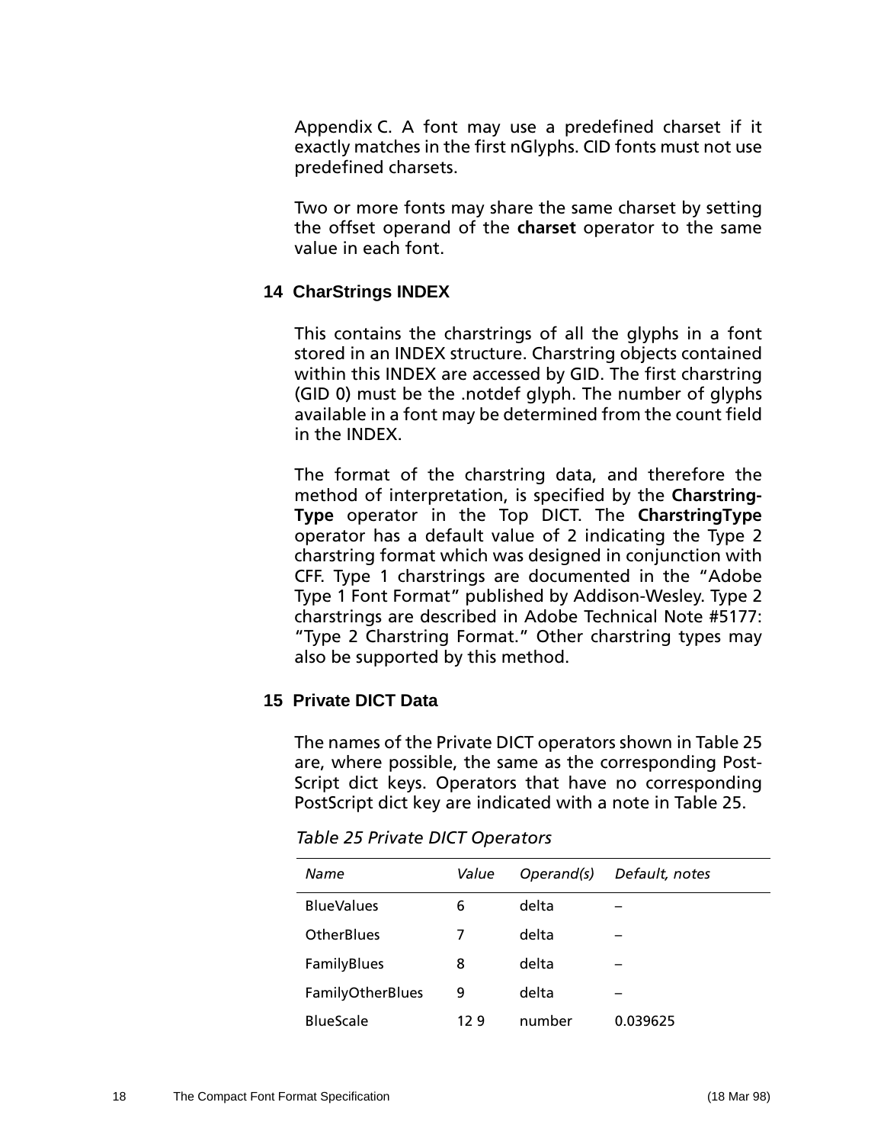<span id="page-21-0"></span>Appendix C. A font may use a predefined charset if it exactly matches in the first nGlyphs. CID fonts must not use predefined charsets.

Two or more fonts may share the same charset by setting the offset operand of the **charset** operator to the same value in each font.

## **14 CharStrings INDEX**

This contains the charstrings of all the glyphs in a font stored in an INDEX structure. Charstring objects contained within this INDEX are accessed by GID. The first charstring (GID 0) must be the .notdef glyph. The number of glyphs available in a font may be determined from the count field in the INDEX.

The format of the charstring data, and therefore the method of interpretation, is specified by the **Charstring-Type** operator in the Top DICT. The **CharstringType** operator has a default value of 2 indicating the Type 2 charstring format which was designed in conjunction with CFF. Type 1 charstrings are documented in the "Adobe Type 1 Font Format" published by Addison-Wesley. Type 2 charstrings are described in Adobe Technical Note #5177: "Type 2 Charstring Format." Other charstring types may also be supported by this method.

## **15 Private DICT Data**

The names of the Private DICT operators shown in Table 25 are, where possible, the same as the corresponding Post-Script dict keys. Operators that have no corresponding PostScript dict key are indicated with a note in Table 25.

| Name              | Value | Operand(s) | Default, notes |
|-------------------|-------|------------|----------------|
| <b>BlueValues</b> | 6     | delta      |                |
| <b>OtherBlues</b> | 7     | delta      |                |
| FamilyBlues       | 8     | delta      |                |
| FamilyOtherBlues  | 9     | delta      |                |
| <b>BlueScale</b>  | 129   | number     | 0.039625       |

*Table 25 Private DICT Operators*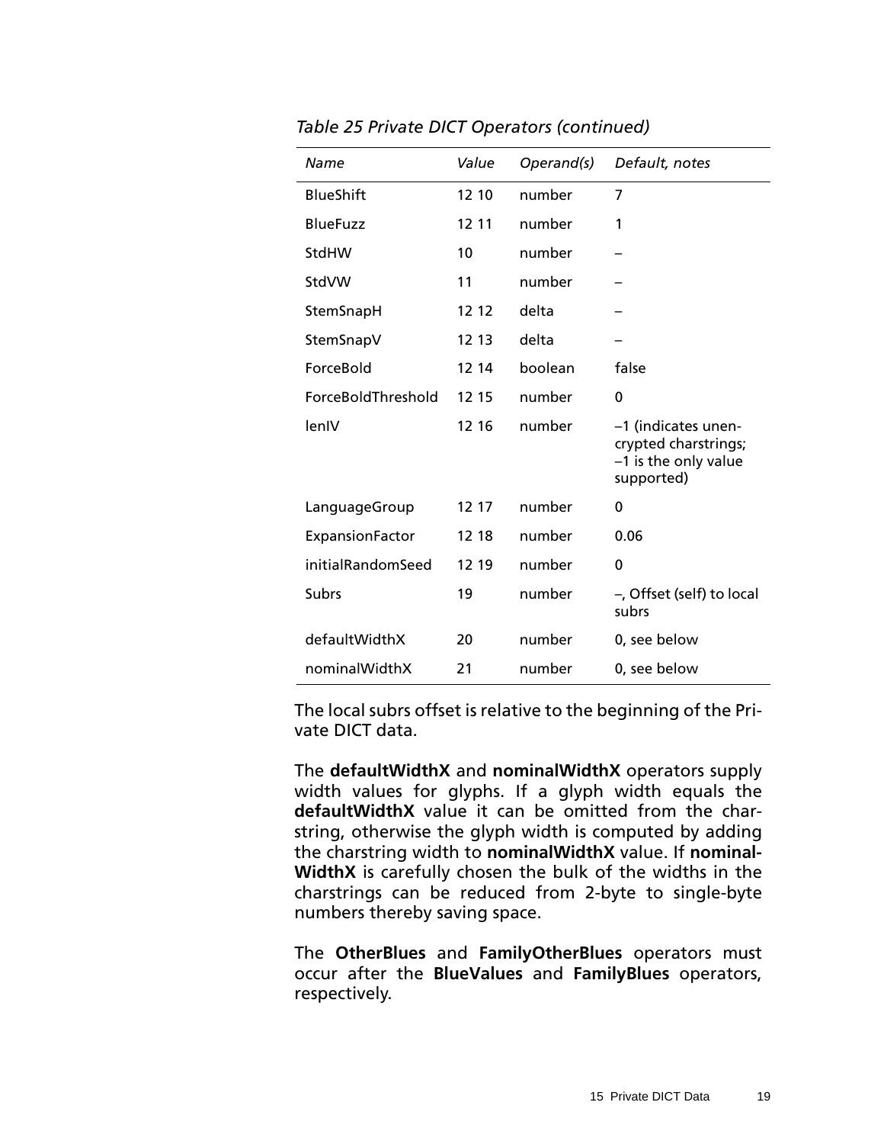| Name               | Value | Operand(s) | Default, notes                                                                    |
|--------------------|-------|------------|-----------------------------------------------------------------------------------|
| <b>BlueShift</b>   | 12 10 | number     | 7                                                                                 |
| <b>BlueFuzz</b>    | 12 11 | number     | 1                                                                                 |
| StdHW              | 10    | number     |                                                                                   |
| StdVW              | 11    | number     |                                                                                   |
| StemSnapH          | 12 12 | delta      |                                                                                   |
| StemSnapV          | 12 13 | delta      |                                                                                   |
| ForceBold          | 12 14 | boolean    | false                                                                             |
| ForceBoldThreshold | 12 15 | number     | $\Omega$                                                                          |
| lenIV              | 12 16 | number     | -1 (indicates unen-<br>crypted charstrings;<br>-1 is the only value<br>supported) |
| LanguageGroup      | 12 17 | number     | 0                                                                                 |
| ExpansionFactor    | 12 18 | number     | 0.06                                                                              |
| initialRandomSeed  | 12 19 | number     | 0                                                                                 |
| <b>Subrs</b>       | 19    | number     | -, Offset (self) to local<br>subrs                                                |
| defaultWidthX      | 20    | number     | 0, see below                                                                      |
| nominalWidthX      | 21    | number     | 0, see below                                                                      |

*Table 25 Private DICT Operators (continued)*

The local subrs offset is relative to the beginning of the Private DICT data.

The **defaultWidthX** and **nominalWidthX** operators supply width values for glyphs. If a glyph width equals the **defaultWidthX** value it can be omitted from the charstring, otherwise the glyph width is computed by adding the charstring width to **nominalWidthX** value. If **nominal-WidthX** is carefully chosen the bulk of the widths in the charstrings can be reduced from 2-byte to single-byte numbers thereby saving space.

The **OtherBlues** and **FamilyOtherBlues** operators must occur after the **BlueValues** and **FamilyBlues** operators, respectively.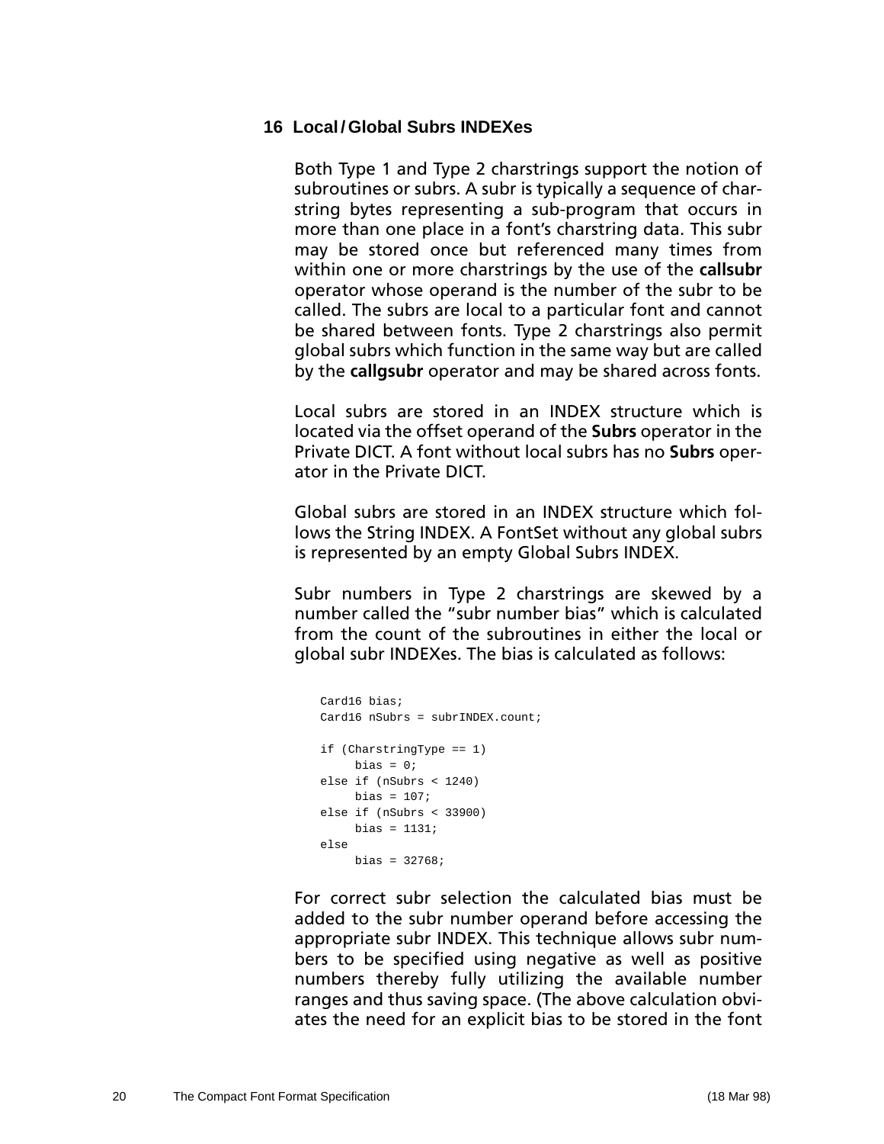#### <span id="page-23-0"></span>**16 Local / Global Subrs INDEXes**

Both Type 1 and Type 2 charstrings support the notion of subroutines or subrs. A subr is typically a sequence of charstring bytes representing a sub-program that occurs in more than one place in a font's charstring data. This subr may be stored once but referenced many times from within one or more charstrings by the use of the **callsubr** operator whose operand is the number of the subr to be called. The subrs are local to a particular font and cannot be shared between fonts. Type 2 charstrings also permit global subrs which function in the same way but are called by the **callgsubr** operator and may be shared across fonts.

Local subrs are stored in an INDEX structure which is located via the offset operand of the **Subrs** operator in the Private DICT. A font without local subrs has no **Subrs** operator in the Private DICT.

Global subrs are stored in an INDEX structure which follows the String INDEX. A FontSet without any global subrs is represented by an empty Global Subrs INDEX.

Subr numbers in Type 2 charstrings are skewed by a number called the "subr number bias" which is calculated from the count of the subroutines in either the local or global subr INDEXes. The bias is calculated as follows:

```
Card16 bias;
Card16 nSubrs = subrINDEX.count;
if (CharstringType == 1)
    bias = 0;else if (nSubrs < 1240)
   bias = 107;
else if (nSubrs < 33900)
    bias = 1131;
else
    bias = 32768;
```
For correct subr selection the calculated bias must be added to the subr number operand before accessing the appropriate subr INDEX. This technique allows subr numbers to be specified using negative as well as positive numbers thereby fully utilizing the available number ranges and thus saving space. (The above calculation obviates the need for an explicit bias to be stored in the font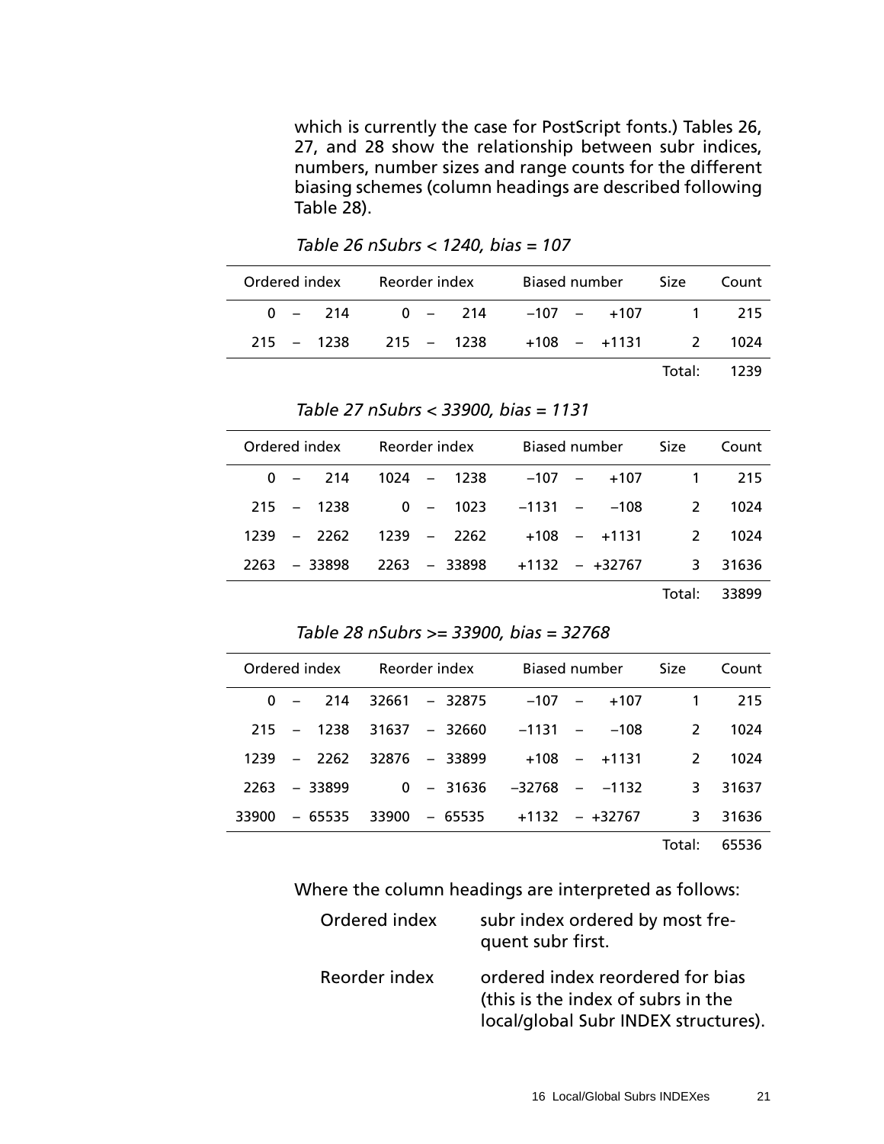which is currently the case for PostScript fonts.) Tables 26, 27, and 28 show the relationship between subr indices, numbers, number sizes and range counts for the different biasing schemes (column headings are described following Table 28).

Ordered index Reorder index Biased number Size Count 0 – 214 0 – 214 –107 – +107 1 215 215 – 1238 215 – 1238 +108 – +1131 2 1024 Total: 1239

*Table 26 nSubrs < 1240, bias = 107* 

|  | Table 27 nSubrs < 33900, bias = 1131 |  |  |  |
|--|--------------------------------------|--|--|--|
|--|--------------------------------------|--|--|--|

*Table 28 nSubrs >= 33900, bias = 32768*

|  |                | Ordered index Reorder index |  |                               | Biased number |        | Size Count |
|--|----------------|-----------------------------|--|-------------------------------|---------------|--------|------------|
|  |                | $0 - 214 1024 - 1238$       |  |                               | $-107 - 107$  |        | 1 215      |
|  | $215 - 1238$   |                             |  | $0 - 1023 - 1131 - 108$       |               |        | 2 1024     |
|  | $1239 - 2262$  | 1239 – 2262                 |  |                               | +108 – +1131  |        | 2 1024     |
|  | $2263 - 33898$ |                             |  | 2263 – 33898 – +1132 – +32767 |               |        | 3 31636    |
|  |                |                             |  |                               |               | Total: | 33899      |

| Ordered index |                | Reorder index                   |  | Biased number  | Size          | Count |
|---------------|----------------|---------------------------------|--|----------------|---------------|-------|
|               |                | $0 - 214$ 32661 - 32875         |  | $-107 - 107$   | $\mathbf{1}$  | 215   |
|               | $215 - 1238$   | 31637 – 32660                   |  | $-1131 - -108$ | $\mathcal{L}$ | 1024  |
|               | $1239 - 2262$  | $32876 - 33899$                 |  | $+108 - +1131$ | $\mathcal{L}$ | 1024  |
|               | $2263 - 33899$ | $0 - 31636 - 32768 - 1132$      |  |                | 3.            | 31637 |
| 33900         | - 65535        | $33900 - 65535 + 1132 - +32767$ |  |                | 3.            | 31636 |
|               |                |                                 |  |                |               |       |

Total: 65536

Where the column headings are interpreted as follows:

| Ordered index | subr index ordered by most fre-<br>quent subr first.                                                           |
|---------------|----------------------------------------------------------------------------------------------------------------|
| Reorder index | ordered index reordered for bias<br>(this is the index of subrs in the<br>local/global Subr INDEX structures). |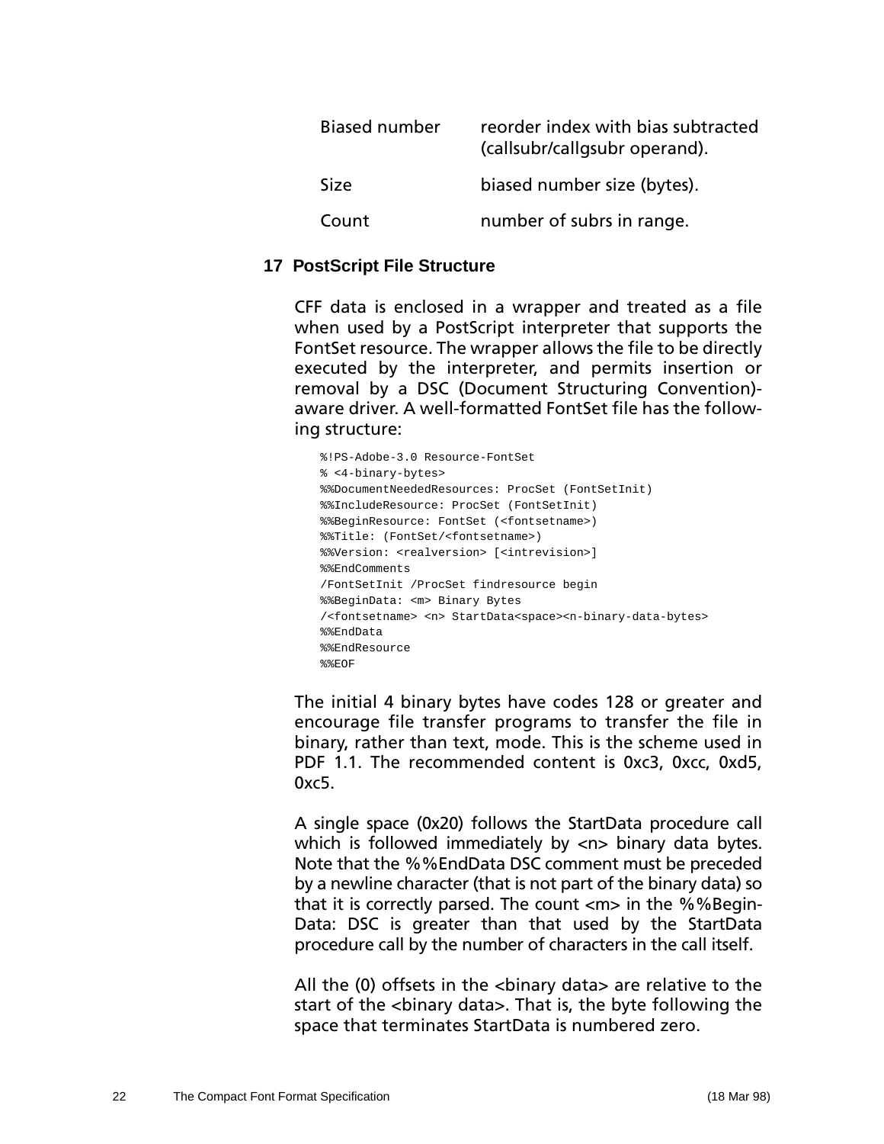<span id="page-25-0"></span>

| <b>Biased number</b> | reorder index with bias subtracted<br>(callsubr/callgsubr operand). |
|----------------------|---------------------------------------------------------------------|
| <b>Size</b>          | biased number size (bytes).                                         |
| Count                | number of subrs in range.                                           |

#### **17 PostScript File Structure**

CFF data is enclosed in a wrapper and treated as a file when used by a PostScript interpreter that supports the FontSet resource. The wrapper allows the file to be directly executed by the interpreter, and permits insertion or removal by a DSC (Document Structuring Convention) aware driver. A well-formatted FontSet file has the following structure:

```
%!PS-Adobe-3.0 Resource-FontSet
% <4-binary-bytes>
%%DocumentNeededResources: ProcSet (FontSetInit)
%%IncludeResource: ProcSet (FontSetInit)
%%BeginResource: FontSet (<fontsetname>)
%%Title: (FontSet/<fontsetname>)
%%Version: <realversion> [<intrevision>]
%%EndComments
/FontSetInit /ProcSet findresource begin
%%BeginData: <m> Binary Bytes
/<fontsetname> <n> StartData<space><n-binary-data-bytes>
%%EndData
%%EndResource
%%EOF
```
The initial 4 binary bytes have codes 128 or greater and encourage file transfer programs to transfer the file in binary, rather than text, mode. This is the scheme used in PDF 1.1. The recommended content is 0xc3, 0xcc, 0xd5, 0xc5.

A single space (0x20) follows the StartData procedure call which is followed immediately by <n> binary data bytes. Note that the %%EndData DSC comment must be preceded by a newline character (that is not part of the binary data) so that it is correctly parsed. The count <m> in the %%Begin-Data: DSC is greater than that used by the StartData procedure call by the number of characters in the call itself.

All the (0) offsets in the <binary data> are relative to the start of the <binary data>. That is, the byte following the space that terminates StartData is numbered zero.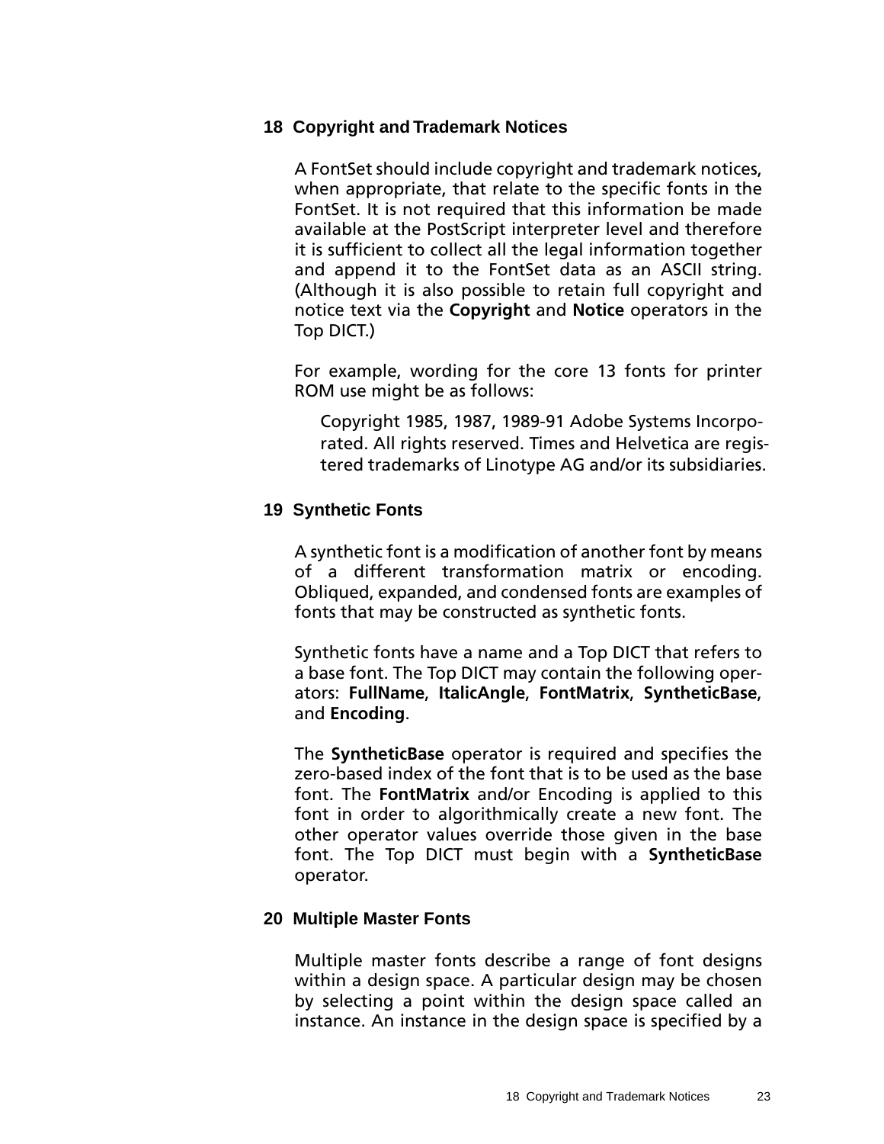### <span id="page-26-0"></span>**18 Copyright and Trademark Notices**

A FontSet should include copyright and trademark notices, when appropriate, that relate to the specific fonts in the FontSet. It is not required that this information be made available at the PostScript interpreter level and therefore it is sufficient to collect all the legal information together and append it to the FontSet data as an ASCII string. (Although it is also possible to retain full copyright and notice text via the **Copyright** and **Notice** operators in the Top DICT.)

For example, wording for the core 13 fonts for printer ROM use might be as follows:

Copyright 1985, 1987, 1989-91 Adobe Systems Incorporated. All rights reserved. Times and Helvetica are registered trademarks of Linotype AG and/or its subsidiaries.

### **19 Synthetic Fonts**

A synthetic font is a modification of another font by means of a different transformation matrix or encoding. Obliqued, expanded, and condensed fonts are examples of fonts that may be constructed as synthetic fonts.

Synthetic fonts have a name and a Top DICT that refers to a base font. The Top DICT may contain the following operators: **FullName**, **ItalicAngle**, **FontMatrix**, **SyntheticBase**, and **Encoding**.

The **SyntheticBase** operator is required and specifies the zero-based index of the font that is to be used as the base font. The **FontMatrix** and/or Encoding is applied to this font in order to algorithmically create a new font. The other operator values override those given in the base font. The Top DICT must begin with a **SyntheticBase** operator.

## **20 Multiple Master Fonts**

Multiple master fonts describe a range of font designs within a design space. A particular design may be chosen by selecting a point within the design space called an instance. An instance in the design space is specified by a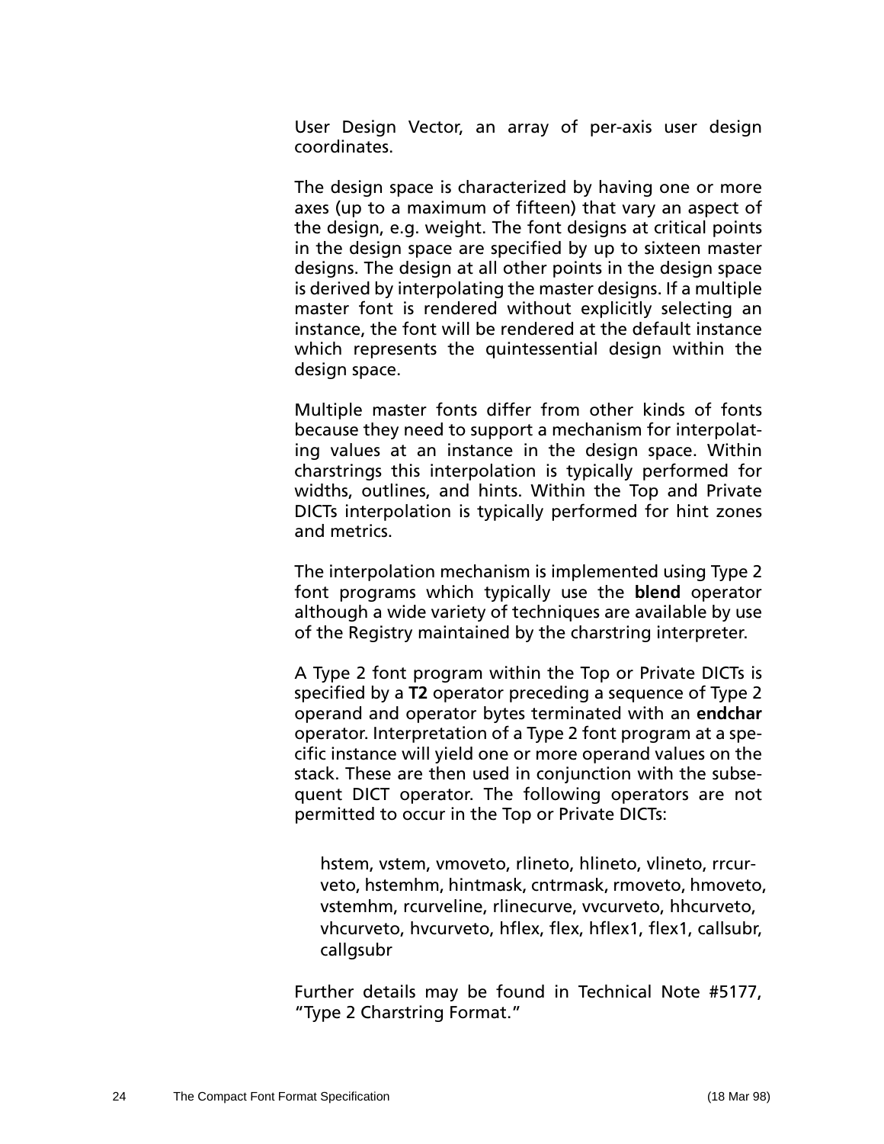User Design Vector, an array of per-axis user design coordinates.

The design space is characterized by having one or more axes (up to a maximum of fifteen) that vary an aspect of the design, e.g. weight. The font designs at critical points in the design space are specified by up to sixteen master designs. The design at all other points in the design space is derived by interpolating the master designs. If a multiple master font is rendered without explicitly selecting an instance, the font will be rendered at the default instance which represents the quintessential design within the design space.

Multiple master fonts differ from other kinds of fonts because they need to support a mechanism for interpolating values at an instance in the design space. Within charstrings this interpolation is typically performed for widths, outlines, and hints. Within the Top and Private DICTs interpolation is typically performed for hint zones and metrics.

The interpolation mechanism is implemented using Type 2 font programs which typically use the **blend** operator although a wide variety of techniques are available by use of the Registry maintained by the charstring interpreter.

A Type 2 font program within the Top or Private DICTs is specified by a **T2** operator preceding a sequence of Type 2 operand and operator bytes terminated with an **endchar** operator. Interpretation of a Type 2 font program at a specific instance will yield one or more operand values on the stack. These are then used in conjunction with the subsequent DICT operator. The following operators are not permitted to occur in the Top or Private DICTs:

hstem, vstem, vmoveto, rlineto, hlineto, vlineto, rrcurveto, hstemhm, hintmask, cntrmask, rmoveto, hmoveto, vstemhm, rcurveline, rlinecurve, vvcurveto, hhcurveto, vhcurveto, hvcurveto, hflex, flex, hflex1, flex1, callsubr, callgsubr

Further details may be found in Technical Note #5177, "Type 2 Charstring Format."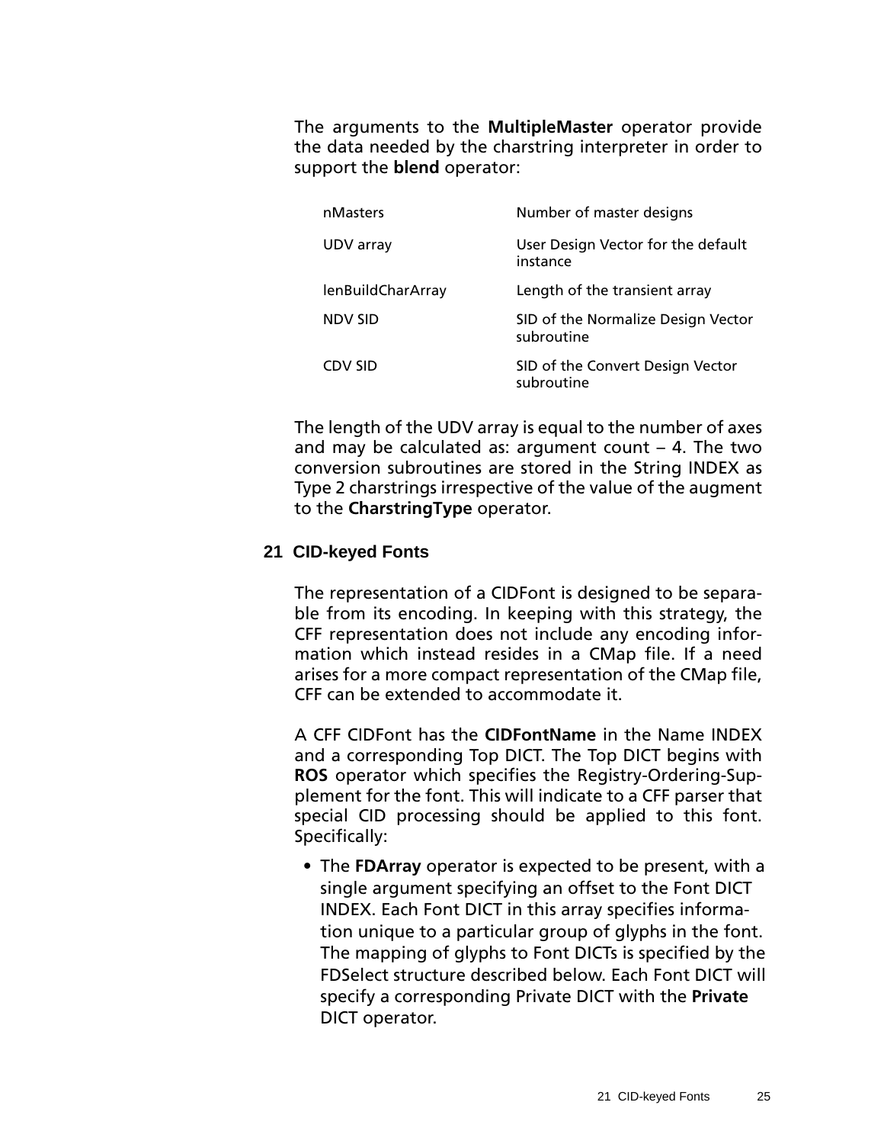<span id="page-28-0"></span>The arguments to the **MultipleMaster** operator provide the data needed by the charstring interpreter in order to support the **blend** operator:

| nMasters          | Number of master designs                         |
|-------------------|--------------------------------------------------|
| UDV array         | User Design Vector for the default<br>instance   |
| lenBuildCharArray | Length of the transient array                    |
| <b>NDV SID</b>    | SID of the Normalize Design Vector<br>subroutine |
| <b>CDV SID</b>    | SID of the Convert Design Vector<br>subroutine   |

The length of the UDV array is equal to the number of axes and may be calculated as: argument count  $-$  4. The two conversion subroutines are stored in the String INDEX as Type 2 charstrings irrespective of the value of the augment to the **CharstringType** operator.

### **21 CID-keyed Fonts**

The representation of a CIDFont is designed to be separable from its encoding. In keeping with this strategy, the CFF representation does not include any encoding information which instead resides in a CMap file. If a need arises for a more compact representation of the CMap file, CFF can be extended to accommodate it.

A CFF CIDFont has the **CIDFontName** in the Name INDEX and a corresponding Top DICT. The Top DICT begins with **ROS** operator which specifies the Registry-Ordering-Supplement for the font. This will indicate to a CFF parser that special CID processing should be applied to this font. Specifically:

• The **FDArray** operator is expected to be present, with a single argument specifying an offset to the Font DICT INDEX. Each Font DICT in this array specifies information unique to a particular group of glyphs in the font. The mapping of glyphs to Font DICTs is specified by the FDSelect structure described below. Each Font DICT will specify a corresponding Private DICT with the **Private** DICT operator.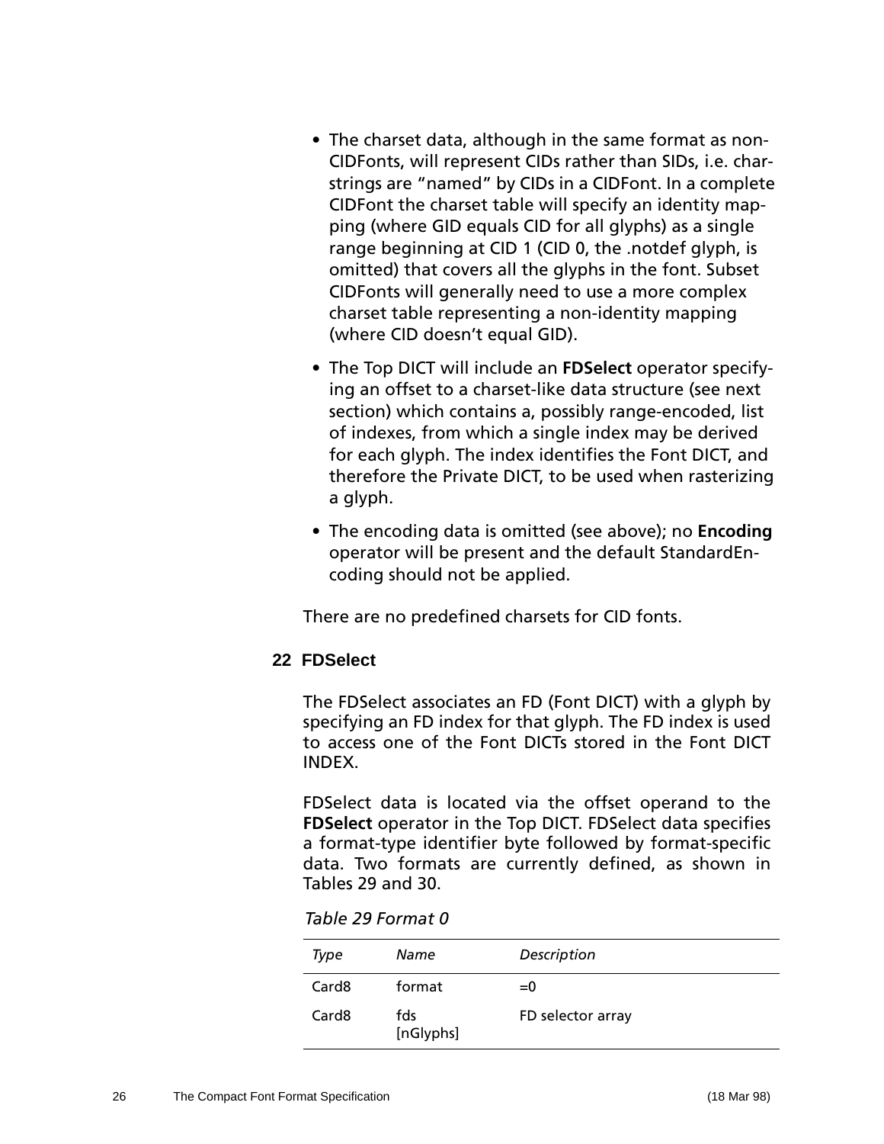- <span id="page-29-0"></span>• The charset data, although in the same format as non-CIDFonts, will represent CIDs rather than SIDs, i.e. charstrings are "named" by CIDs in a CIDFont. In a complete CIDFont the charset table will specify an identity mapping (where GID equals CID for all glyphs) as a single range beginning at CID 1 (CID 0, the .notdef glyph, is omitted) that covers all the glyphs in the font. Subset CIDFonts will generally need to use a more complex charset table representing a non-identity mapping (where CID doesn't equal GID).
- The Top DICT will include an **FDSelect** operator specifying an offset to a charset-like data structure (see next section) which contains a, possibly range-encoded, list of indexes, from which a single index may be derived for each glyph. The index identifies the Font DICT, and therefore the Private DICT, to be used when rasterizing a glyph.
- The encoding data is omitted (see above); no **Encoding** operator will be present and the default StandardEncoding should not be applied.

There are no predefined charsets for CID fonts.

## **22 FDSelect**

The FDSelect associates an FD (Font DICT) with a glyph by specifying an FD index for that glyph. The FD index is used to access one of the Font DICTs stored in the Font DICT INDEX.

FDSelect data is located via the offset operand to the **FDSelect** operator in the Top DICT. FDSelect data specifies a format-type identifier byte followed by format-specific data. Two formats are currently defined, as shown in Tables 29 and [30.](#page-30-0)

*Table 29 Format 0*

| Type              | Name             | Description       |
|-------------------|------------------|-------------------|
| Card <sub>8</sub> | format           | $= 0$             |
| Card <sub>8</sub> | fds<br>[nGlyphs] | FD selector array |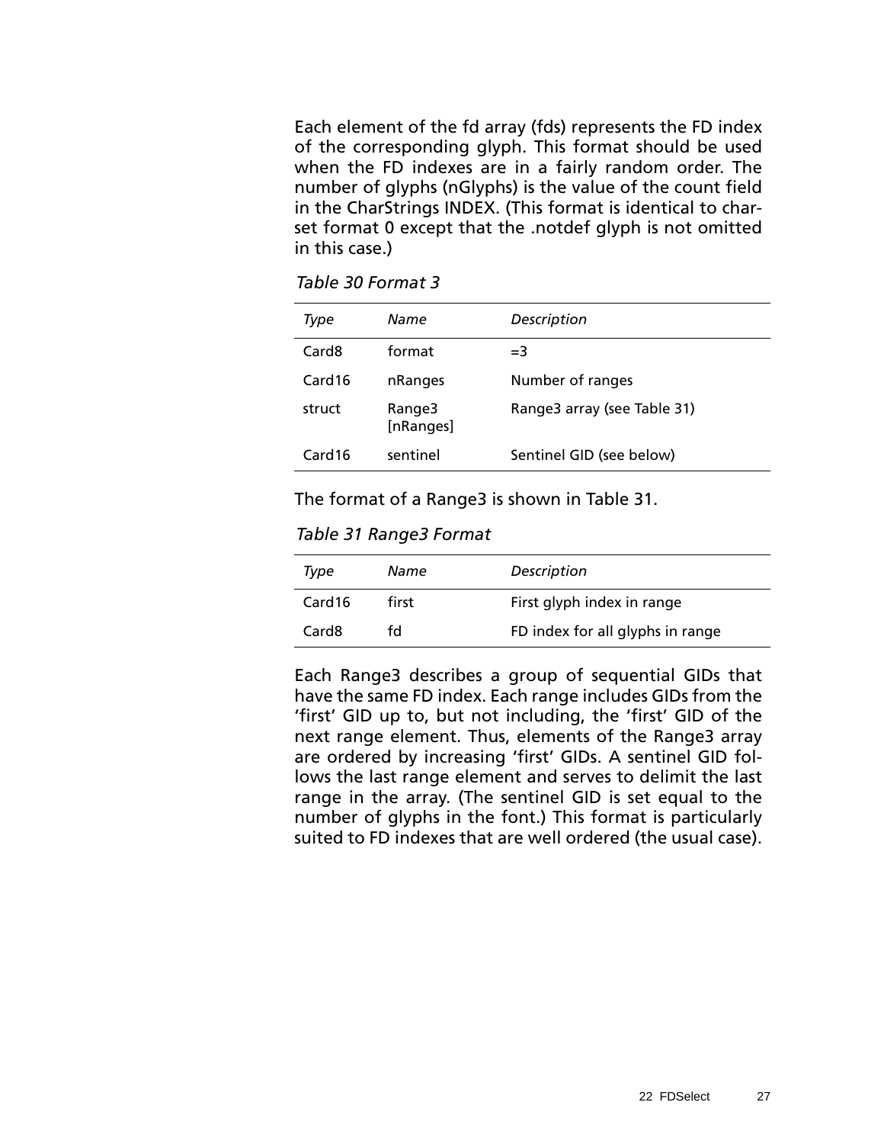<span id="page-30-0"></span>Each element of the fd array (fds) represents the FD index of the corresponding glyph. This format should be used when the FD indexes are in a fairly random order. The number of glyphs (nGlyphs) is the value of the count field in the CharStrings INDEX. (This format is identical to charset format 0 except that the .notdef glyph is not omitted in this case.)

*Table 30 Format 3*

| Type              | Name                | Description                 |
|-------------------|---------------------|-----------------------------|
| Card <sub>8</sub> | format              | $=$ 3                       |
| Card16            | nRanges             | Number of ranges            |
| struct            | Range3<br>[nRanges] | Range3 array (see Table 31) |
| Card16            | sentinel            | Sentinel GID (see below)    |

The format of a Range3 is shown in Table 31.

*Table 31 Range3 Format*

| Type               | Name  | Description                      |
|--------------------|-------|----------------------------------|
| Card <sub>16</sub> | first | First glyph index in range       |
| Card <sub>8</sub>  | fd    | FD index for all glyphs in range |

Each Range3 describes a group of sequential GIDs that have the same FD index. Each range includes GIDs from the 'first' GID up to, but not including, the 'first' GID of the next range element. Thus, elements of the Range3 array are ordered by increasing 'first' GIDs. A sentinel GID follows the last range element and serves to delimit the last range in the array. (The sentinel GID is set equal to the number of glyphs in the font.) This format is particularly suited to FD indexes that are well ordered (the usual case).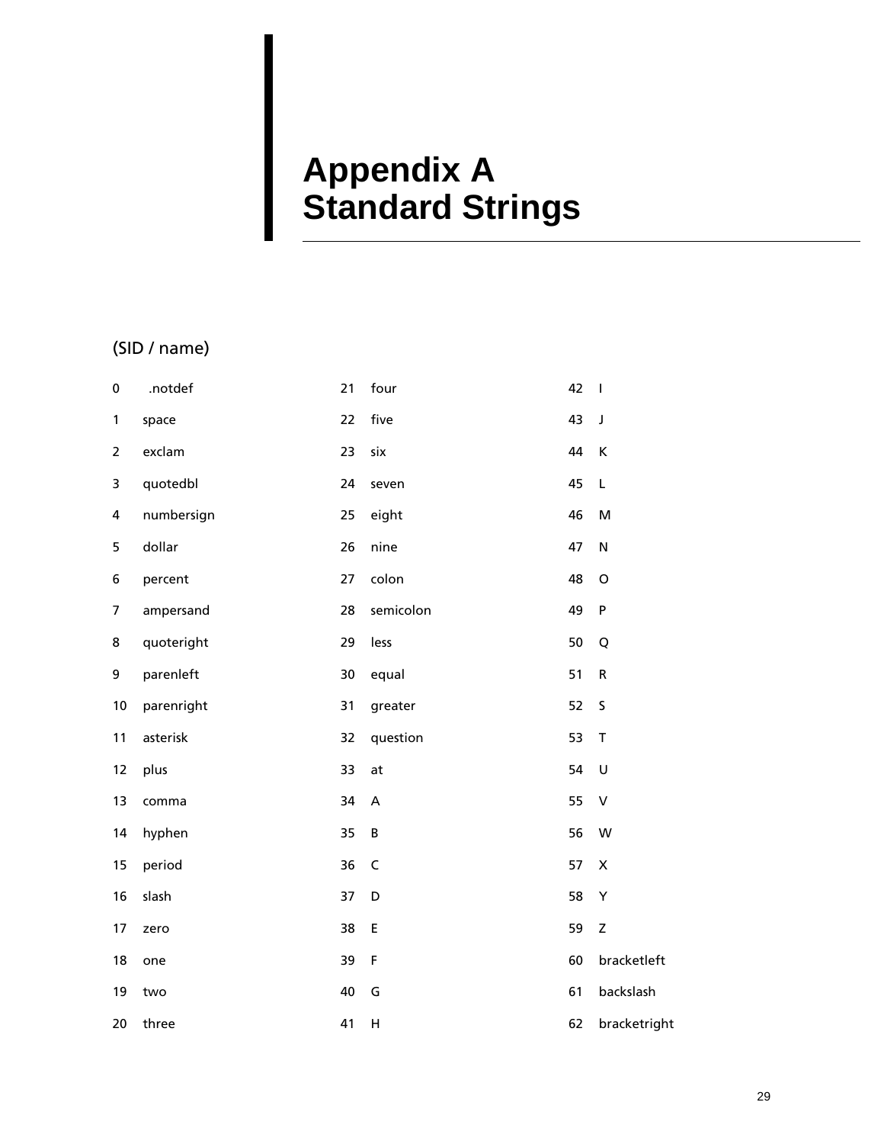# <span id="page-32-0"></span>**Appendix A Standard Strings**

## (SID / name)

| $\pmb{0}$      | .notdef    | 21 | four        | 42 | $\overline{\phantom{a}}$ |
|----------------|------------|----|-------------|----|--------------------------|
| $\mathbf{1}$   | space      | 22 | five        | 43 | $\mathsf J$              |
| $\overline{2}$ | exclam     | 23 | six         | 44 | K                        |
| 3              | quotedbl   | 24 | seven       | 45 | L                        |
| 4              | numbersign | 25 | eight       | 46 | M                        |
| 5              | dollar     | 26 | nine        | 47 | $\mathsf{N}$             |
| 6              | percent    | 27 | colon       | 48 | $\mathsf O$              |
| $\overline{7}$ | ampersand  | 28 | semicolon   | 49 | $\sf P$                  |
| 8              | quoteright | 29 | less        | 50 | Q                        |
| 9              | parenleft  | 30 | equal       | 51 | ${\sf R}$                |
| 10             | parenright | 31 | greater     | 52 | $\sf S$                  |
| 11             | asterisk   | 32 | question    | 53 | $\mathsf T$              |
| 12             | plus       | 33 | at          | 54 | $\cup$                   |
| 13             | comma      | 34 | A           | 55 | $\sf V$                  |
| 14             | hyphen     | 35 | B           | 56 | W                        |
| 15             | period     | 36 | $\mathsf C$ | 57 | $\pmb{\times}$           |
| 16             | slash      | 37 | D           | 58 | Υ                        |
| 17             | zero       | 38 | E           | 59 | Z                        |
| 18             | one        | 39 | F           | 60 | bracketleft              |
| 19             | two        | 40 | G           | 61 | backslash                |
| 20             | three      | 41 | H           | 62 | bracketright             |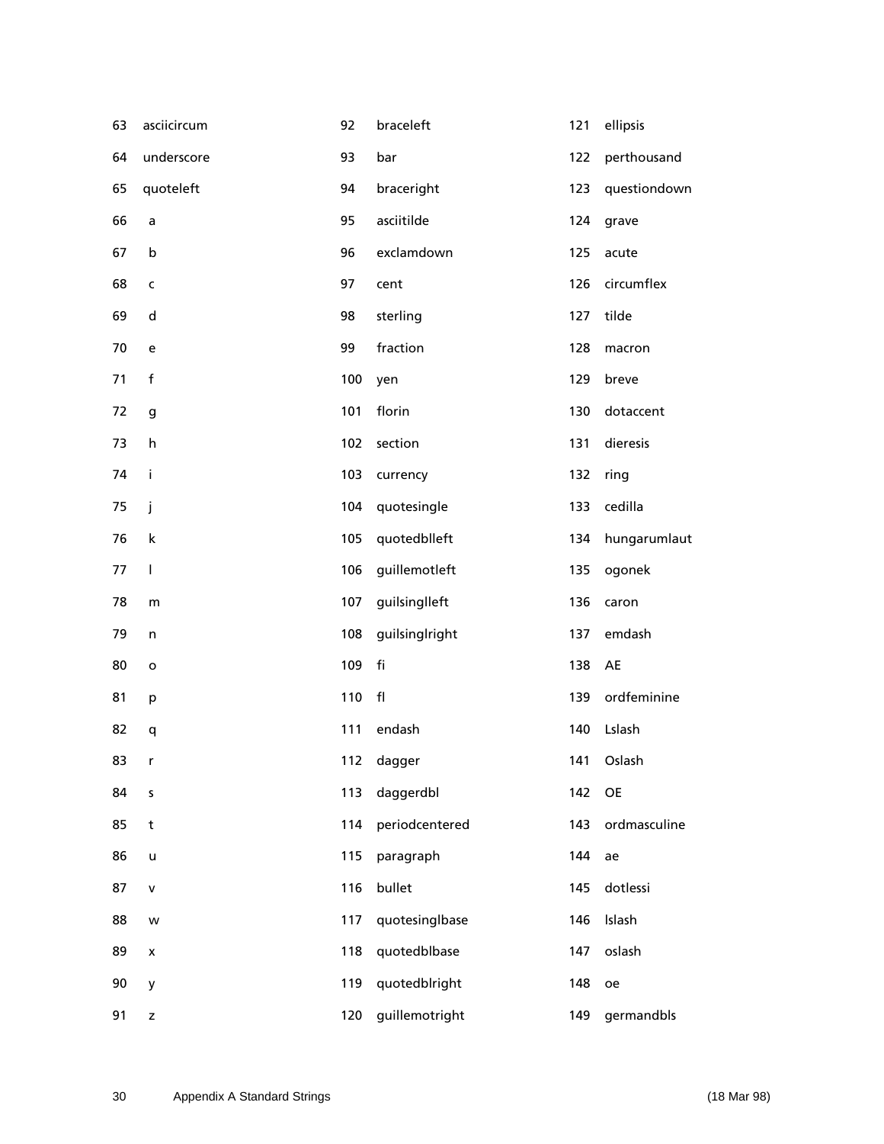| 63 | asciicircum              | 92  | braceleft      | 121 | ellipsis     |
|----|--------------------------|-----|----------------|-----|--------------|
| 64 | underscore               | 93  | bar            | 122 | perthousand  |
| 65 | quoteleft                | 94  | braceright     | 123 | questiondown |
| 66 | a                        | 95  | asciitilde     | 124 | grave        |
| 67 | b                        | 96  | exclamdown     | 125 | acute        |
| 68 | $\mathsf{C}$             | 97  | cent           | 126 | circumflex   |
| 69 | ${\sf d}$                | 98  | sterling       | 127 | tilde        |
| 70 | e                        | 99  | fraction       | 128 | macron       |
| 71 | $\mathsf f$              | 100 | yen            | 129 | breve        |
| 72 | g                        | 101 | florin         | 130 | dotaccent    |
| 73 | h                        | 102 | section        | 131 | dieresis     |
| 74 | i                        | 103 | currency       | 132 | ring         |
| 75 | j                        | 104 | quotesingle    | 133 | cedilla      |
| 76 | $\sf k$                  | 105 | quotedblleft   | 134 | hungarumlaut |
| 77 | $\overline{\phantom{a}}$ | 106 | guillemotleft  | 135 | ogonek       |
| 78 | m                        | 107 | guilsinglleft  | 136 | caron        |
| 79 | n                        | 108 | guilsinglright | 137 | emdash       |
| 80 | $\mathbf{o}$             | 109 | fi             | 138 | AE           |
| 81 | p                        | 110 | $\mathsf{fl}$  | 139 | ordfeminine  |
| 82 | q                        | 111 | endash         | 140 | Lslash       |
| 83 | $\mathsf{r}$             |     | 112 dagger     |     | 141 Oslash   |
| 84 | $\sf s$                  | 113 | daggerdbl      | 142 | OE           |
| 85 | t                        | 114 | periodcentered | 143 | ordmasculine |
| 86 | $\mathsf{u}$             | 115 | paragraph      | 144 | ae           |
| 87 | $\mathsf{V}$             | 116 | bullet         | 145 | dotlessi     |
| 88 | w                        | 117 | quotesinglbase | 146 | Islash       |
| 89 | x                        | 118 | quotedblbase   | 147 | oslash       |
| 90 | y                        | 119 | quotedblright  | 148 | oe           |
| 91 | z                        | 120 | guillemotright | 149 | germandbls   |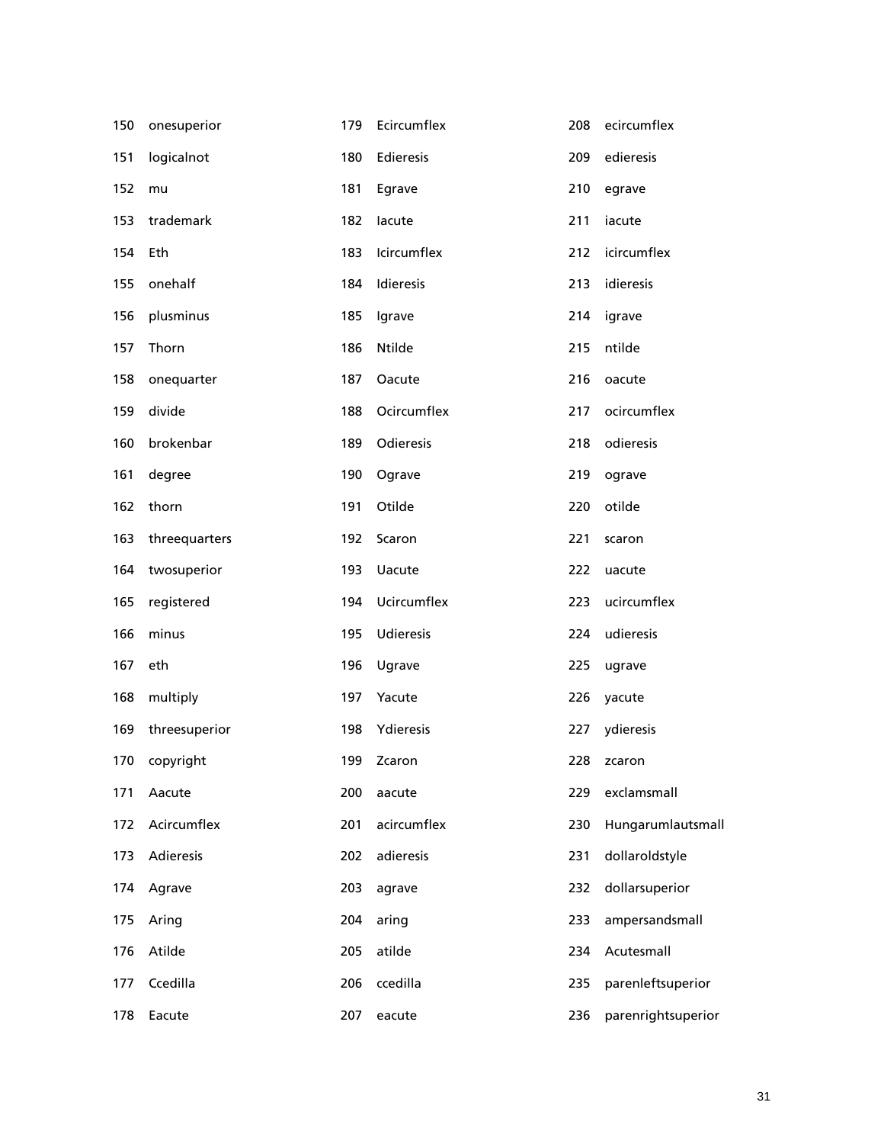| 150 | onesuperior   | 179 | Ecircumflex   | 208 | ecircumflex        |
|-----|---------------|-----|---------------|-----|--------------------|
| 151 | logicalnot    | 180 | Edieresis     | 209 | edieresis          |
| 152 | mu            | 181 | Egrave        | 210 | egrave             |
| 153 | trademark     | 182 | lacute        | 211 | iacute             |
| 154 | Eth           | 183 | Icircumflex   | 212 | icircumflex        |
| 155 | onehalf       | 184 | Idieresis     | 213 | idieresis          |
| 156 | plusminus     | 185 | Igrave        | 214 | igrave             |
| 157 | Thorn         | 186 | Ntilde        | 215 | ntilde             |
| 158 | onequarter    | 187 | Oacute        | 216 | oacute             |
| 159 | divide        | 188 | Ocircumflex   | 217 | ocircumflex        |
| 160 | brokenbar     | 189 | Odieresis     | 218 | odieresis          |
| 161 | degree        | 190 | Ograve        | 219 | ograve             |
| 162 | thorn         | 191 | Otilde        | 220 | otilde             |
| 163 | threequarters | 192 | Scaron        | 221 | scaron             |
| 164 | twosuperior   | 193 | <b>Uacute</b> | 222 | uacute             |
| 165 | registered    | 194 | Ucircumflex   | 223 | ucircumflex        |
| 166 | minus         | 195 | Udieresis     | 224 | udieresis          |
| 167 | eth           | 196 | Ugrave        | 225 | ugrave             |
| 168 | multiply      | 197 | Yacute        | 226 | yacute             |
| 169 | threesuperior | 198 | Ydieresis     | 227 | ydieresis          |
|     | 170 copyright |     | 199 Zcaron    |     | 228 zcaron         |
| 171 | Aacute        | 200 | aacute        | 229 | exclamsmall        |
| 172 | Acircumflex   | 201 | acircumflex   | 230 | Hungarumlautsmall  |
| 173 | Adieresis     | 202 | adieresis     | 231 | dollaroldstyle     |
| 174 | Agrave        | 203 | agrave        | 232 | dollarsuperior     |
| 175 | Aring         | 204 | aring         | 233 | ampersandsmall     |
| 176 | Atilde        | 205 | atilde        | 234 | Acutesmall         |
| 177 | Ccedilla      | 206 | ccedilla      | 235 | parenleftsuperior  |
| 178 | Eacute        | 207 | eacute        | 236 | parenrightsuperior |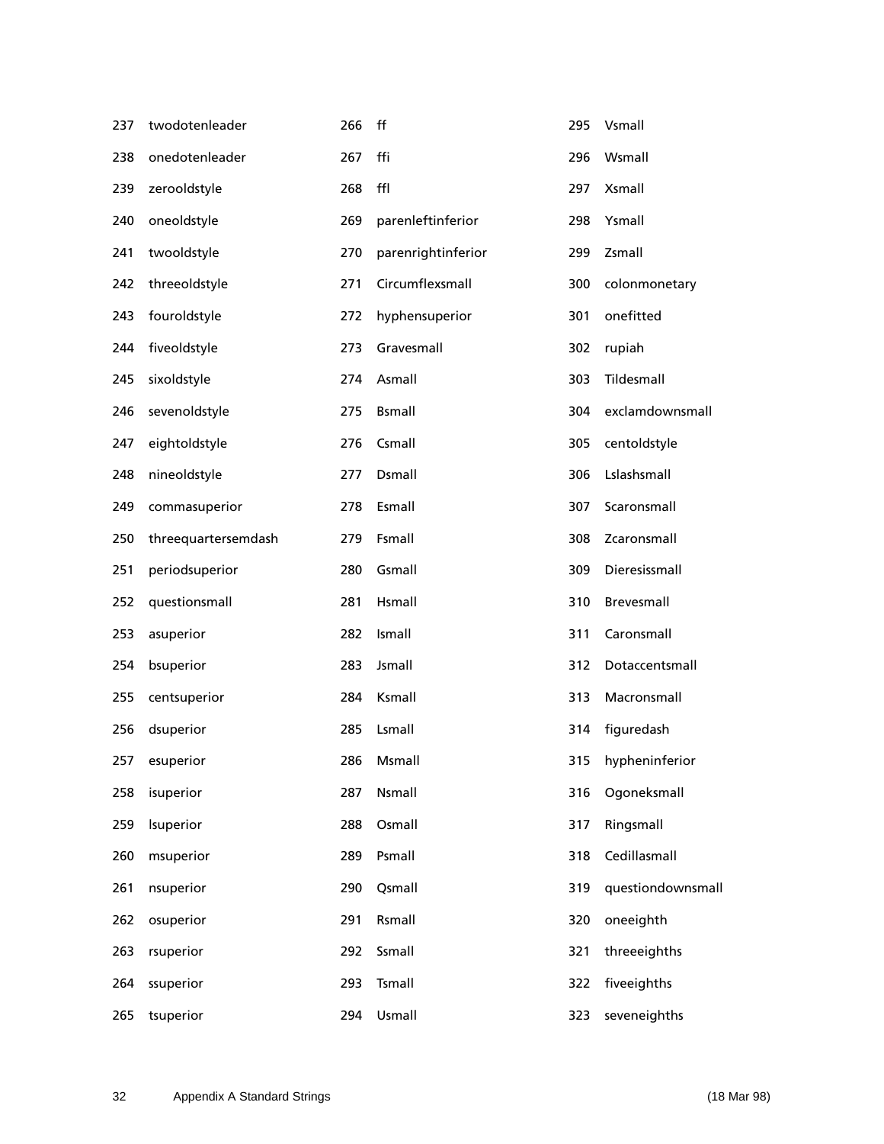| 237 | twodotenleader      | 266 | ff                 | 295 | Vsmall             |
|-----|---------------------|-----|--------------------|-----|--------------------|
| 238 | onedotenleader      | 267 | ffi                | 296 | Wsmall             |
| 239 | zerooldstyle        | 268 | ffl                | 297 | <b>Xsmall</b>      |
| 240 | oneoldstyle         | 269 | parenleftinferior  | 298 | Ysmall             |
| 241 | twooldstyle         | 270 | parenrightinferior | 299 | Zsmall             |
| 242 | threeoldstyle       | 271 | Circumflexsmall    | 300 | colonmonetary      |
| 243 | fouroldstyle        | 272 | hyphensuperior     | 301 | onefitted          |
| 244 | fiveoldstyle        | 273 | Gravesmall         | 302 | rupiah             |
| 245 | sixoldstyle         | 274 | Asmall             | 303 | Tildesmall         |
| 246 | sevenoldstyle       | 275 | <b>Bsmall</b>      | 304 | exclamdownsmall    |
| 247 | eightoldstyle       | 276 | Csmall             | 305 | centoldstyle       |
| 248 | nineoldstyle        | 277 | Dsmall             | 306 | Lslashsmall        |
| 249 | commasuperior       | 278 | Esmall             | 307 | Scaronsmall        |
| 250 | threequartersemdash | 279 | Fsmall             | 308 | Zcaronsmall        |
| 251 | periodsuperior      | 280 | Gsmall             | 309 | Dieresissmall      |
| 252 | questionsmall       | 281 | Hsmall             | 310 | Brevesmall         |
| 253 | asuperior           | 282 | Ismall             | 311 | Caronsmall         |
| 254 | bsuperior           | 283 | Jsmall             | 312 | Dotaccentsmall     |
| 255 | centsuperior        | 284 | Ksmall             | 313 | Macronsmall        |
| 256 | dsuperior           | 285 | Lsmall             | 314 | figuredash         |
| 257 | esuperior           | 286 | Msmall             |     | 315 hypheninferior |
| 258 | isuperior           | 287 | Nsmall             | 316 | Ogoneksmall        |
| 259 | Isuperior           | 288 | Osmall             | 317 | Ringsmall          |
| 260 | msuperior           | 289 | Psmall             | 318 | Cedillasmall       |
| 261 | nsuperior           | 290 | Qsmall             | 319 | questiondownsmall  |
| 262 | osuperior           | 291 | Rsmall             | 320 | oneeighth          |
| 263 | rsuperior           | 292 | Ssmall             | 321 | threeeighths       |
| 264 | ssuperior           | 293 | Tsmall             | 322 | fiveeighths        |
| 265 | tsuperior           | 294 | Usmall             | 323 | seveneighths       |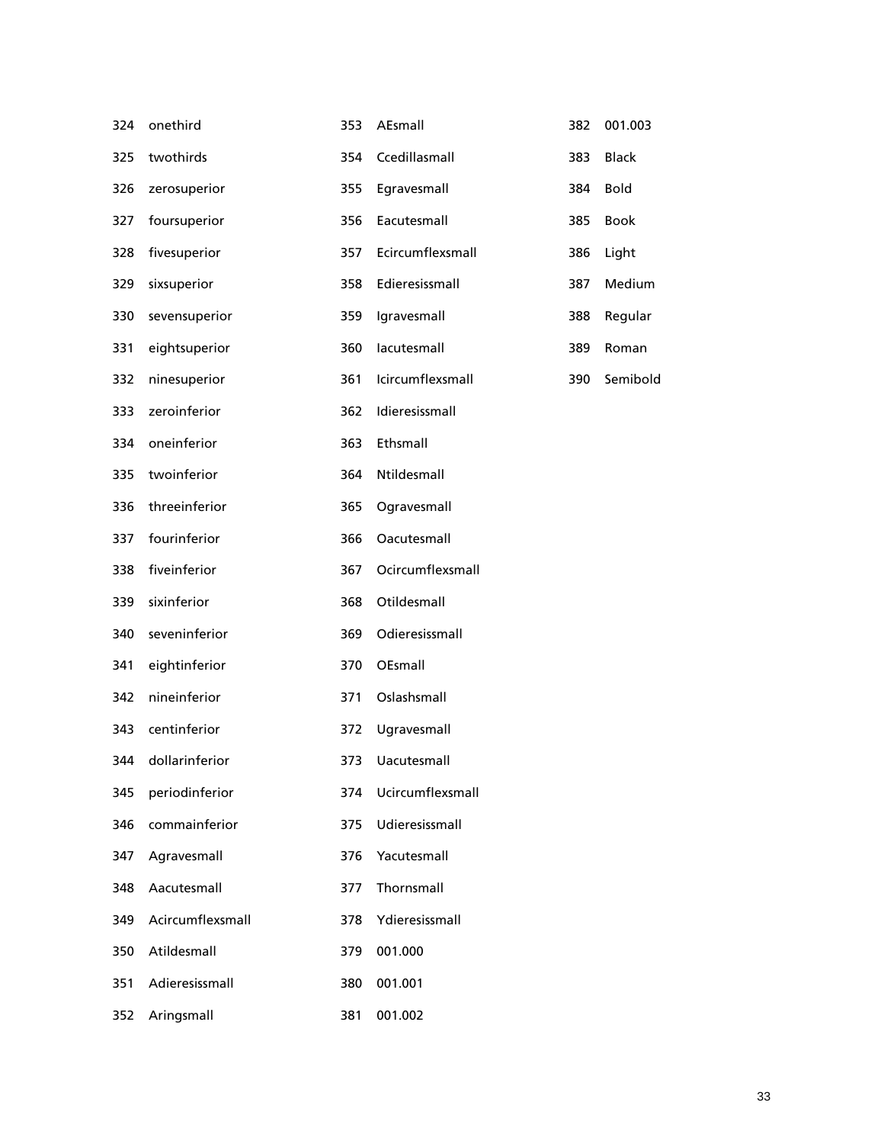| 324 | onethird           | 353 | AEsmall          | 382 | 001.003      |
|-----|--------------------|-----|------------------|-----|--------------|
| 325 | twothirds          | 354 | Ccedillasmall    | 383 | <b>Black</b> |
| 326 | zerosuperior       | 355 | Egravesmall      | 384 | <b>Bold</b>  |
| 327 | foursuperior       | 356 | Eacutesmall      | 385 | Book         |
| 328 | fivesuperior       | 357 | Ecircumflexsmall | 386 | Light        |
| 329 | sixsuperior        | 358 | Edieresissmall   | 387 | Medium       |
| 330 | sevensuperior      | 359 | Igravesmall      | 388 | Regular      |
| 331 | eightsuperior      | 360 | lacutesmall      | 389 | Roman        |
| 332 | ninesuperior       | 361 | Icircumflexsmall | 390 | Semibold     |
| 333 | zeroinferior       | 362 | Idieresissmall   |     |              |
| 334 | oneinferior        | 363 | Ethsmall         |     |              |
| 335 | twoinferior        | 364 | Ntildesmall      |     |              |
| 336 | threeinferior      | 365 | Ogravesmall      |     |              |
| 337 | fourinferior       | 366 | Oacutesmall      |     |              |
| 338 | fiveinferior       | 367 | Ocircumflexsmall |     |              |
| 339 | sixinferior        | 368 | Otildesmall      |     |              |
| 340 | seveninferior      | 369 | Odieresissmall   |     |              |
| 341 | eightinferior      | 370 | OEsmall          |     |              |
| 342 | nineinferior       | 371 | Oslashsmall      |     |              |
| 343 | centinferior       | 372 | Ugravesmall      |     |              |
|     | 344 dollarinferior | 373 | Uacutesmall      |     |              |
| 345 | periodinferior     | 374 | Ucircumflexsmall |     |              |
| 346 | commainferior      | 375 | Udieresissmall   |     |              |
| 347 | Agravesmall        | 376 | Yacutesmall      |     |              |
| 348 | Aacutesmall        | 377 | Thornsmall       |     |              |
| 349 | Acircumflexsmall   | 378 | Ydieresissmall   |     |              |
| 350 | Atildesmall        | 379 | 001.000          |     |              |
| 351 | Adieresissmall     | 380 | 001.001          |     |              |
| 352 | Aringsmall         | 381 | 001.002          |     |              |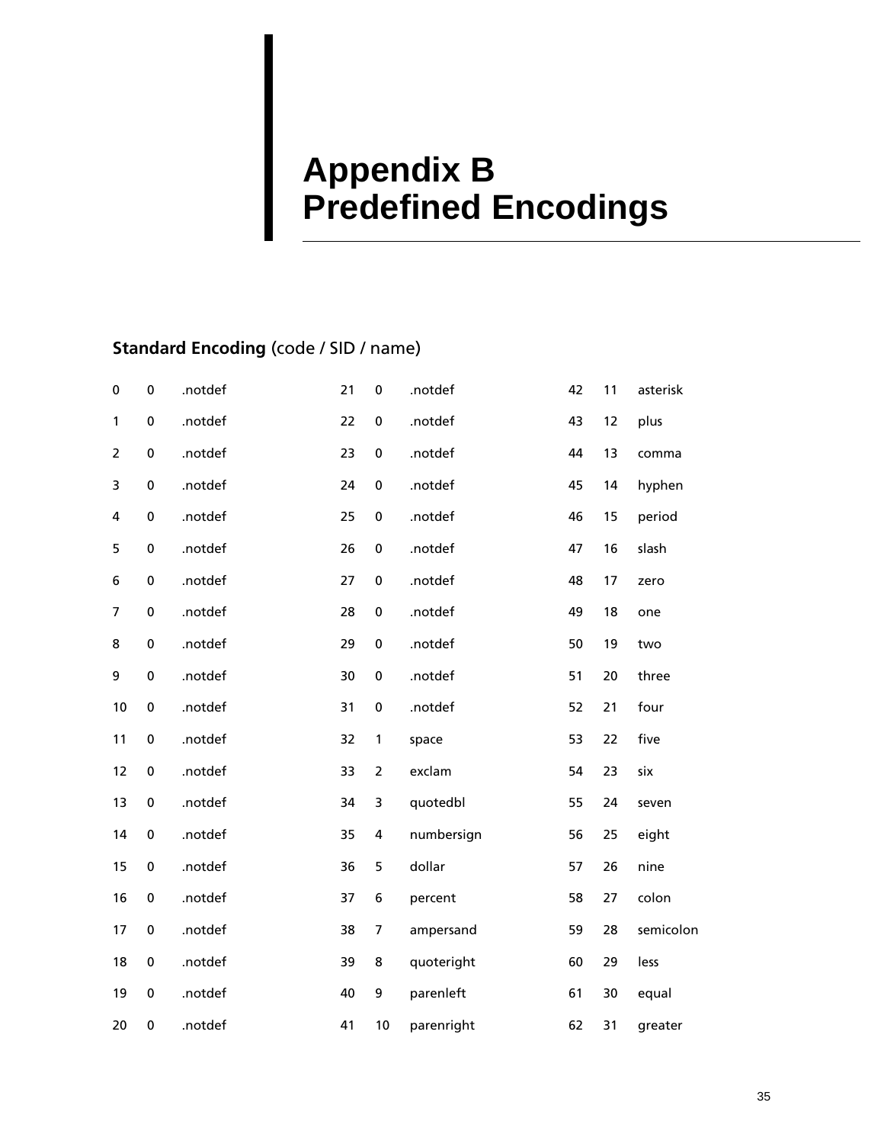# <span id="page-38-0"></span>**Appendix B Predefined Encodings**

# **Standard Encoding** (code / SID / name)

| 0              | $\bf{0}$  | .notdef | 21 | $\pmb{0}$      | .notdef    | 42 | 11 | asterisk  |
|----------------|-----------|---------|----|----------------|------------|----|----|-----------|
| 1              | $\pmb{0}$ | .notdef | 22 | $\pmb{0}$      | .notdef    | 43 | 12 | plus      |
| $\overline{2}$ | $\pmb{0}$ | .notdef | 23 | $\pmb{0}$      | .notdef    | 44 | 13 | comma     |
| 3              | $\pmb{0}$ | .notdef | 24 | $\pmb{0}$      | .notdef    | 45 | 14 | hyphen    |
| 4              | $\pmb{0}$ | .notdef | 25 | $\pmb{0}$      | .notdef    | 46 | 15 | period    |
| 5              | $\pmb{0}$ | .notdef | 26 | $\pmb{0}$      | .notdef    | 47 | 16 | slash     |
| 6              | $\pmb{0}$ | .notdef | 27 | $\pmb{0}$      | .notdef    | 48 | 17 | zero      |
| $\overline{7}$ | $\pmb{0}$ | .notdef | 28 | $\pmb{0}$      | .notdef    | 49 | 18 | one       |
| 8              | $\pmb{0}$ | .notdef | 29 | $\pmb{0}$      | .notdef    | 50 | 19 | two       |
| 9              | 0         | .notdef | 30 | $\pmb{0}$      | .notdef    | 51 | 20 | three     |
| 10             | $\pmb{0}$ | .notdef | 31 | $\pmb{0}$      | .notdef    | 52 | 21 | four      |
| 11             | $\bf{0}$  | .notdef | 32 | 1              | space      | 53 | 22 | five      |
| 12             | $\pmb{0}$ | .notdef | 33 | $\overline{2}$ | exclam     | 54 | 23 | six       |
| 13             | $\pmb{0}$ | .notdef | 34 | 3              | quotedbl   | 55 | 24 | seven     |
| 14             | $\pmb{0}$ | .notdef | 35 | 4              | numbersign | 56 | 25 | eight     |
| 15             | 0         | .notdef | 36 | 5              | dollar     | 57 | 26 | nine      |
| 16             | 0         | .notdef | 37 | 6              | percent    | 58 | 27 | colon     |
| 17             | 0         | .notdef | 38 | 7              | ampersand  | 59 | 28 | semicolon |
| 18             | 0         | .notdef | 39 | 8              | quoteright | 60 | 29 | less      |
| 19             | $\pmb{0}$ | .notdef | 40 | 9              | parenleft  | 61 | 30 | equal     |
| 20             | 0         | .notdef | 41 | 10             | parenright | 62 | 31 | greater   |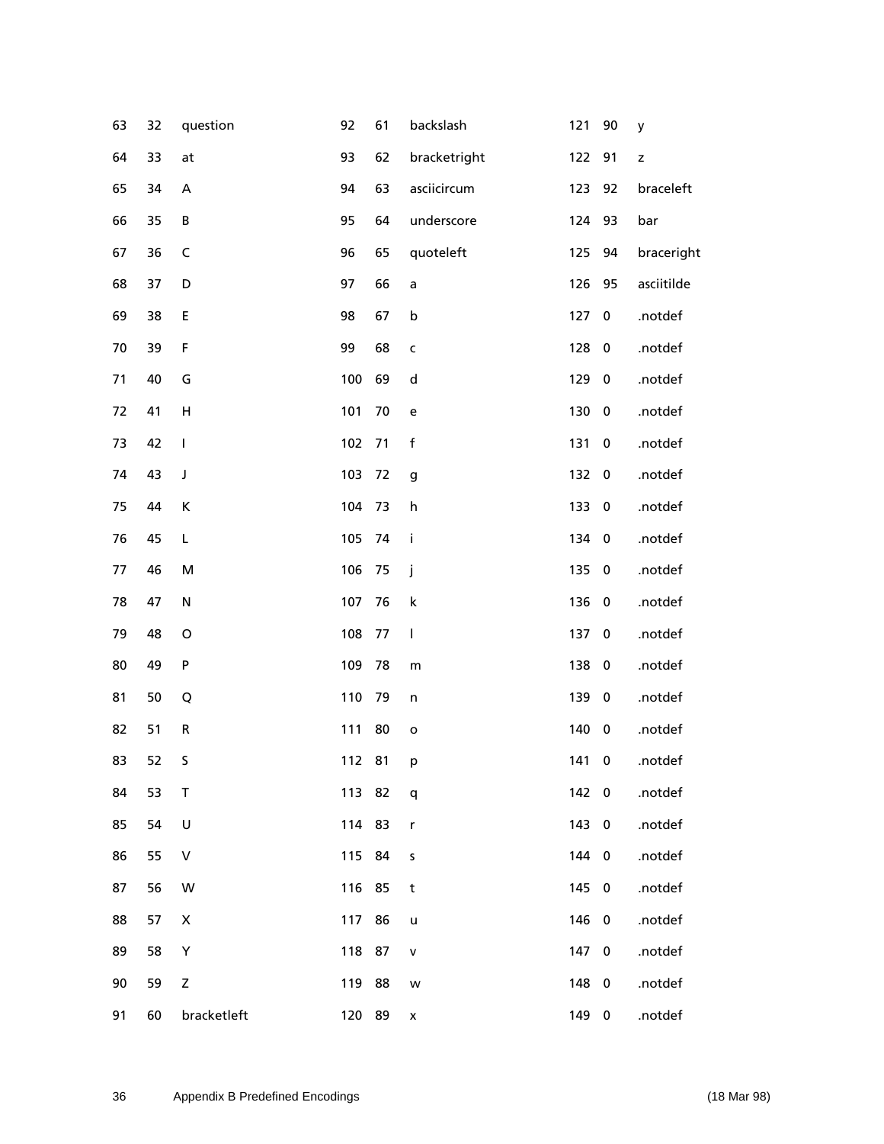| 63 | 32 | question    | 92     | 61 | backslash          | 121   | 90                      | y             |
|----|----|-------------|--------|----|--------------------|-------|-------------------------|---------------|
| 64 | 33 | at          | 93     | 62 | bracketright       | 122   | 91                      | $\mathsf z$   |
| 65 | 34 | А           | 94     | 63 | asciicircum        | 123   | 92                      | braceleft     |
| 66 | 35 | B           | 95     | 64 | underscore         | 124   | 93                      | bar           |
| 67 | 36 | $\sf{C}$    | 96     | 65 | quoteleft          | 125   | 94                      | braceright    |
| 68 | 37 | D           | 97     | 66 | a                  | 126   | 95                      | asciitilde    |
| 69 | 38 | E           | 98     | 67 | $\mathsf b$        | 127   | $\pmb{0}$               | .notdef       |
| 70 | 39 | F           | 99     | 68 | $\mathsf{C}$       | 128   | $\bf{0}$                | .notdef       |
| 71 | 40 | G           | 100    | 69 | ${\sf d}$          | 129   | $\bf{0}$                | .notdef       |
| 72 | 41 | $\sf H$     | 101    | 70 | e                  | 130   | $\overline{\mathbf{0}}$ | .notdef       |
| 73 | 42 | I           | 102    | 71 | $\mathsf f$        | 131   | $\pmb{0}$               | .notdef       |
| 74 | 43 | J           | 103    | 72 | g                  | 132 0 |                         | .notdef       |
| 75 | 44 | К           | 104    | 73 | h                  | 133   | $\overline{\mathbf{0}}$ | .notdef       |
| 76 | 45 | L           | 105    | 74 | j.                 | 134   | $\mathbf 0$             | .notdef       |
| 77 | 46 | M           | 106    | 75 | j                  | 135   | $\bf{0}$                | .notdef       |
| 78 | 47 | ${\sf N}$   | 107    | 76 | $\sf k$            | 136   | $\overline{\mathbf{0}}$ | .notdef       |
| 79 | 48 | $\mathsf O$ | 108    | 77 | $\mathbf{I}$       | 137   | $\bf{0}$                | .notdef       |
| 80 | 49 | P           | 109    | 78 | ${\sf m}$          | 138   | $\mathbf 0$             | .notdef       |
| 81 | 50 | Q           | 110    | 79 | $\mathsf{n}$       | 139 0 |                         | .notdef       |
| 82 | 51 | R           | 111    | 80 | $\mathbf{o}$       | 140   | $\overline{\mathbf{0}}$ | .notdef       |
| 83 | 52 | S.          | 112 81 |    | p                  |       |                         | 141 0 .notdef |
| 84 | 53 | Т           | 113 82 |    | q                  | 142 0 |                         | .notdef       |
| 85 | 54 | $\sf U$     | 114    | 83 | r                  | 143 0 |                         | .notdef       |
| 86 | 55 | V           | 115    | 84 | $\sf S$            | 144 0 |                         | .notdef       |
| 87 | 56 | W           | 116 85 |    | t                  | 145 0 |                         | .notdef       |
| 88 | 57 | X           | 117    | 86 | $\mathsf{u}$       | 146 0 |                         | .notdef       |
| 89 | 58 | Υ           | 118 87 |    | ${\sf v}$          | 147 0 |                         | .notdef       |
| 90 | 59 | Z           | 119 88 |    | w                  | 148 0 |                         | .notdef       |
| 91 | 60 | bracketleft | 120 89 |    | $\pmb{\mathsf{x}}$ | 149 0 |                         | .notdef       |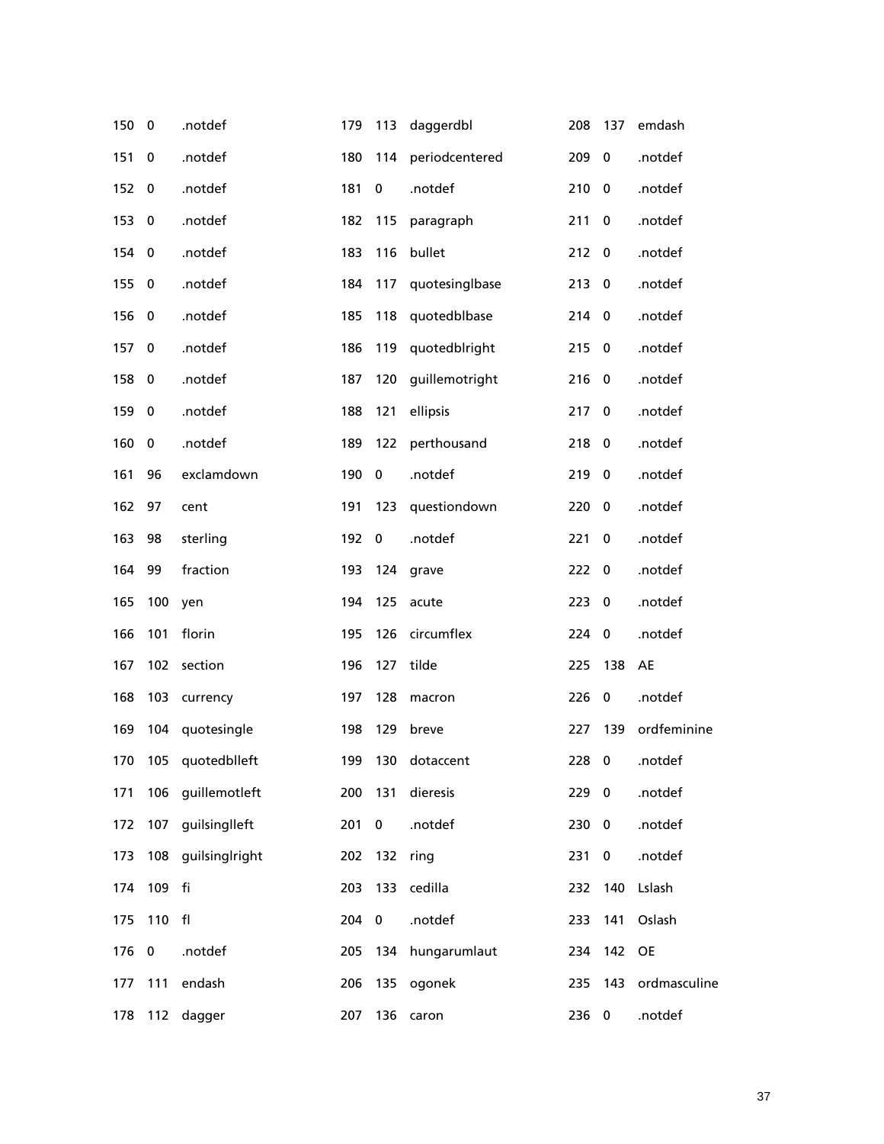| 150 | $\bf{0}$  | .notdef          | 179 | 113       | daggerdbl      | 208   | 137         | emdash        |
|-----|-----------|------------------|-----|-----------|----------------|-------|-------------|---------------|
| 151 | 0         | .notdef          | 180 | 114       | periodcentered | 209   | $\bf{0}$    | .notdef       |
| 152 | 0         | .notdef          | 181 | $\bf{0}$  | .notdef        | 210   | $\mathbf 0$ | .notdef       |
| 153 | 0         | .notdef          | 182 | 115       | paragraph      | 211   | $\bf{0}$    | .notdef       |
| 154 | 0         | .notdef          | 183 | 116       | bullet         | 212   | $\mathbf 0$ | .notdef       |
| 155 | $\bf{0}$  | .notdef          | 184 | 117       | quotesinglbase | 213   | $\mathbf 0$ | .notdef       |
| 156 | 0         | .notdef          | 185 | 118       | quotedblbase   | 214 0 |             | .notdef       |
| 157 | 0         | .notdef          | 186 | 119       | quotedblright  | 215   | $\mathbf 0$ | .notdef       |
| 158 | $\pmb{0}$ | .notdef          | 187 | 120       | guillemotright | 216   | $\bf{0}$    | .notdef       |
| 159 | 0         | .notdef          | 188 | 121       | ellipsis       | 217   | $\bf{0}$    | .notdef       |
| 160 | 0         | .notdef          | 189 | 122       | perthousand    | 218   | $\mathbf 0$ | .notdef       |
| 161 | 96        | exclamdown       | 190 | $\bf{0}$  | .notdef        | 219   | $\bf{0}$    | .notdef       |
| 162 | 97        | cent             | 191 | 123       | questiondown   | 220   | $\bf{0}$    | .notdef       |
| 163 | 98        | sterling         | 192 | $\bf{0}$  | .notdef        | 221   | 0           | .notdef       |
| 164 | 99        | fraction         | 193 | 124       | grave          | 222   | $\mathbf 0$ | .notdef       |
| 165 | 100       | yen              | 194 | 125       | acute          | 223   | $\bf{0}$    | .notdef       |
| 166 | 101       | florin           | 195 | 126       | circumflex     | 224   | $\bf{0}$    | .notdef       |
| 167 | 102       | section          | 196 | 127       | tilde          | 225   | 138         | AE            |
| 168 | 103       | currency         | 197 | 128       | macron         | 226   | $\bf{0}$    | .notdef       |
| 169 | 104       | quotesingle      | 198 | 129       | breve          | 227   | 139         | ordfeminine   |
| 170 |           | 105 quotedblleft | 199 |           | 130 dotaccent  |       |             | 228 0 .notdef |
| 171 | 106       | guillemotleft    | 200 | 131       | dieresis       | 229   | $\mathbf 0$ | .notdef       |
| 172 | 107       | guilsinglleft    | 201 | $\pmb{0}$ | .notdef        | 230   | $\mathbf 0$ | .notdef       |
| 173 | 108       | guilsinglright   | 202 | 132       | ring           | 231   | $\bf{0}$    | .notdef       |
| 174 | 109       | fi               | 203 | 133       | cedilla        | 232   | 140         | Lslash        |
| 175 | 110       | f <sub>l</sub>   | 204 | $\pmb{0}$ | .notdef        | 233   | 141         | Oslash        |
| 176 | 0         | .notdef          | 205 | 134       | hungarumlaut   | 234   | 142         | <b>OE</b>     |
| 177 | 111       | endash           | 206 | 135       | ogonek         | 235   | 143         | ordmasculine  |
| 178 | 112       | dagger           | 207 | 136       | caron          | 236   | $\mathbf 0$ | .notdef       |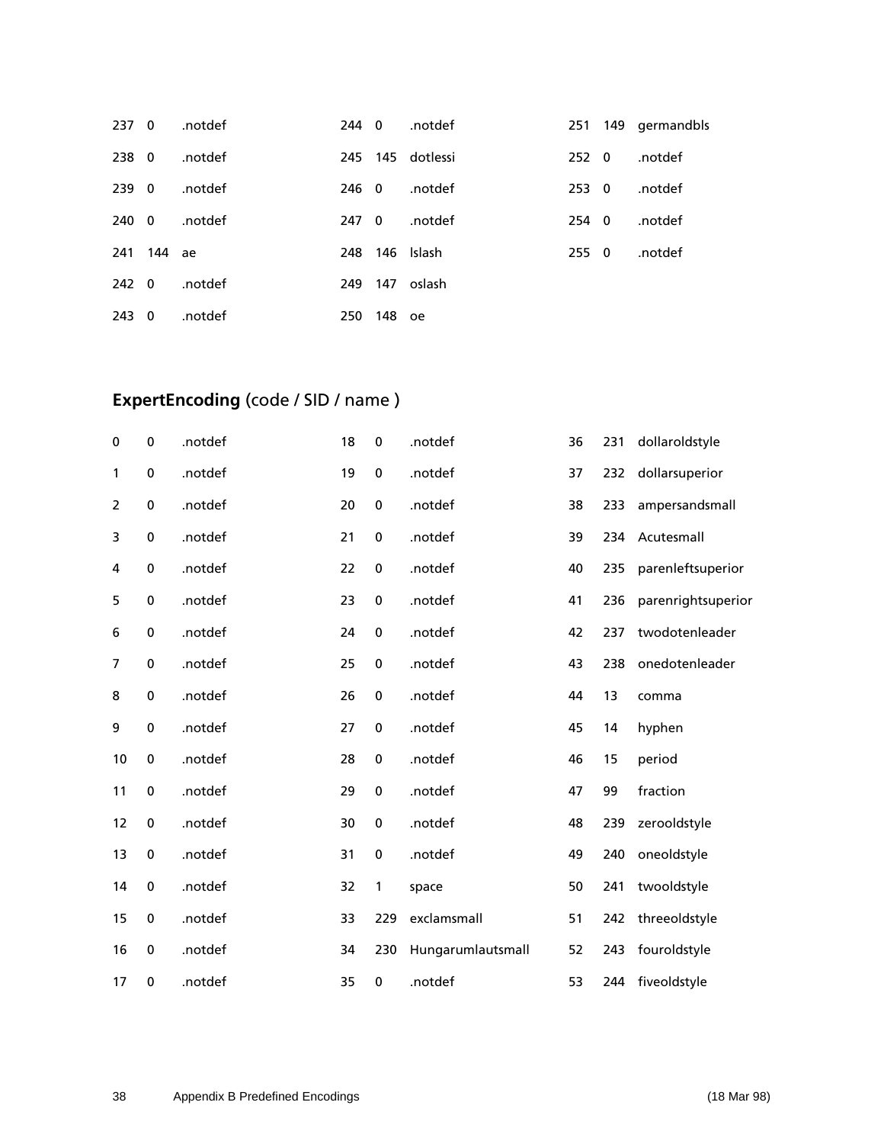| 237 | $\overline{\mathbf{0}}$ | .notdef | 244 O |     | .notdef      |
|-----|-------------------------|---------|-------|-----|--------------|
| 238 | $\overline{0}$          | .notdef | 245   |     | 145 dotlessi |
| 239 | - 0                     | .notdef | 246.  | - 0 | .notdef      |
| 240 | $\overline{0}$          | .notdef | 247   | - 0 | .notdef      |
| 241 | 144 ae                  |         | 248   |     | 146 Islash   |
| 242 | $\overline{\mathbf{0}}$ | .notdef | 249   | 147 | oslash       |
| 243 | 0                       | .notdef | 250   | 148 | oe           |

# **ExpertEncoding** (code / SID / name )

| $\bf{0}$       | $\mathbf 0$ | .notdef | 18 | $\pmb{0}$   | .notdef           | 36 | 231 | dollaroldstyle     |
|----------------|-------------|---------|----|-------------|-------------------|----|-----|--------------------|
| 1              | 0           | .notdef | 19 | $\bf{0}$    | .notdef           | 37 | 232 | dollarsuperior     |
| 2              | 0           | .notdef | 20 | $\pmb{0}$   | .notdef           | 38 | 233 | ampersandsmall     |
| 3              | 0           | .notdef | 21 | $\bf{0}$    | .notdef           | 39 | 234 | Acutesmall         |
| 4              | 0           | .notdef | 22 | $\pmb{0}$   | .notdef           | 40 | 235 | parenleftsuperior  |
| 5              | 0           | .notdef | 23 | $\bf{0}$    | .notdef           | 41 | 236 | parenrightsuperior |
| 6              | 0           | .notdef | 24 | $\pmb{0}$   | .notdef           | 42 | 237 | twodotenleader     |
| $\overline{7}$ | $\mathbf 0$ | .notdef | 25 | $\bf{0}$    | .notdef           | 43 | 238 | onedotenleader     |
| 8              | 0           | .notdef | 26 | $\pmb{0}$   | .notdef           | 44 | 13  | comma              |
| 9              | 0           | .notdef | 27 | $\bf{0}$    | .notdef           | 45 | 14  | hyphen             |
| 10             | 0           | .notdef | 28 | $\pmb{0}$   | .notdef           | 46 | 15  | period             |
| 11             | 0           | .notdef | 29 | $\bf{0}$    | .notdef           | 47 | 99  | fraction           |
| 12             | 0           | .notdef | 30 | $\pmb{0}$   | .notdef           | 48 | 239 | zerooldstyle       |
| 13             | $\mathbf 0$ | .notdef | 31 | $\mathbf 0$ | .notdef           | 49 | 240 | oneoldstyle        |
| 14             | $\pmb{0}$   | .notdef | 32 | 1           | space             | 50 | 241 | twooldstyle        |
| 15             | 0           | .notdef | 33 | 229         | exclamsmall       | 51 | 242 | threeoldstyle      |
| 16             | 0           | .notdef | 34 | 230         | Hungarumlautsmall | 52 | 243 | fouroldstyle       |
| 17             | 0           | .notdef | 35 | 0           | .notdef           | 53 | 244 | fiveoldstyle       |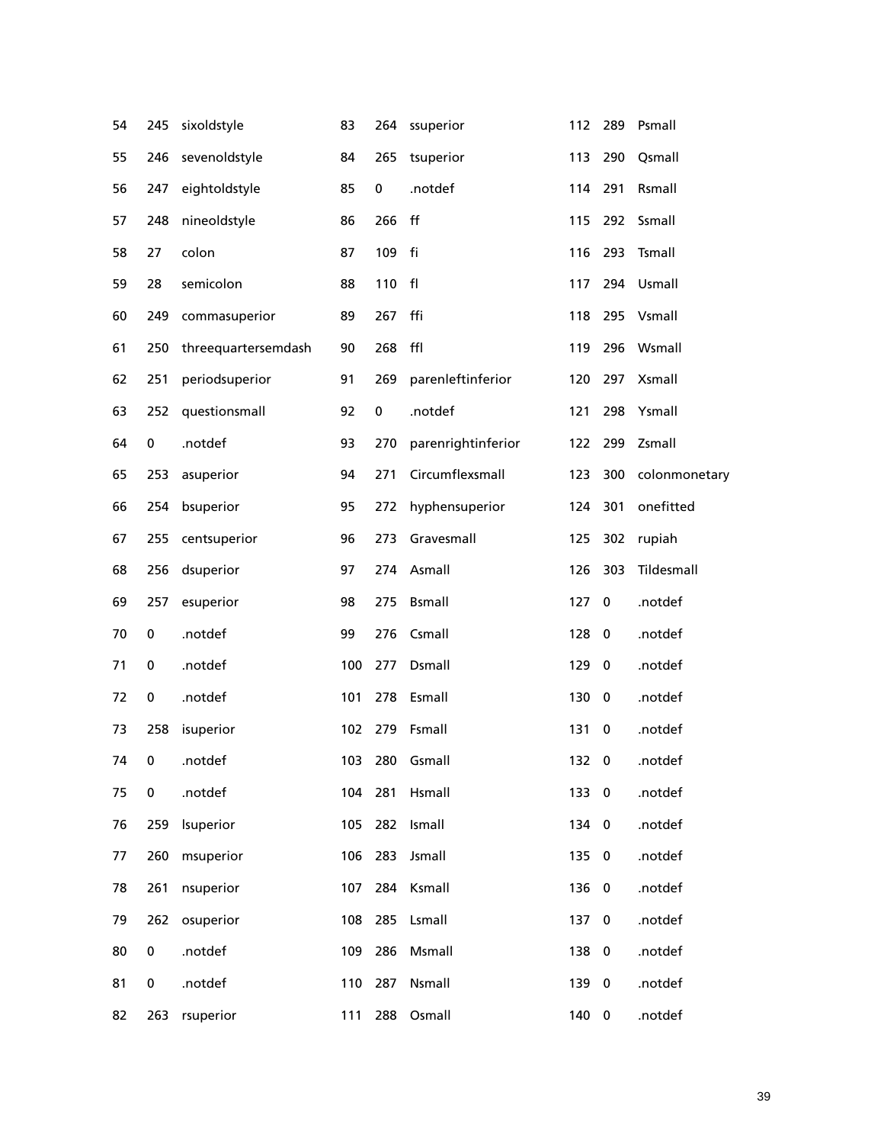| 54 | 245 | sixoldstyle         | 83  | 264 | ssuperior          | 112   | 289                     | Psmall        |
|----|-----|---------------------|-----|-----|--------------------|-------|-------------------------|---------------|
| 55 | 246 | sevenoldstyle       | 84  | 265 | tsuperior          | 113   | 290                     | Qsmall        |
| 56 | 247 | eightoldstyle       | 85  | 0   | .notdef            | 114   | 291                     | Rsmall        |
| 57 | 248 | nineoldstyle        | 86  | 266 | ff                 | 115   | 292                     | Ssmall        |
| 58 | 27  | colon               | 87  | 109 | fi                 | 116   | 293                     | Tsmall        |
| 59 | 28  | semicolon           | 88  | 110 | f <sub>l</sub>     | 117   | 294                     | Usmall        |
| 60 | 249 | commasuperior       | 89  | 267 | ffi                | 118   | 295                     | Vsmall        |
| 61 | 250 | threequartersemdash | 90  | 268 | ffl                | 119   | 296                     | Wsmall        |
| 62 | 251 | periodsuperior      | 91  | 269 | parenleftinferior  | 120   | 297                     | Xsmall        |
| 63 | 252 | questionsmall       | 92  | 0   | .notdef            | 121   | 298                     | Ysmall        |
| 64 | 0   | .notdef             | 93  | 270 | parenrightinferior | 122   | 299                     | Zsmall        |
| 65 | 253 | asuperior           | 94  | 271 | Circumflexsmall    | 123   | 300                     | colonmonetary |
| 66 | 254 | bsuperior           | 95  | 272 | hyphensuperior     | 124   | 301                     | onefitted     |
| 67 | 255 | centsuperior        | 96  | 273 | Gravesmall         | 125   | 302                     | rupiah        |
| 68 | 256 | dsuperior           | 97  | 274 | Asmall             | 126   | 303                     | Tildesmall    |
| 69 | 257 | esuperior           | 98  | 275 | <b>Bsmall</b>      | 127   | $\bf{0}$                | .notdef       |
| 70 | 0   | .notdef             | 99  | 276 | Csmall             | 128   | 0                       | .notdef       |
| 71 | 0   | .notdef             | 100 | 277 | Dsmall             | 129   | $\bf{0}$                | .notdef       |
| 72 | 0   | .notdef             | 101 | 278 | Esmall             | 130   | $\bf{0}$                | .notdef       |
| 73 | 258 | isuperior           | 102 | 279 | Fsmall             | 131   | 0                       | .notdef       |
| 74 | 0   | .notdef             |     |     | 103 280 Gsmall     | 132 0 |                         | .notdef       |
| 75 | 0   | .notdef             | 104 | 281 | Hsmall             | 133   | $\overline{\mathbf{0}}$ | .notdef       |
| 76 | 259 | Isuperior           | 105 | 282 | Ismall             | 134 0 |                         | .notdef       |
| 77 | 260 | msuperior           | 106 | 283 | Jsmall             | 135 0 |                         | .notdef       |
| 78 | 261 | nsuperior           | 107 |     | 284 Ksmall         | 136   | $\overline{\mathbf{0}}$ | .notdef       |
| 79 | 262 | osuperior           | 108 | 285 | Lsmall             | 137   | $\mathbf 0$             | .notdef       |
| 80 | 0   | .notdef             | 109 | 286 | Msmall             | 138   | $\overline{\mathbf{0}}$ | .notdef       |
| 81 | 0   | .notdef             | 110 | 287 | Nsmall             | 139   | $\overline{\mathbf{0}}$ | .notdef       |
| 82 | 263 | rsuperior           | 111 | 288 | Osmall             | 140 0 |                         | .notdef       |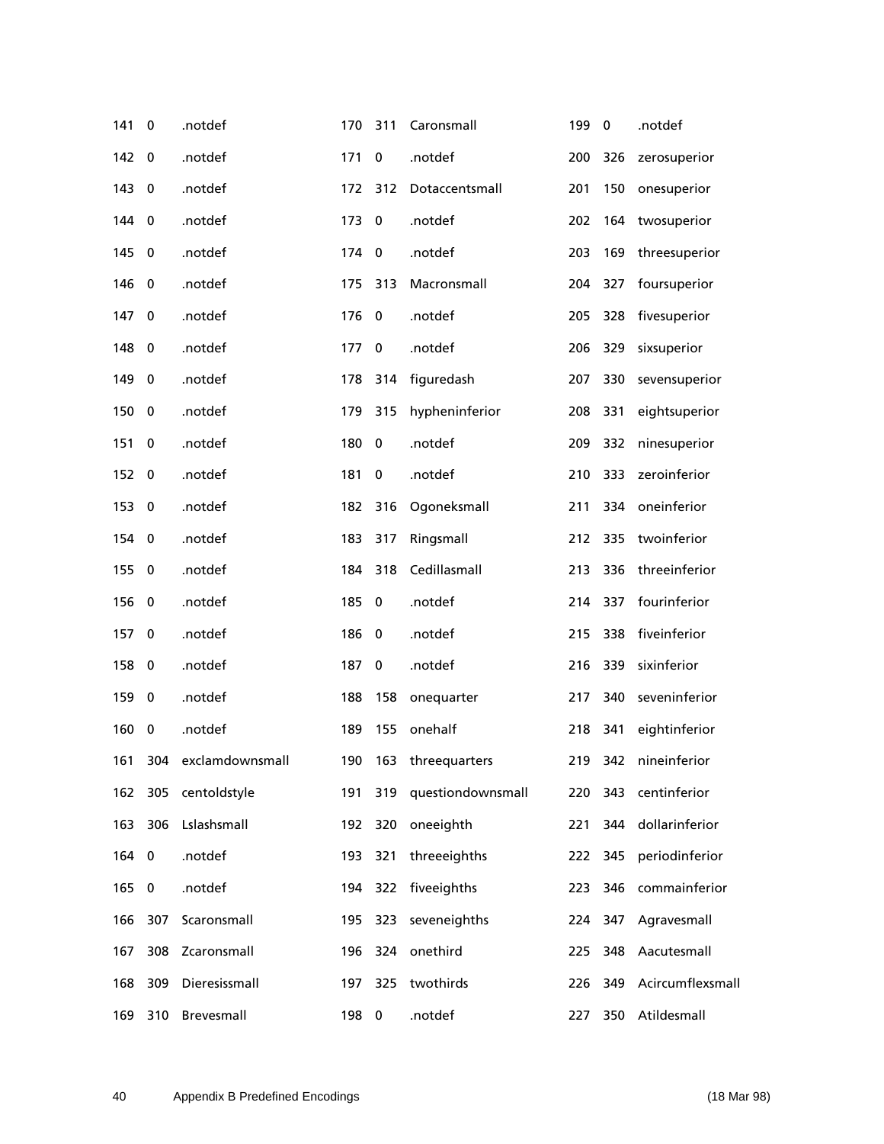| 141   | 0           | .notdef             | 170   | 311      | Caronsmall            | 199 | $\bf{0}$ | .notdef          |
|-------|-------------|---------------------|-------|----------|-----------------------|-----|----------|------------------|
| 142   | 0           | .notdef             | 171   | $\bf{0}$ | .notdef               | 200 | 326      | zerosuperior     |
| 143   | 0           | .notdef             | 172   | 312      | Dotaccentsmall        | 201 | 150      | onesuperior      |
| 144   | 0           | .notdef             | 173   | $\bf{0}$ | .notdef               | 202 | 164      | twosuperior      |
| 145   | 0           | .notdef             | 174   | $\bf{0}$ | .notdef               | 203 | 169      | threesuperior    |
| 146   | 0           | .notdef             | 175   | 313      | Macronsmall           | 204 | 327      | foursuperior     |
| 147   | 0           | .notdef             | 176   | 0        | .notdef               | 205 | 328      | fivesuperior     |
| 148   | 0           | .notdef             | 177   | 0        | .notdef               | 206 | 329      | sixsuperior      |
| 149   | 0           | .notdef             | 178   | 314      | figuredash            | 207 | 330      | sevensuperior    |
| 150   | 0           | .notdef             | 179   | 315      | hypheninferior        | 208 | 331      | eightsuperior    |
| 151   | 0           | .notdef             | 180   | $\bf{0}$ | .notdef               | 209 | 332      | ninesuperior     |
| 152   | 0           | .notdef             | 181   | $\bf{0}$ | .notdef               | 210 | 333      | zeroinferior     |
| 153   | 0           | .notdef             | 182   | 316      | Ogoneksmall           | 211 | 334      | oneinferior      |
| 154   | 0           | .notdef             | 183   | 317      | Ringsmall             | 212 | 335      | twoinferior      |
| 155   | $\mathbf 0$ | .notdef             | 184   | 318      | Cedillasmall          | 213 | 336      | threeinferior    |
| 156   | 0           | .notdef             | 185   | $\bf{0}$ | .notdef               | 214 | 337      | fourinferior     |
| 157   | 0           | .notdef             | 186   | $\bf{0}$ | .notdef               | 215 | 338      | fiveinferior     |
| 158   | 0           | .notdef             | 187   | 0        | .notdef               | 216 | 339      | sixinferior      |
| 159   | 0           | .notdef             | 188   | 158      | onequarter            | 217 | 340      | seveninferior    |
| 160   | 0           | .notdef             | 189   | 155      | onehalf               | 218 | 341      | eightinferior    |
| 161   |             | 304 exclamdownsmall |       |          | 190 163 threequarters |     | 219 342  | nineinferior     |
| 162   |             | 305 centoldstyle    | 191   |          | 319 questiondownsmall |     | 220 343  | centinferior     |
| 163   | 306         | Lslashsmall         |       |          | 192 320 oneeighth     | 221 | 344      | dollarinferior   |
| 164 0 |             | .notdef             | 193   | 321      | threeeighths          |     | 222 345  | periodinferior   |
| 165   | 0           | .notdef             |       | 194 322  | fiveeighths           | 223 | 346      | commainferior    |
| 166   | 307         | Scaronsmall         | 195   | 323      | seveneighths          | 224 | 347      | Agravesmall      |
| 167   | 308         | Zcaronsmall         |       |          | 196 324 onethird      | 225 | 348      | Aacutesmall      |
| 168   | 309         | Dieresissmall       |       | 197 325  | twothirds             | 226 | 349      | Acircumflexsmall |
| 169   | 310         | Brevesmall          | 198 0 |          | .notdef               | 227 | 350      | Atildesmall      |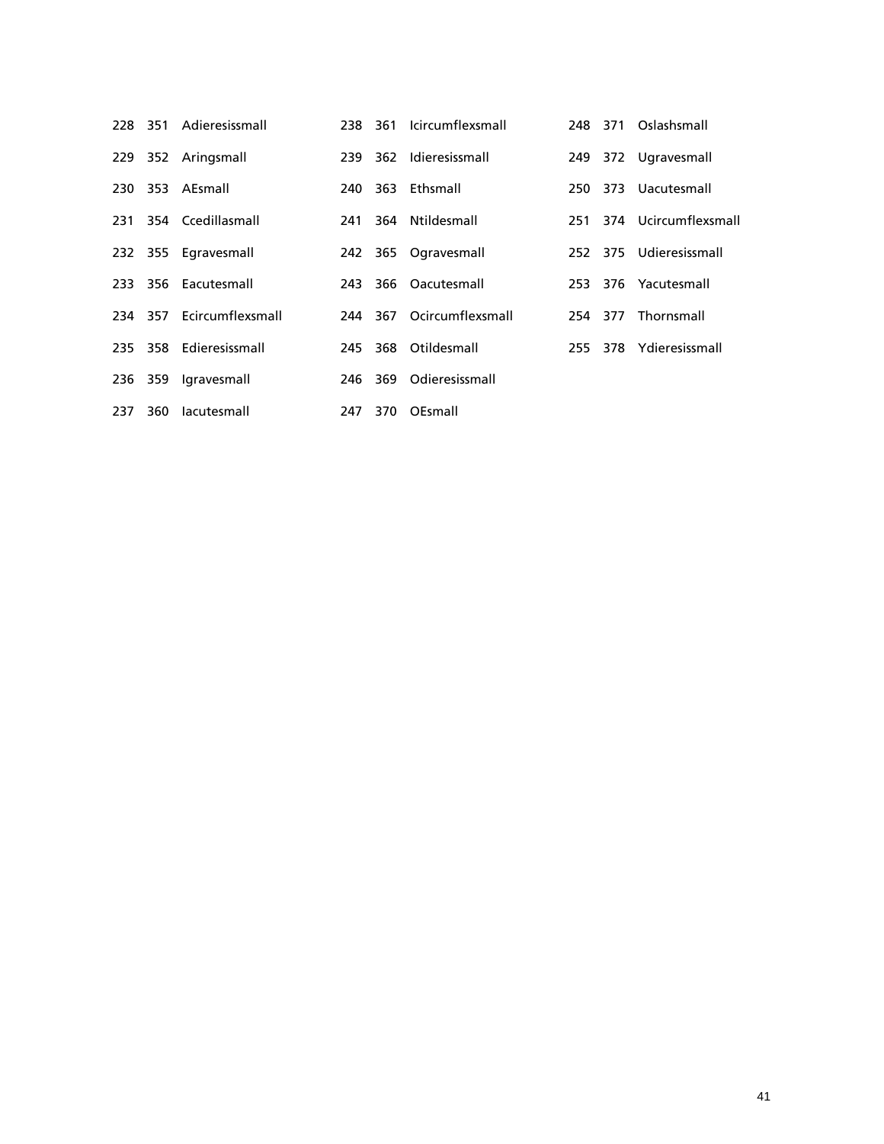|     |     | 228 351 Adieresissmall   | 238  | 361 Icircumflexsmall     |  | 248 371 Oslashsmall      |
|-----|-----|--------------------------|------|--------------------------|--|--------------------------|
| 229 |     | 352 Aringsmall           |      | 239 362 Idieresissmall   |  | 249 372 Ugravesmall      |
| 230 |     | 353 AEsmall              | 240. | 363 Ethsmall             |  | 250 373 Uacutesmall      |
|     |     | 231 354 Ccedillasmall    | 241  | 364 Ntildesmall          |  | 251 374 Ucircumflexsmall |
|     |     | 232 355 Egravesmall      |      | 242 365 Ogravesmall      |  | 252 375 Udieresissmall   |
|     |     | 233 356 Eacutesmall      | 243  | 366 Oacutesmall          |  | 253 376 Yacutesmall      |
|     |     | 234 357 Ecircumflexsmall |      | 244 367 Ocircumflexsmall |  | 254 377 Thornsmall       |
|     |     | 235 358 Edieresissmall   |      | 245 368 Otildesmall      |  | 255 378 Ydieresissmall   |
|     |     | 236 359 Igravesmall      |      | 246 369 Odieresissmall   |  |                          |
| 237 | 360 | lacutesmall              | 247  | 370 OEsmall              |  |                          |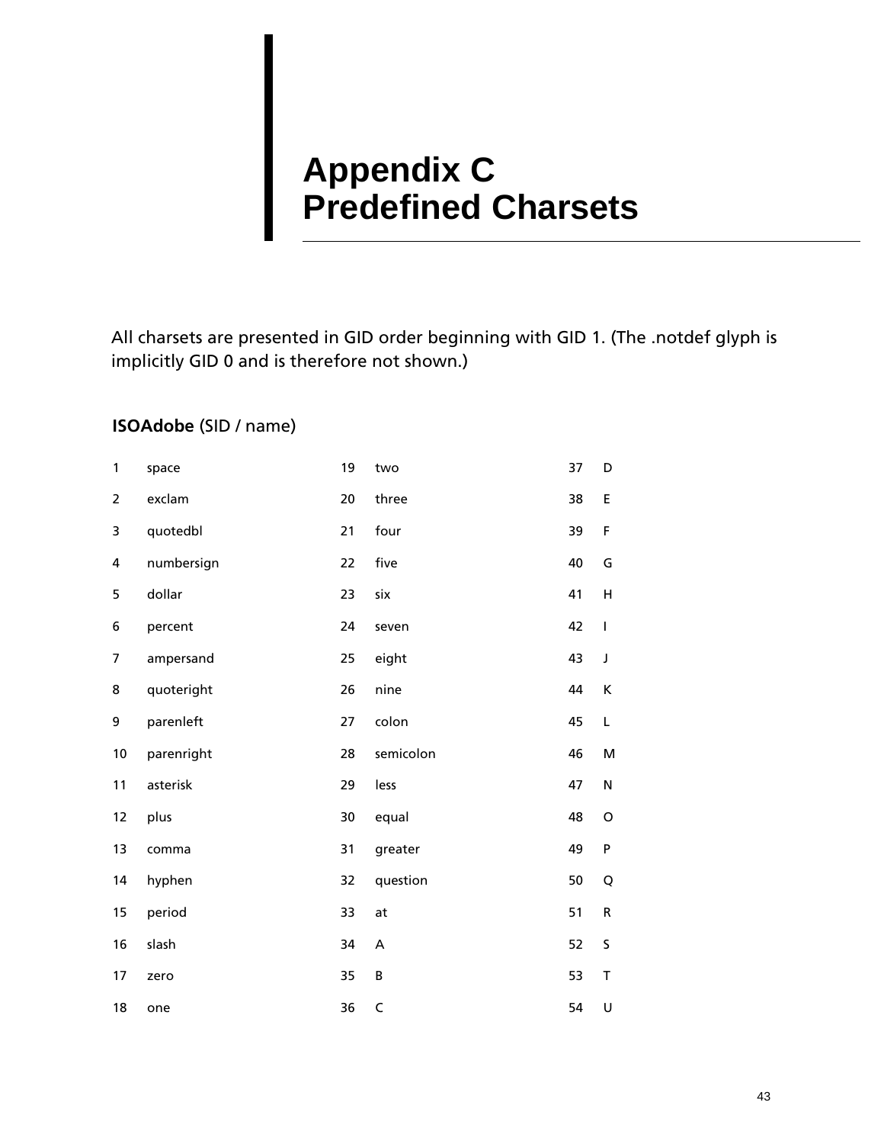# <span id="page-46-0"></span>**Appendix C Predefined Charsets**

All charsets are presented in GID order beginning with GID 1. (The .notdef glyph is implicitly GID 0 and is therefore not shown.)

## **ISOAdobe** (SID / name)

| 1              | space      | 19 | two         | 37 | D           |
|----------------|------------|----|-------------|----|-------------|
| $\overline{2}$ | exclam     | 20 | three       | 38 | E           |
| 3              | quotedbl   | 21 | four        | 39 | F           |
| 4              | numbersign | 22 | five        | 40 | G           |
| 5              | dollar     | 23 | six         | 41 | н           |
| 6              | percent    | 24 | seven       | 42 | $\mathsf I$ |
| 7              | ampersand  | 25 | eight       | 43 | $\mathsf J$ |
| 8              | quoteright | 26 | nine        | 44 | К           |
| 9              | parenleft  | 27 | colon       | 45 | L           |
| 10             | parenright | 28 | semicolon   | 46 | M           |
| 11             | asterisk   | 29 | less        | 47 | ${\sf N}$   |
| 12             | plus       | 30 | equal       | 48 | $\circ$     |
| 13             | comma      | 31 | greater     | 49 | P           |
| 14             | hyphen     | 32 | question    | 50 | Q           |
| 15             | period     | 33 | at          | 51 | ${\sf R}$   |
| 16             | slash      | 34 | A           | 52 | S           |
| 17             | zero       | 35 | B           | 53 | T           |
| 18             | one        | 36 | $\mathsf C$ | 54 | U           |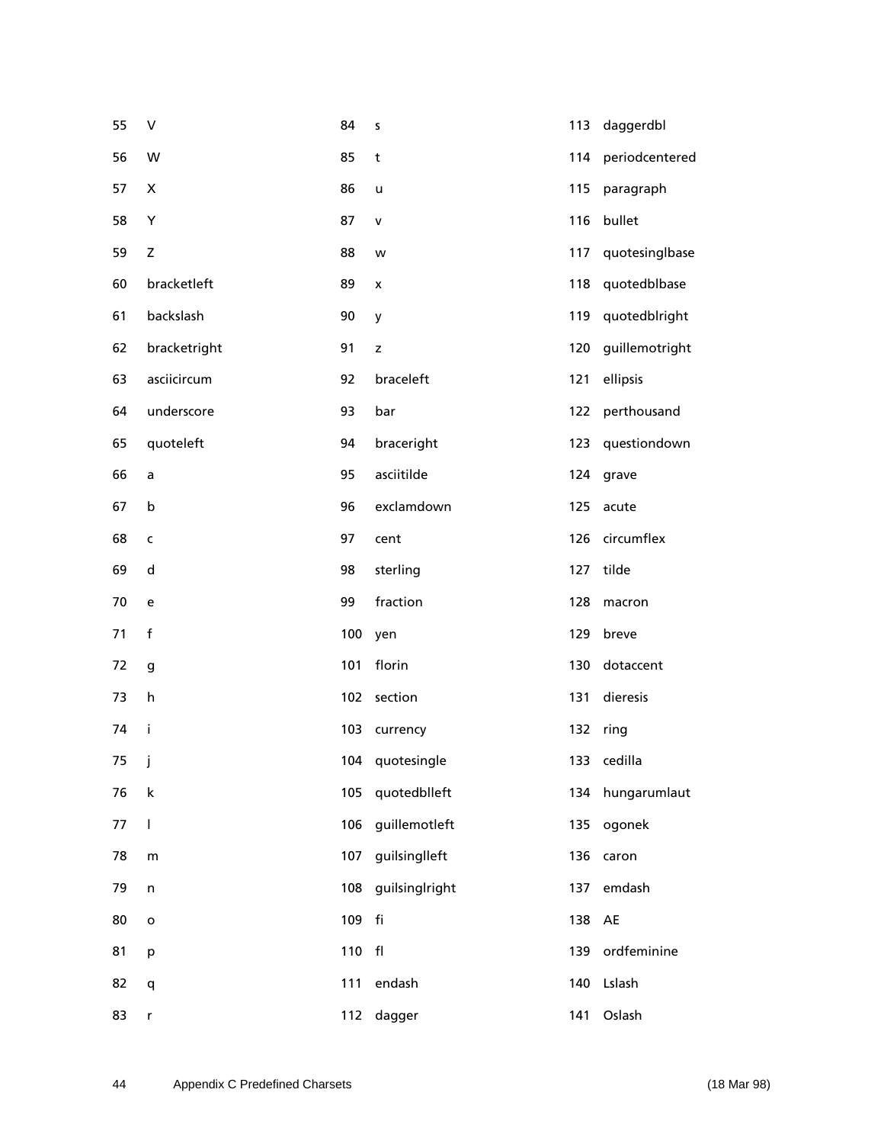| 55   | V            | 84  | S               | 113 | daggerdbl      |
|------|--------------|-----|-----------------|-----|----------------|
| 56   | W            | 85  | t               | 114 | periodcentered |
| 57   | X            | 86  | u               | 115 | paragraph      |
| 58   | Υ            | 87  | $\mathsf{V}$    | 116 | bullet         |
| 59   | $\mathsf Z$  | 88  | w               | 117 | quotesinglbase |
| 60   | bracketleft  | 89  | x               | 118 | quotedblbase   |
| 61   | backslash    | 90  | y               | 119 | quotedblright  |
| 62   | bracketright | 91  | z               | 120 | guillemotright |
| 63   | asciicircum  | 92  | braceleft       | 121 | ellipsis       |
| 64   | underscore   | 93  | bar             | 122 | perthousand    |
| 65   | quoteleft    | 94  | braceright      | 123 | questiondown   |
| 66   | a            | 95  | asciitilde      | 124 | grave          |
| 67   | b            | 96  | exclamdown      | 125 | acute          |
| 68   | $\mathsf{C}$ | 97  | cent            | 126 | circumflex     |
| 69   | d            | 98  | sterling        | 127 | tilde          |
| 70   | e            | 99  | fraction        | 128 | macron         |
| 71   | $\mathsf f$  | 100 | yen             | 129 | breve          |
| 72   | g            | 101 | florin          | 130 | dotaccent      |
| 73   | h            | 102 | section         | 131 | dieresis       |
| 74   | j.           | 103 | currency        | 132 | ring           |
| 75 j |              |     | 104 quotesingle |     | 133 cedilla    |
| 76   | k            | 105 | quotedblleft    | 134 | hungarumlaut   |
| 77   | T            | 106 | guillemotleft   | 135 | ogonek         |
| 78   | m            | 107 | guilsinglleft   | 136 | caron          |
| 79   | $\sf n$      | 108 | guilsinglright  | 137 | emdash         |
| 80   | $\mathsf{o}$ | 109 | fi              | 138 | AE             |
| 81   | p            | 110 | ${\sf fl}$      | 139 | ordfeminine    |
| 82   | q            | 111 | endash          | 140 | Lslash         |
| 83   | r            | 112 | dagger          | 141 | Oslash         |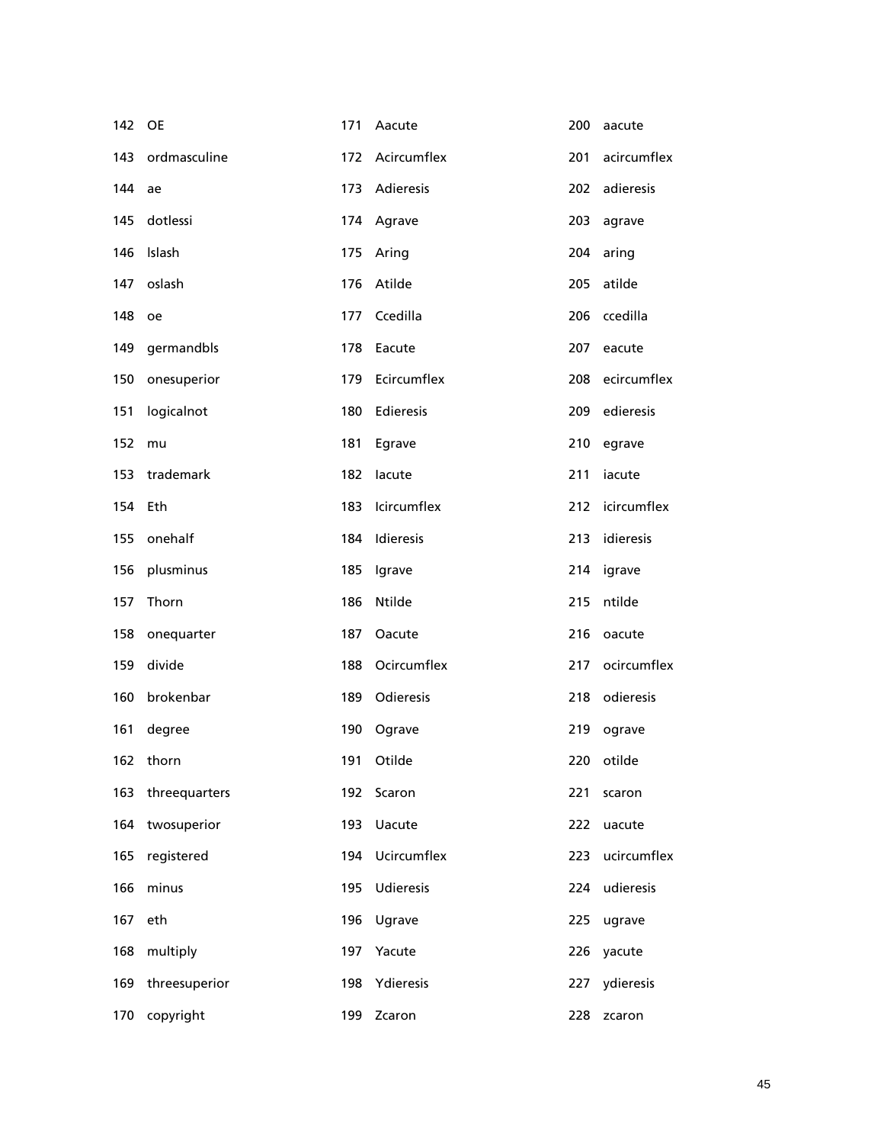| 142 OE |               | 171 | Aacute        | 200 | aacute      |
|--------|---------------|-----|---------------|-----|-------------|
| 143    | ordmasculine  | 172 | Acircumflex   | 201 | acircumflex |
| 144    | ae            | 173 | Adieresis     | 202 | adieresis   |
| 145    | dotlessi      | 174 | Agrave        | 203 | agrave      |
| 146    | Islash        | 175 | Aring         | 204 | aring       |
| 147    | oslash        | 176 | Atilde        | 205 | atilde      |
| 148    | oe            | 177 | Ccedilla      | 206 | ccedilla    |
| 149    | germandbls    | 178 | Eacute        | 207 | eacute      |
| 150    | onesuperior   | 179 | Ecircumflex   | 208 | ecircumflex |
| 151    | logicalnot    | 180 | Edieresis     | 209 | edieresis   |
| 152    | mu            | 181 | Egrave        | 210 | egrave      |
| 153    | trademark     | 182 | lacute        | 211 | iacute      |
| 154    | Eth           | 183 | Icircumflex   | 212 | icircumflex |
| 155    | onehalf       | 184 | Idieresis     | 213 | idieresis   |
| 156    | plusminus     | 185 | Igrave        | 214 | igrave      |
| 157    | Thorn         | 186 | Ntilde        | 215 | ntilde      |
| 158    | onequarter    | 187 | Oacute        | 216 | oacute      |
| 159    | divide        | 188 | Ocircumflex   | 217 | ocircumflex |
| 160    | brokenbar     | 189 | Odieresis     | 218 | odieresis   |
| 161    | degree        | 190 | Ograve        | 219 | ograve      |
|        | 162 thorn     |     | 191 Otilde    |     | 220 otilde  |
| 163    | threequarters | 192 | Scaron        | 221 | scaron      |
| 164    | twosuperior   | 193 | <b>Uacute</b> | 222 | uacute      |
| 165    | registered    | 194 | Ucircumflex   | 223 | ucircumflex |
| 166    | minus         | 195 | Udieresis     | 224 | udieresis   |
| 167    | eth           | 196 | Ugrave        | 225 | ugrave      |
| 168    | multiply      | 197 | Yacute        | 226 | yacute      |
| 169    | threesuperior | 198 | Ydieresis     | 227 | ydieresis   |
| 170    | copyright     | 199 | Zcaron        | 228 | zcaron      |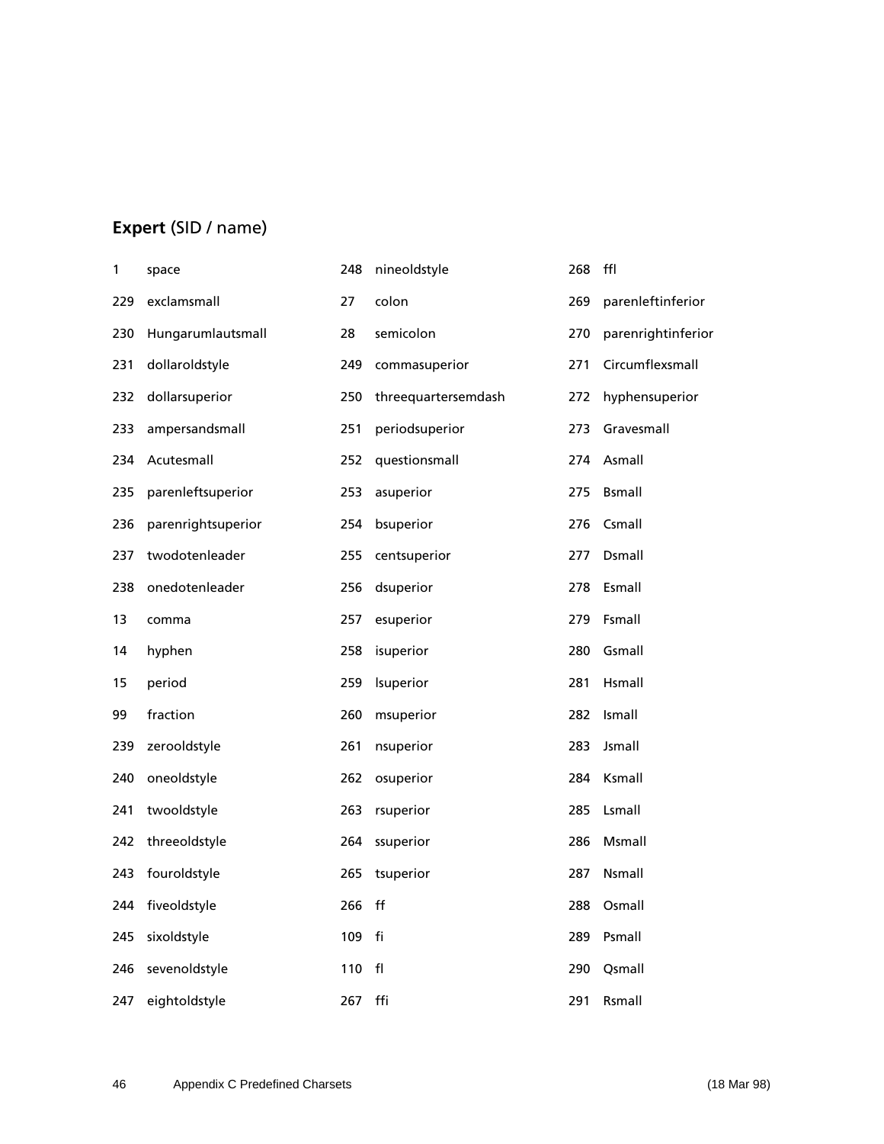# **Expert** (SID / name)

| 1   | space              | 248 | nineoldstyle        | 268 | ffl                |
|-----|--------------------|-----|---------------------|-----|--------------------|
| 229 | exclamsmall        | 27  | colon               | 269 | parenleftinferior  |
| 230 | Hungarumlautsmall  | 28  | semicolon           | 270 | parenrightinferior |
| 231 | dollaroldstyle     | 249 | commasuperior       | 271 | Circumflexsmall    |
| 232 | dollarsuperior     | 250 | threequartersemdash | 272 | hyphensuperior     |
| 233 | ampersandsmall     | 251 | periodsuperior      | 273 | Gravesmall         |
| 234 | Acutesmall         | 252 | questionsmall       | 274 | Asmall             |
| 235 | parenleftsuperior  | 253 | asuperior           | 275 | <b>Bsmall</b>      |
| 236 | parenrightsuperior | 254 | bsuperior           | 276 | Csmall             |
| 237 | twodotenleader     | 255 | centsuperior        | 277 | Dsmall             |
| 238 | onedotenleader     | 256 | dsuperior           | 278 | Esmall             |
| 13  | comma              | 257 | esuperior           | 279 | Fsmall             |
| 14  | hyphen             | 258 | isuperior           | 280 | Gsmall             |
| 15  | period             | 259 | Isuperior           | 281 | Hsmall             |
| 99  | fraction           | 260 | msuperior           | 282 | Ismall             |
| 239 | zerooldstyle       | 261 | nsuperior           | 283 | Jsmall             |
| 240 | oneoldstyle        | 262 | osuperior           | 284 | Ksmall             |
| 241 | twooldstyle        | 263 | rsuperior           | 285 | Lsmall             |
| 242 | threeoldstyle      | 264 | ssuperior           | 286 | Msmall             |
| 243 | fouroldstyle       | 265 | tsuperior           | 287 | Nsmall             |
| 244 | fiveoldstyle       | 266 | $^{\sf ff}$         | 288 | Osmall             |
| 245 | sixoldstyle        | 109 | fi                  | 289 | Psmall             |
| 246 | sevenoldstyle      | 110 | fl                  | 290 | Qsmall             |
| 247 | eightoldstyle      | 267 | ffi                 | 291 | Rsmall             |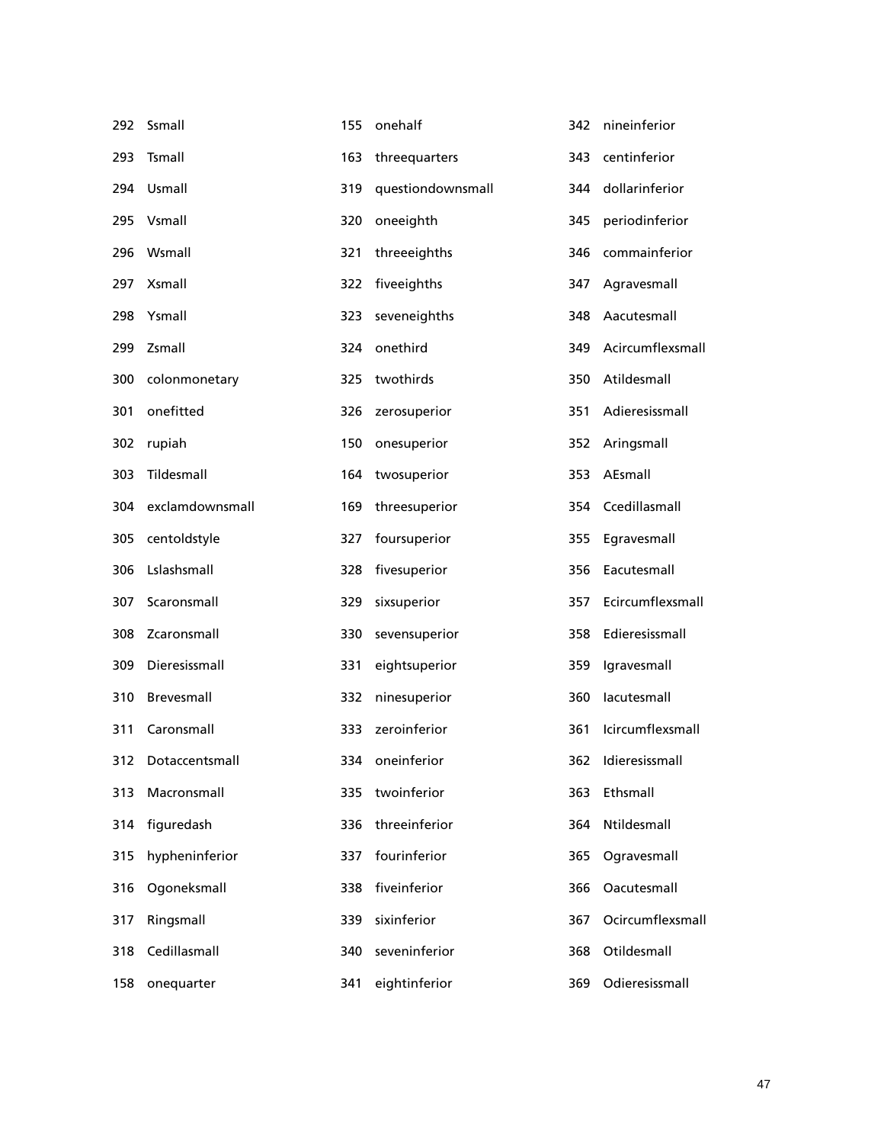| 292 | Ssmall             | 155 | onehalf           | 342 | nineinferior       |
|-----|--------------------|-----|-------------------|-----|--------------------|
| 293 | Tsmall             | 163 | threequarters     | 343 | centinferior       |
| 294 | Usmall             | 319 | questiondownsmall | 344 | dollarinferior     |
| 295 | Vsmall             | 320 | oneeighth         | 345 | periodinferior     |
| 296 | Wsmall             | 321 | threeeighths      | 346 | commainferior      |
| 297 | Xsmall             | 322 | fiveeighths       | 347 | Agravesmall        |
| 298 | Ysmall             | 323 | seveneighths      | 348 | Aacutesmall        |
| 299 | Zsmall             | 324 | onethird          | 349 | Acircumflexsmall   |
| 300 | colonmonetary      | 325 | twothirds         | 350 | Atildesmall        |
| 301 | onefitted          | 326 | zerosuperior      | 351 | Adieresissmall     |
| 302 | rupiah             | 150 | onesuperior       | 352 | Aringsmall         |
| 303 | Tildesmall         | 164 | twosuperior       | 353 | AEsmall            |
| 304 | exclamdownsmall    | 169 | threesuperior     | 354 | Ccedillasmall      |
| 305 | centoldstyle       | 327 | foursuperior      | 355 | Egravesmall        |
| 306 | Lslashsmall        | 328 | fivesuperior      | 356 | Eacutesmall        |
| 307 | Scaronsmall        | 329 | sixsuperior       | 357 | Ecircumflexsmall   |
| 308 | Zcaronsmall        | 330 | sevensuperior     | 358 | Edieresissmall     |
| 309 | Dieresissmall      | 331 | eightsuperior     | 359 | Igravesmall        |
| 310 | Brevesmall         | 332 | ninesuperior      | 360 | lacutesmall        |
| 311 | Caronsmall         | 333 | zeroinferior      | 361 | Icircumflexsmall   |
|     | 312 Dotaccentsmall |     | 334 oneinferior   |     | 362 Idieresissmall |
| 313 | Macronsmall        | 335 | twoinferior       | 363 | Ethsmall           |
| 314 | figuredash         | 336 | threeinferior     | 364 | Ntildesmall        |
| 315 | hypheninferior     | 337 | fourinferior      | 365 | Ogravesmall        |
| 316 | Ogoneksmall        | 338 | fiveinferior      | 366 | Oacutesmall        |
| 317 | Ringsmall          | 339 | sixinferior       | 367 | Ocircumflexsmall   |
| 318 | Cedillasmall       | 340 | seveninferior     | 368 | Otildesmall        |
| 158 | onequarter         | 341 | eightinferior     | 369 | Odieresissmall     |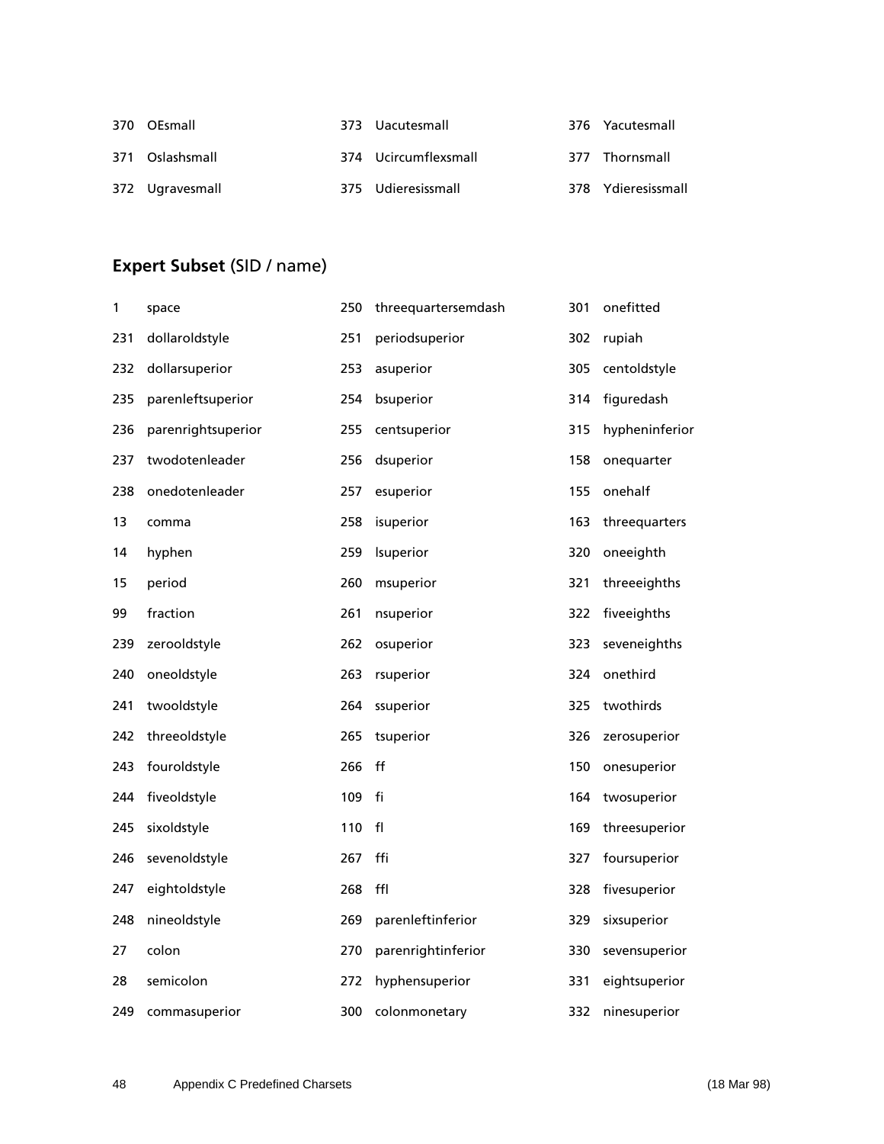| 370 OEsmall     | 373 Uacutesmall      | 376 Yacutesmall    |
|-----------------|----------------------|--------------------|
| 371 Oslashsmall | 374 Ucircumflexsmall | 377 Thornsmall     |
| 372 Ugravesmall | 375 Udieresissmall   | 378 Ydieresissmall |

# **Expert Subset** (SID / name)

| 1   | space              | 250 | threequartersemdash | 301 | onefitted      |
|-----|--------------------|-----|---------------------|-----|----------------|
| 231 | dollaroldstyle     | 251 | periodsuperior      | 302 | rupiah         |
| 232 | dollarsuperior     | 253 | asuperior           | 305 | centoldstyle   |
| 235 | parenleftsuperior  | 254 | bsuperior           | 314 | figuredash     |
| 236 | parenrightsuperior | 255 | centsuperior        | 315 | hypheninferior |
| 237 | twodotenleader     | 256 | dsuperior           | 158 | onequarter     |
| 238 | onedotenleader     | 257 | esuperior           | 155 | onehalf        |
| 13  | comma              | 258 | isuperior           | 163 | threequarters  |
| 14  | hyphen             | 259 | Isuperior           | 320 | oneeighth      |
| 15  | period             | 260 | msuperior           | 321 | threeeighths   |
| 99  | fraction           | 261 | nsuperior           | 322 | fiveeighths    |
| 239 | zerooldstyle       | 262 | osuperior           | 323 | seveneighths   |
| 240 | oneoldstyle        | 263 | rsuperior           | 324 | onethird       |
| 241 | twooldstyle        | 264 | ssuperior           | 325 | twothirds      |
| 242 | threeoldstyle      | 265 | tsuperior           | 326 | zerosuperior   |
| 243 | fouroldstyle       | 266 | f f                 | 150 | onesuperior    |
| 244 | fiveoldstyle       | 109 | fi                  | 164 | twosuperior    |
| 245 | sixoldstyle        | 110 | f <sub>l</sub>      | 169 | threesuperior  |
| 246 | sevenoldstyle      | 267 | ffi                 | 327 | foursuperior   |
| 247 | eightoldstyle      | 268 | ffl                 | 328 | fivesuperior   |
| 248 | nineoldstyle       | 269 | parenleftinferior   | 329 | sixsuperior    |
| 27  | colon              | 270 | parenrightinferior  | 330 | sevensuperior  |
| 28  | semicolon          | 272 | hyphensuperior      | 331 | eightsuperior  |
| 249 | commasuperior      | 300 | colonmonetary       | 332 | ninesuperior   |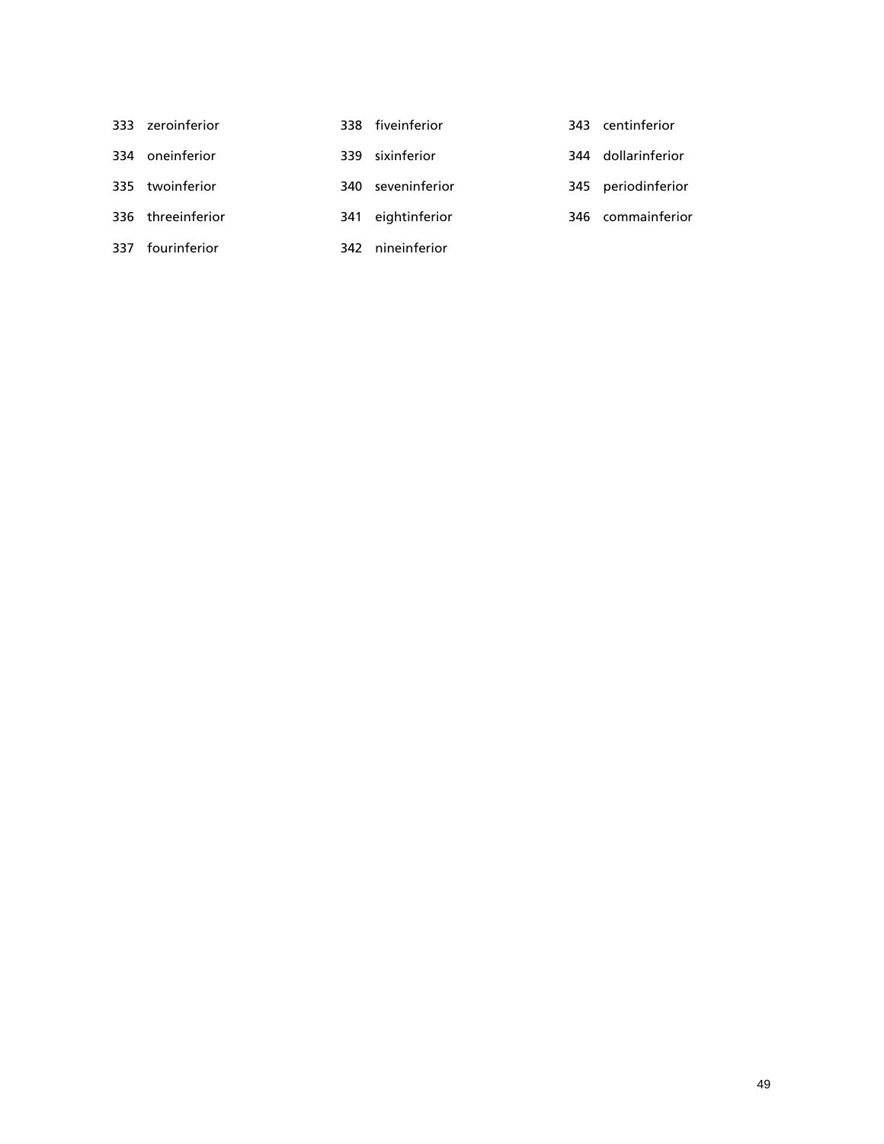| 333 zeroinferior  | 338 fiveinferior  | 343 centinferior   |
|-------------------|-------------------|--------------------|
| 334 oneinferior   | 339 sixinferior   | 344 dollarinferior |
| 335 twoinferior   | 340 seveninferior | 345 periodinferior |
| 336 threeinferior | 341 eightinferior | 346 commainferior  |
| 337 fourinferior  | 342 nineinferior  |                    |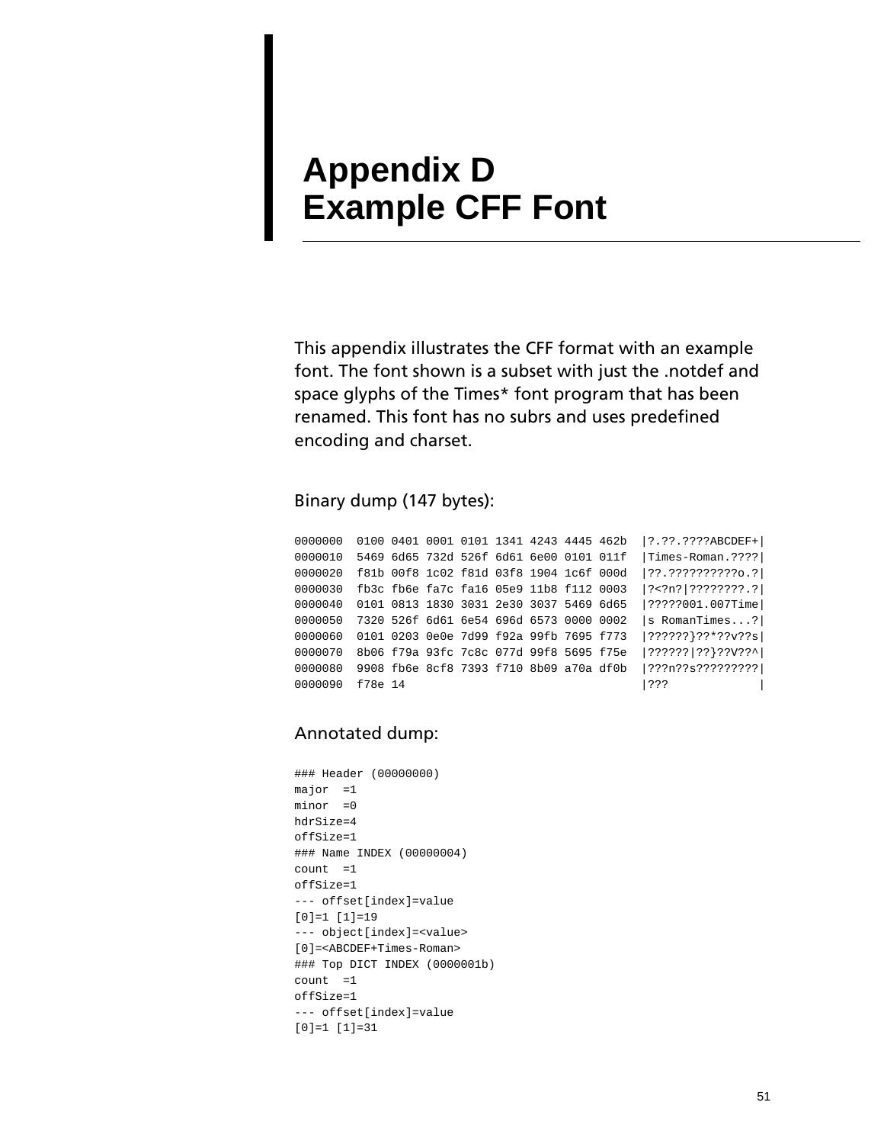# <span id="page-54-0"></span>**Appendix D Example CFF Font**

This appendix illustrates the CFF format with an example font. The font shown is a subset with just the .notdef and space glyphs of the Times\* font program that has been renamed. This font has no subrs and uses predefined encoding and charset.

#### Binary dump (147 bytes):

0000000 0100 0401 0001 0101 1341 4243 4445 462b |?.??.????ABCDEF+| 0000010 5469 6d65 732d 526f 6d61 6e00 0101 011f | Times-Roman. ???? 0000020 f81b 00f8 1c02 f81d 03f8 1904 1c6f 000d |??.??????????o.?| 0000030 fb3c fb6e fa7c fa16 05e9 11b8 f112 0003 |?<?n?|????????.?| 0000040 0101 0813 1830 3031 2e30 3037 5469 6d65 |?????001.007Time| 0000050 7320 526f 6d61 6e54 696d 6573 0000 0002 |s RomanTimes...?| 0000060 0101 0203 0e0e 7d99 f92a 99fb 7695 f773 |??????}??\*??v??s| 0000070 8b06 f79a 93fc 7c8c 077d 99f8 5695 f75e |??????|??}??V??^| 0000080 9908 fb6e 8cf8 7393 f710 8b09 a70a df0b |???n??s?????????| 0000090 f78e 14 |??? |

#### Annotated dump:

```
### Header (00000000)
major =1minor =0
hdrSize=4
offSize=1
### Name INDEX (00000004)
count =1offSize=1
--- offset[index]=value
[0]=1 [1]=19--- object[index]=<value>
[0]=<ABCDEF+Times-Roman>
### Top DICT INDEX (0000001b)
count =1offSize=1
--- offset[index]=value
[0]=1 [1]=31
```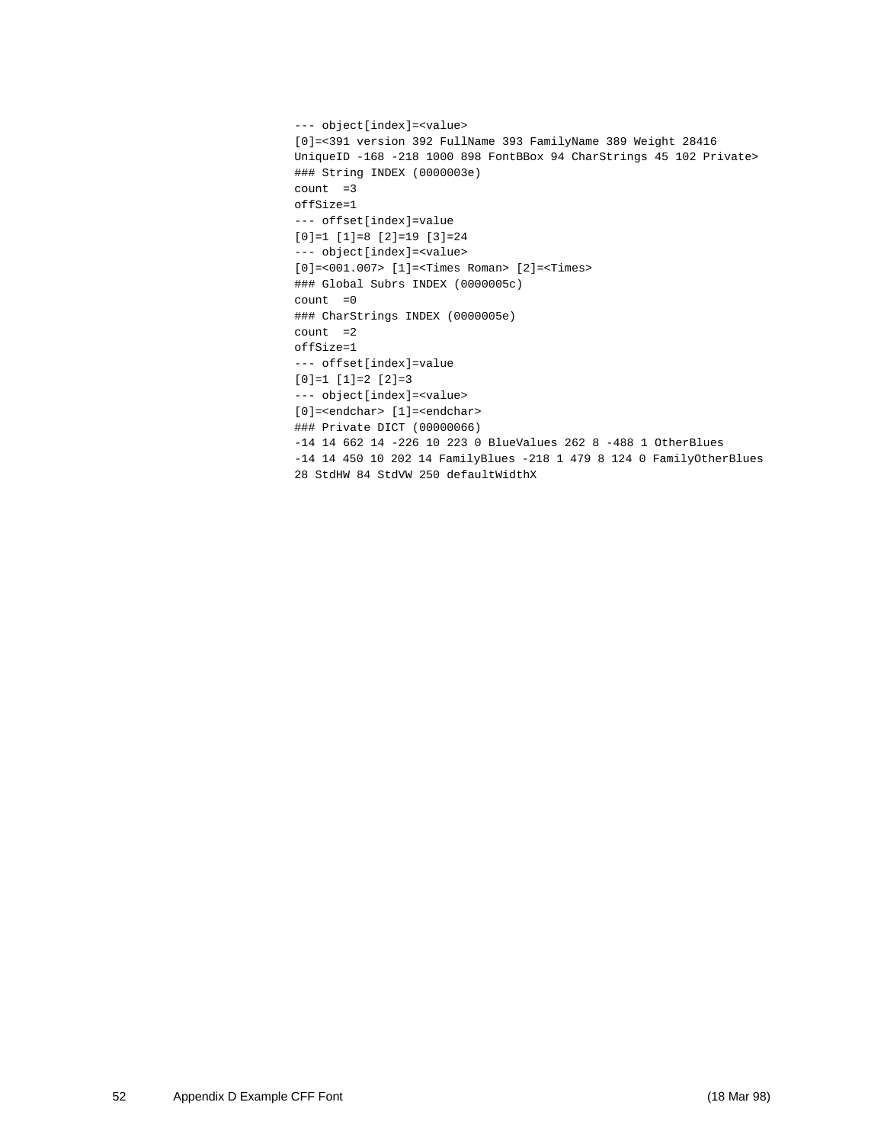```
--- object[index] = < value>
[0]=<391 version 392 FullName 393 FamilyName 389 Weight 28416 
UniqueID -168 -218 1000 898 FontBBox 94 CharStrings 45 102 Private>
### String INDEX (0000003e)
count = 3offSize=1
--- offset[index]=value
[0]=1 [1]=8 [2]=19 [3]=24
--- object[index]=<value>
[0]=<001.007> [1]=<Times Roman> [2]=<Times>
### Global Subrs INDEX (0000005c)
count =0### CharStrings INDEX (0000005e)
count = 2offSize=1
--- offset[index]=value
[0]=1 [1]=2 [2]=3
--- object[index] = < value>
[0]=<endchar> [1]=<endchar>
### Private DICT (00000066)
-14 14 662 14 -226 10 223 0 BlueValues 262 8 -488 1 OtherBlues
-14 14 450 10 202 14 FamilyBlues -218 1 479 8 124 0 FamilyOtherBlues 
28 StdHW 84 StdVW 250 defaultWidthX
```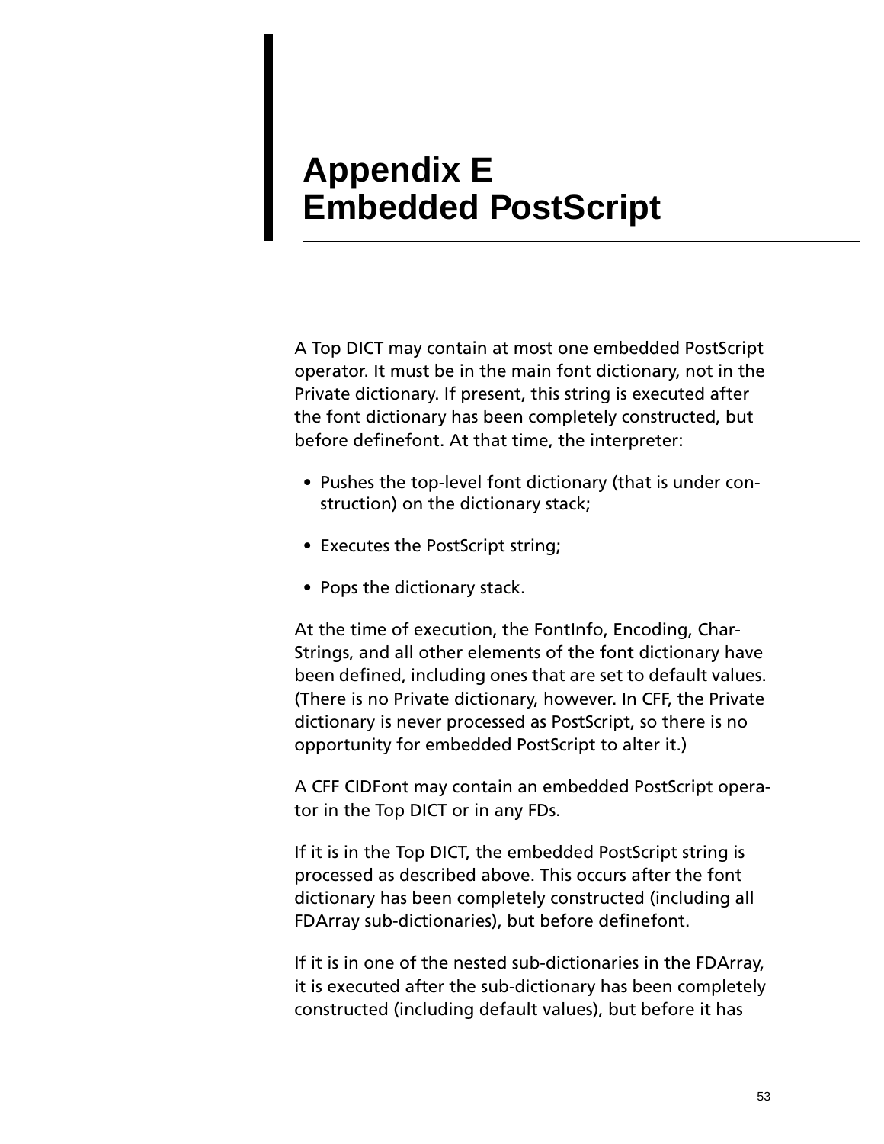# <span id="page-56-0"></span>**Appendix E Embedded PostScript**

A Top DICT may contain at most one embedded PostScript operator. It must be in the main font dictionary, not in the Private dictionary. If present, this string is executed after the font dictionary has been completely constructed, but before definefont. At that time, the interpreter:

- Pushes the top-level font dictionary (that is under construction) on the dictionary stack;
- Executes the PostScript string;
- Pops the dictionary stack.

At the time of execution, the FontInfo, Encoding, Char-Strings, and all other elements of the font dictionary have been defined, including ones that are set to default values. (There is no Private dictionary, however. In CFF, the Private dictionary is never processed as PostScript, so there is no opportunity for embedded PostScript to alter it.)

A CFF CIDFont may contain an embedded PostScript operator in the Top DICT or in any FDs.

If it is in the Top DICT, the embedded PostScript string is processed as described above. This occurs after the font dictionary has been completely constructed (including all FDArray sub-dictionaries), but before definefont.

If it is in one of the nested sub-dictionaries in the FDArray, it is executed after the sub-dictionary has been completely constructed (including default values), but before it has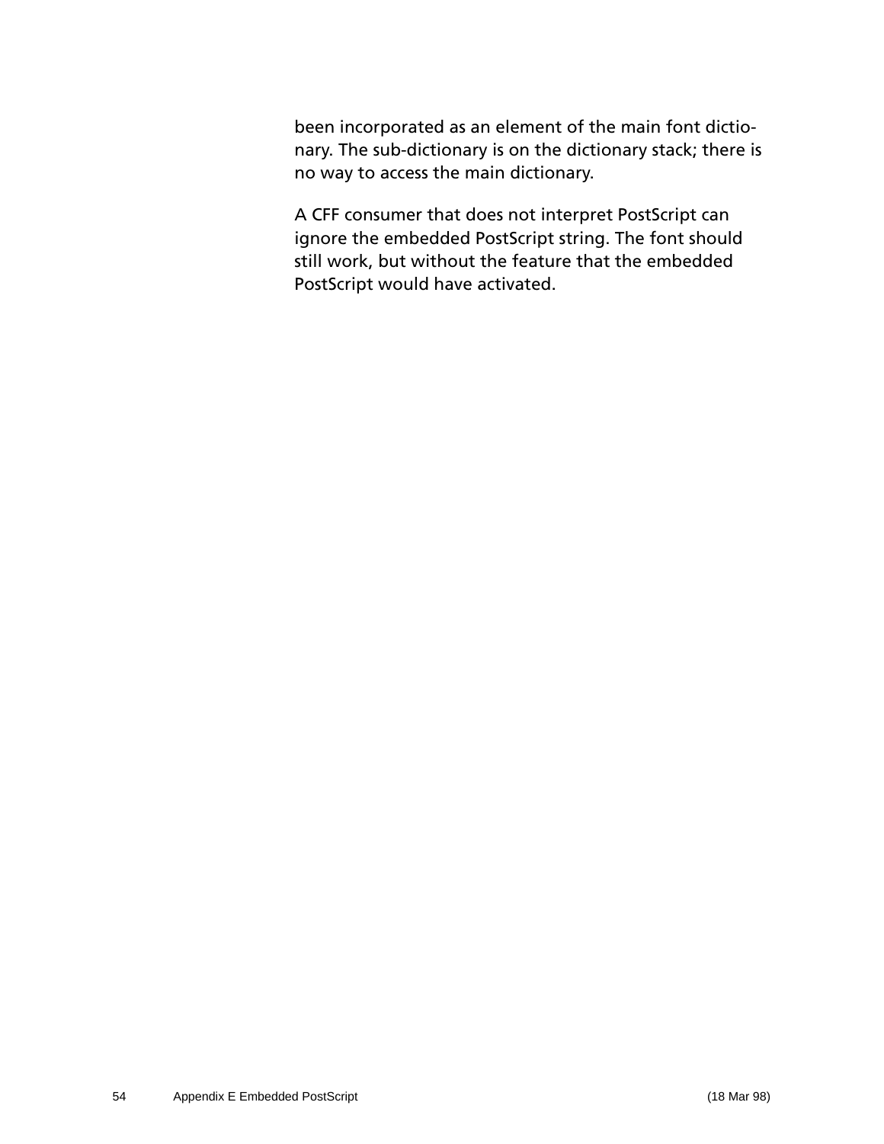been incorporated as an element of the main font dictionary. The sub-dictionary is on the dictionary stack; there is no way to access the main dictionary.

A CFF consumer that does not interpret PostScript can ignore the embedded PostScript string. The font should still work, but without the feature that the embedded PostScript would have activated.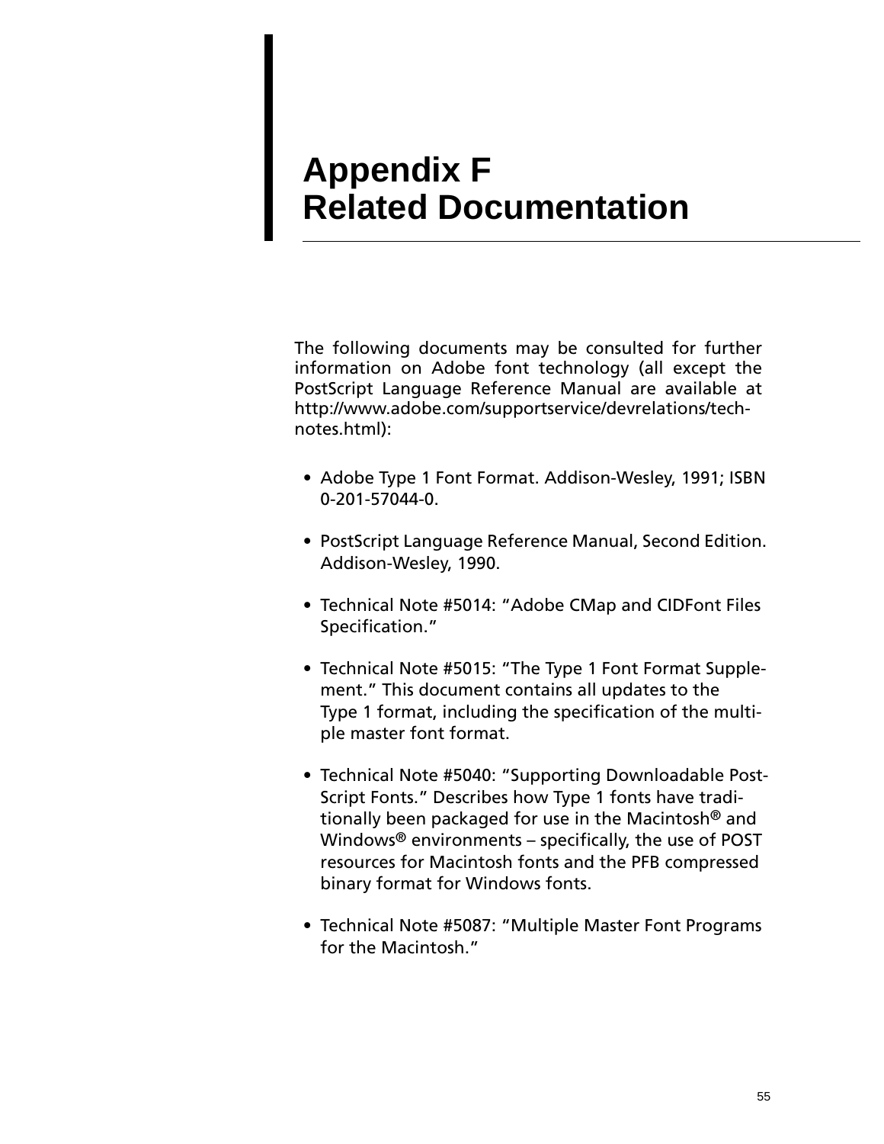# <span id="page-58-0"></span>**Appendix F Related Documentation**

The following documents may be consulted for further information on Adobe font technology (all except the PostScript Language Reference Manual are available at http://www.adobe.com/supportservice/devrelations/technotes.html):

- Adobe Type 1 Font Format. Addison-Wesley, 1991; ISBN 0-201-57044-0.
- PostScript Language Reference Manual, Second Edition. Addison-Wesley, 1990.
- Technical Note #5014: "Adobe CMap and CIDFont Files Specification."
- Technical Note #5015: "The Type 1 Font Format Supplement." This document contains all updates to the Type 1 format, including the specification of the multiple master font format.
- Technical Note #5040: "Supporting Downloadable Post-Script Fonts." Describes how Type 1 fonts have traditionally been packaged for use in the Macintosh® and Windows® environments – specifically, the use of POST resources for Macintosh fonts and the PFB compressed binary format for Windows fonts.
- Technical Note #5087: "Multiple Master Font Programs for the Macintosh."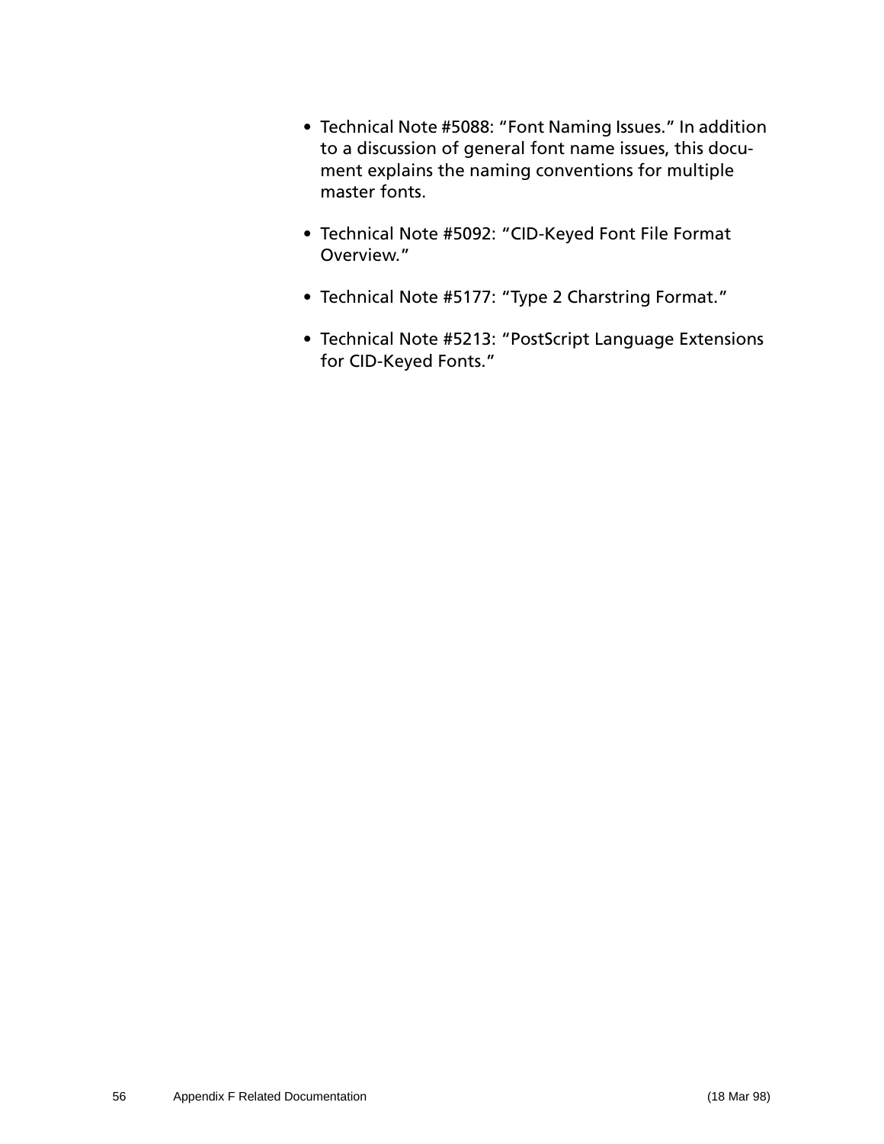- Technical Note #5088: "Font Naming Issues." In addition to a discussion of general font name issues, this document explains the naming conventions for multiple master fonts.
- Technical Note #5092: "CID-Keyed Font File Format Overview."
- Technical Note #5177: "Type 2 Charstring Format."
- Technical Note #5213: "PostScript Language Extensions for CID-Keyed Fonts."